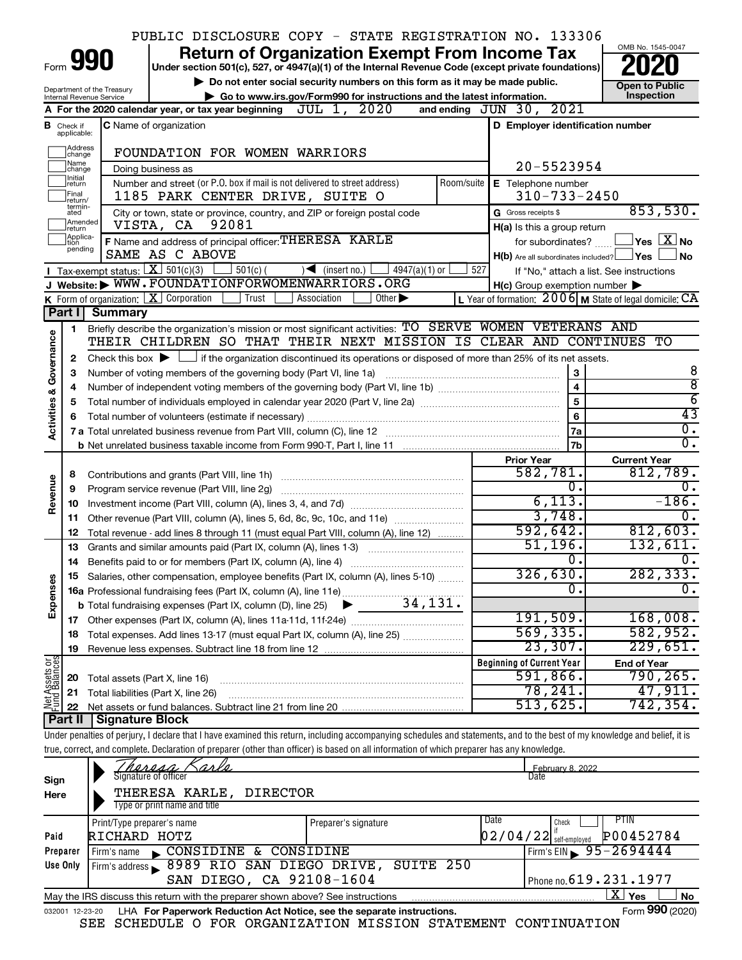|                                                                                                                |                                                                                                           |                                             |                                                                   | PUBLIC DISCLOSURE COPY - STATE REGISTRATION NO. 133306                                                                                                                      |            |                                                     |                                                           |
|----------------------------------------------------------------------------------------------------------------|-----------------------------------------------------------------------------------------------------------|---------------------------------------------|-------------------------------------------------------------------|-----------------------------------------------------------------------------------------------------------------------------------------------------------------------------|------------|-----------------------------------------------------|-----------------------------------------------------------|
|                                                                                                                |                                                                                                           |                                             |                                                                   | <b>Return of Organization Exempt From Income Tax</b>                                                                                                                        |            |                                                     | OMB No. 1545-0047                                         |
| Form 990<br>Under section 501(c), 527, or 4947(a)(1) of the Internal Revenue Code (except private foundations) |                                                                                                           |                                             |                                                                   |                                                                                                                                                                             |            |                                                     |                                                           |
|                                                                                                                | Do not enter social security numbers on this form as it may be made public.<br>Department of the Treasury |                                             |                                                                   |                                                                                                                                                                             |            | <b>Open to Public</b>                               |                                                           |
|                                                                                                                |                                                                                                           | Internal Revenue Service                    |                                                                   | Go to www.irs.gov/Form990 for instructions and the latest information.                                                                                                      |            |                                                     | Inspection                                                |
|                                                                                                                |                                                                                                           |                                             |                                                                   | A For the 2020 calendar year, or tax year beginning $JUL$ 1, $2020$                                                                                                         |            | 2021<br>and ending $JUN$ 30,                        |                                                           |
|                                                                                                                | <b>B</b> Check if<br>applicable:                                                                          |                                             | C Name of organization                                            |                                                                                                                                                                             |            | D Employer identification number                    |                                                           |
|                                                                                                                | Address<br>change                                                                                         |                                             | FOUNDATION FOR WOMEN WARRIORS                                     |                                                                                                                                                                             |            |                                                     |                                                           |
|                                                                                                                | Name<br>change<br>Initial                                                                                 |                                             | Doing business as                                                 |                                                                                                                                                                             |            | 20-5523954                                          |                                                           |
|                                                                                                                | return<br>Final<br>return/<br>termin-                                                                     |                                             | 1185 PARK CENTER DRIVE, SUITE O                                   | Number and street (or P.O. box if mail is not delivered to street address)                                                                                                  | Room/suite | E Telephone number<br>$310 - 733 - 2450$            |                                                           |
|                                                                                                                | ated<br>Amended<br>return                                                                                 |                                             | VISTA, CA<br>92081                                                | City or town, state or province, country, and ZIP or foreign postal code                                                                                                    |            | G Gross receipts \$<br>H(a) Is this a group return  | 853,530.                                                  |
|                                                                                                                | Applica-<br>tion                                                                                          |                                             |                                                                   | F Name and address of principal officer: THERESA KARLE                                                                                                                      |            | for subordinates?                                   | $\,$ Yes $\,$ $\,$ $\rm X$ $\,$ No $\,$                   |
|                                                                                                                | pending                                                                                                   |                                             | SAME AS C ABOVE                                                   |                                                                                                                                                                             |            | $H(b)$ Are all subordinates included?               | ⊥Yes<br>l No                                              |
|                                                                                                                |                                                                                                           | <b>I</b> Tax-exempt status: $X \ 501(c)(3)$ | $\frac{1}{2}$ 501(c) (                                            | $4947(a)(1)$ or<br>$\sqrt{\phantom{a}}$ (insert no.)                                                                                                                        | 527        |                                                     | If "No," attach a list. See instructions                  |
|                                                                                                                |                                                                                                           |                                             |                                                                   | J Website: WWW.FOUNDATIONFORWOMENWARRIORS.ORG                                                                                                                               |            | $H(c)$ Group exemption number $\blacktriangleright$ |                                                           |
|                                                                                                                |                                                                                                           |                                             | K Form of organization: $X$ Corporation<br>Trust                  | Association<br>Other $\blacktriangleright$                                                                                                                                  |            |                                                     | L Year of formation: $2006$ M State of legal domicile: CA |
|                                                                                                                | Part I                                                                                                    | Summary                                     |                                                                   |                                                                                                                                                                             |            |                                                     |                                                           |
| Governance                                                                                                     | 1                                                                                                         |                                             |                                                                   | Briefly describe the organization's mission or most significant activities: TO SERVE WOMEN VETERANS AND<br>THEIR CHILDREN SO THAT THEIR NEXT MISSION IS CLEAR AND CONTINUES |            |                                                     | TО                                                        |
|                                                                                                                | 2                                                                                                         |                                             |                                                                   | Check this box $\blacktriangleright$ $\Box$ if the organization discontinued its operations or disposed of more than 25% of its net assets.                                 |            |                                                     |                                                           |
|                                                                                                                | 3                                                                                                         |                                             | Number of voting members of the governing body (Part VI, line 1a) |                                                                                                                                                                             |            | З                                                   | 8                                                         |
|                                                                                                                | 4                                                                                                         |                                             |                                                                   |                                                                                                                                                                             |            | $\overline{\mathbf{4}}$                             | $\overline{\bf 8}$                                        |
| <b>Activities &amp;</b>                                                                                        | 5                                                                                                         |                                             |                                                                   |                                                                                                                                                                             |            | 5                                                   | $\overline{6}$                                            |
|                                                                                                                | 6                                                                                                         |                                             |                                                                   |                                                                                                                                                                             |            | 6                                                   | 43                                                        |
|                                                                                                                |                                                                                                           |                                             |                                                                   |                                                                                                                                                                             |            | 7a                                                  | Ο.                                                        |
|                                                                                                                |                                                                                                           |                                             |                                                                   |                                                                                                                                                                             | 7b         | σ.                                                  |                                                           |
|                                                                                                                |                                                                                                           |                                             |                                                                   |                                                                                                                                                                             |            |                                                     |                                                           |
|                                                                                                                |                                                                                                           |                                             |                                                                   |                                                                                                                                                                             |            | <b>Prior Year</b>                                   | <b>Current Year</b>                                       |
|                                                                                                                | 8                                                                                                         |                                             | Contributions and grants (Part VIII, line 1h)                     |                                                                                                                                                                             |            | 582,781.                                            | 812,789.                                                  |
|                                                                                                                | 9                                                                                                         |                                             | Program service revenue (Part VIII, line 2g)                      |                                                                                                                                                                             |            | О.                                                  | 0.                                                        |
|                                                                                                                | 10                                                                                                        |                                             |                                                                   |                                                                                                                                                                             |            | 6,113.                                              | $-186.$                                                   |
| Revenue                                                                                                        | 11                                                                                                        |                                             |                                                                   | Other revenue (Part VIII, column (A), lines 5, 6d, 8c, 9c, 10c, and 11e)                                                                                                    |            | 3,748.                                              | 0.                                                        |
|                                                                                                                | 12                                                                                                        |                                             |                                                                   | Total revenue - add lines 8 through 11 (must equal Part VIII, column (A), line 12)                                                                                          |            | 592, 642.                                           | 812,603.                                                  |
|                                                                                                                | 13                                                                                                        |                                             | Grants and similar amounts paid (Part IX, column (A), lines 1-3)  |                                                                                                                                                                             |            | 51,196.                                             | 132,611.                                                  |
|                                                                                                                | 14                                                                                                        |                                             | Benefits paid to or for members (Part IX, column (A), line 4)     |                                                                                                                                                                             |            | 0.                                                  | о.                                                        |
|                                                                                                                |                                                                                                           |                                             |                                                                   | 15 Salaries, other compensation, employee benefits (Part IX, column (A), lines 5-10)                                                                                        |            | 326,630.                                            | 282, 333.                                                 |
|                                                                                                                |                                                                                                           |                                             |                                                                   |                                                                                                                                                                             |            | 0                                                   | Ο.                                                        |
|                                                                                                                |                                                                                                           |                                             |                                                                   |                                                                                                                                                                             |            |                                                     |                                                           |
| Expenses                                                                                                       |                                                                                                           |                                             |                                                                   |                                                                                                                                                                             |            | 191,509.                                            | 168,008.                                                  |
|                                                                                                                | 18                                                                                                        |                                             |                                                                   | Total expenses. Add lines 13-17 (must equal Part IX, column (A), line 25)                                                                                                   |            | 569, 335.                                           | 582,952.                                                  |
|                                                                                                                | 19                                                                                                        |                                             |                                                                   |                                                                                                                                                                             |            | 23,307.                                             | 229,651.                                                  |
|                                                                                                                |                                                                                                           |                                             |                                                                   |                                                                                                                                                                             |            | <b>Beginning of Current Year</b>                    | <b>End of Year</b>                                        |
|                                                                                                                | 20                                                                                                        |                                             | Total assets (Part X, line 16)                                    |                                                                                                                                                                             |            | 591,866.                                            | 790, 265.                                                 |
|                                                                                                                | 21                                                                                                        |                                             | Total liabilities (Part X, line 26)                               |                                                                                                                                                                             |            | 78,241.                                             | 47,911.                                                   |
| Net Assets or<br>Fund Balances                                                                                 | 22                                                                                                        |                                             |                                                                   | Net assets or fund balances. Subtract line 21 from line 20                                                                                                                  |            | 513,625.                                            | 742,354.                                                  |
|                                                                                                                | Part II                                                                                                   | Signature Block                             |                                                                   | Under penalties of perjury, I declare that I have examined this return, including accompanying schedules and statements, and to the best of my knowledge and belief, it is  |            |                                                     |                                                           |
|                                                                                                                |                                                                                                           |                                             |                                                                   | true, correct, and complete. Declaration of preparer (other than officer) is based on all information of which preparer has any knowledge.                                  |            |                                                     |                                                           |
|                                                                                                                |                                                                                                           |                                             | eres                                                              |                                                                                                                                                                             |            |                                                     |                                                           |
| Sign                                                                                                           |                                                                                                           |                                             | Signature of officer                                              |                                                                                                                                                                             |            | February 8, 2022<br>Date                            |                                                           |
| Here                                                                                                           |                                                                                                           |                                             | THERESA KARLE,<br>Type or print name and title                    | <b>DIRECTOR</b>                                                                                                                                                             |            |                                                     |                                                           |
|                                                                                                                |                                                                                                           | Print/Type preparer's name                  |                                                                   | Preparer's signature                                                                                                                                                        |            | Date<br>Check                                       | <b>PTIN</b>                                               |
| Paid                                                                                                           |                                                                                                           | RICHARD HOTZ                                |                                                                   |                                                                                                                                                                             |            | if<br>$02/04/22$ $\frac{1}{1}$ self-employed        | P00452784                                                 |
|                                                                                                                | Preparer<br>Use Only                                                                                      | Firm's name                                 | CONSIDINE & CONSIDINE                                             | Firm's address 8989 RIO SAN DIEGO DRIVE, SUITE 250                                                                                                                          |            |                                                     | Firm's EIN $\geq 95 - 2694444$                            |

|                 | OSE ONLY BUILD SALLY SALLY SALLY DIEGO DRIVE, SUITE 250                         |                            |
|-----------------|---------------------------------------------------------------------------------|----------------------------|
|                 | SAN DIEGO, CA 92108-1604                                                        | I Phone no. $619.231.1977$ |
|                 | May the IRS discuss this return with the preparer shown above? See instructions | $ X $ Yes $ $<br>∣No       |
| 032001 12-23-20 | LHA For Paperwork Reduction Act Notice, see the separate instructions.          | Form 990 (2020)            |

| $ X $ Yes $ $ No |  |
|------------------|--|
| Form 990 (2020)  |  |

SEE SCHEDULE O FOR ORGANIZATION MISSION STATEMENT CONTINUATION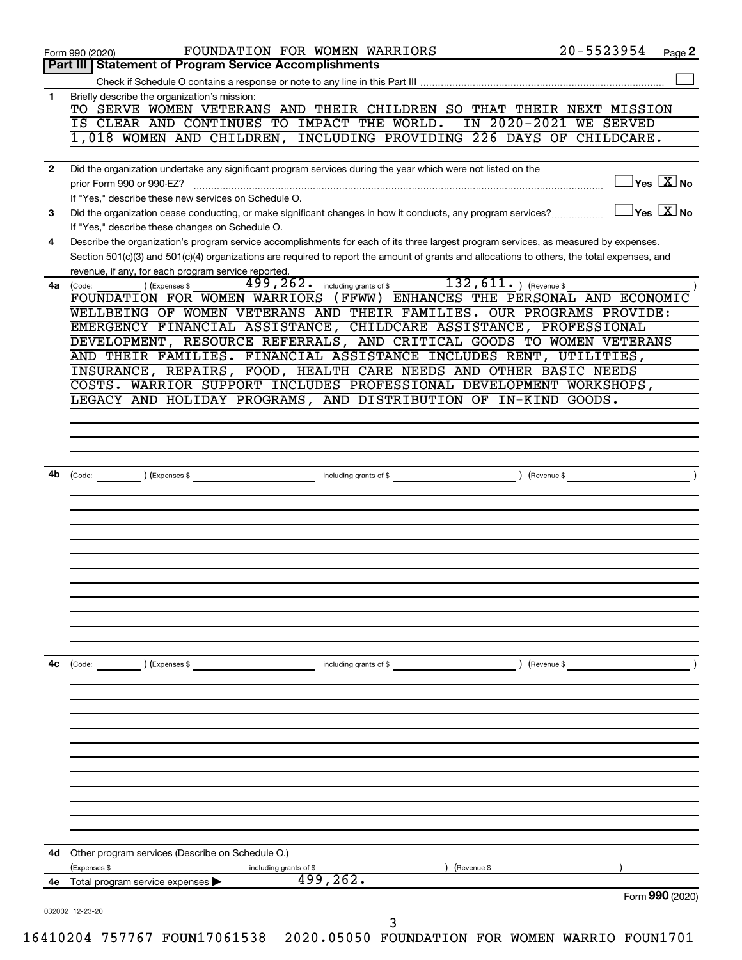|              | 499,262.<br>4e Total program service expenses<br>Form 990 (2020)                                                                                                                                                                        |
|--------------|-----------------------------------------------------------------------------------------------------------------------------------------------------------------------------------------------------------------------------------------|
| 4d           | Other program services (Describe on Schedule O.)<br>(Expenses \$<br>including grants of \$<br>(Revenue \$                                                                                                                               |
|              |                                                                                                                                                                                                                                         |
|              |                                                                                                                                                                                                                                         |
|              |                                                                                                                                                                                                                                         |
|              |                                                                                                                                                                                                                                         |
| 4c           | (Code:<br>) (Expenses \$<br>including grants of \$<br>) (Revenue \$                                                                                                                                                                     |
|              |                                                                                                                                                                                                                                         |
|              |                                                                                                                                                                                                                                         |
|              |                                                                                                                                                                                                                                         |
|              |                                                                                                                                                                                                                                         |
| 4b           | including grants of \$<br>) (Expenses \$<br>) (Revenue \$<br>(Code:                                                                                                                                                                     |
|              |                                                                                                                                                                                                                                         |
|              |                                                                                                                                                                                                                                         |
|              | COSTS. WARRIOR SUPPORT INCLUDES PROFESSIONAL DEVELOPMENT WORKSHOPS,<br>LEGACY AND HOLIDAY PROGRAMS, AND DISTRIBUTION OF IN-KIND GOODS.                                                                                                  |
|              | AND THEIR FAMILIES. FINANCIAL ASSISTANCE INCLUDES RENT, UTILITIES,<br>INSURANCE, REPAIRS, FOOD, HEALTH CARE NEEDS AND OTHER BASIC NEEDS                                                                                                 |
|              | EMERGENCY FINANCIAL ASSISTANCE, CHILDCARE ASSISTANCE, PROFESSIONAL<br>DEVELOPMENT, RESOURCE REFERRALS, AND CRITICAL GOODS TO WOMEN VETERANS                                                                                             |
| 4a           | 499, 262. including grants of \$132, 611. ) (Revenue \$<br>) (Expenses \$<br>(Code:<br>FOUNDATION FOR WOMEN WARRIORS (FFWW) ENHANCES THE PERSONAL AND ECONOMIC<br>WELLBEING OF WOMEN VETERANS AND THEIR FAMILIES. OUR PROGRAMS PROVIDE: |
|              | Section 501(c)(3) and 501(c)(4) organizations are required to report the amount of grants and allocations to others, the total expenses, and<br>revenue, if any, for each program service reported.                                     |
| 4            | If "Yes," describe these changes on Schedule O.<br>Describe the organization's program service accomplishments for each of its three largest program services, as measured by expenses.                                                 |
| 3            | If "Yes," describe these new services on Schedule O.<br>$\overline{X}$ Yes $\overline{X}$ No<br>Did the organization cease conducting, or make significant changes in how it conducts, any program services?                            |
| $\mathbf{2}$ | Did the organization undertake any significant program services during the year which were not listed on the<br>$\overline{\ }$ Yes $\overline{\phantom{a}X}$ No<br>prior Form 990 or 990-EZ?                                           |
|              | 1,018 WOMEN AND CHILDREN, INCLUDING PROVIDING 226 DAYS OF CHILDCARE.                                                                                                                                                                    |
|              | TO SERVE WOMEN VETERANS AND THEIR CHILDREN SO THAT THEIR NEXT MISSION<br>IN 2020-2021 WE SERVED<br>IS CLEAR AND CONTINUES TO IMPACT THE WORLD.                                                                                          |
|              |                                                                                                                                                                                                                                         |
| 1            | Briefly describe the organization's mission:                                                                                                                                                                                            |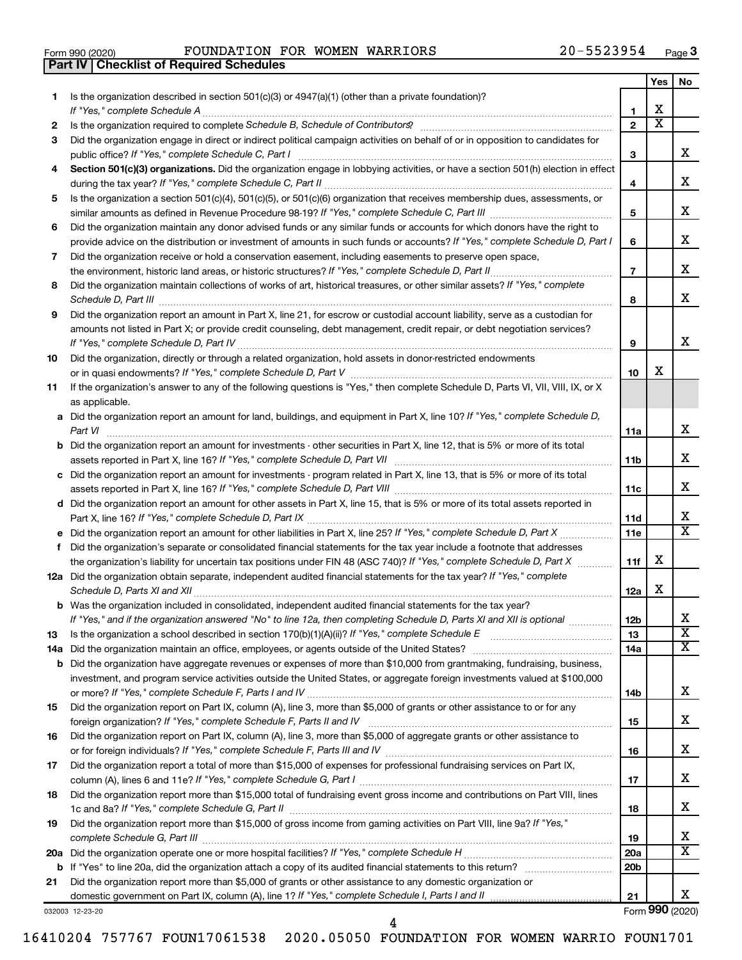|  | Form 990 (2020) |  |
|--|-----------------|--|

Form 990 (2020) **POUNDATION FOR WOMEN WARRIORS**  $20-5523954$   $_{\text{Page}}$ **Part IV Checklist of Required Schedules**

|    |                                                                                                                                                                                                                                                           |                 | Yes                     | No.                     |
|----|-----------------------------------------------------------------------------------------------------------------------------------------------------------------------------------------------------------------------------------------------------------|-----------------|-------------------------|-------------------------|
| 1. | Is the organization described in section 501(c)(3) or 4947(a)(1) (other than a private foundation)?                                                                                                                                                       |                 |                         |                         |
|    |                                                                                                                                                                                                                                                           | 1               | х                       |                         |
| 2  |                                                                                                                                                                                                                                                           | $\mathbf{2}$    | $\overline{\textbf{x}}$ |                         |
| 3  | Did the organization engage in direct or indirect political campaign activities on behalf of or in opposition to candidates for                                                                                                                           |                 |                         |                         |
|    |                                                                                                                                                                                                                                                           | 3               |                         | x.                      |
| 4  | Section 501(c)(3) organizations. Did the organization engage in lobbying activities, or have a section 501(h) election in effect                                                                                                                          | 4               |                         | x                       |
| 5  | Is the organization a section 501(c)(4), 501(c)(5), or 501(c)(6) organization that receives membership dues, assessments, or                                                                                                                              |                 |                         |                         |
|    |                                                                                                                                                                                                                                                           | 5               |                         | х                       |
| 6  | Did the organization maintain any donor advised funds or any similar funds or accounts for which donors have the right to<br>provide advice on the distribution or investment of amounts in such funds or accounts? If "Yes," complete Schedule D, Part I | 6               |                         | х                       |
| 7  | Did the organization receive or hold a conservation easement, including easements to preserve open space,                                                                                                                                                 |                 |                         |                         |
|    |                                                                                                                                                                                                                                                           | $\overline{7}$  |                         | x                       |
| 8  | Did the organization maintain collections of works of art, historical treasures, or other similar assets? If "Yes," complete                                                                                                                              |                 |                         |                         |
|    |                                                                                                                                                                                                                                                           | 8               |                         | x                       |
| 9  | Did the organization report an amount in Part X, line 21, for escrow or custodial account liability, serve as a custodian for                                                                                                                             |                 |                         |                         |
|    | amounts not listed in Part X; or provide credit counseling, debt management, credit repair, or debt negotiation services?                                                                                                                                 |                 |                         |                         |
|    |                                                                                                                                                                                                                                                           | 9               |                         | x                       |
| 10 | Did the organization, directly or through a related organization, hold assets in donor-restricted endowments                                                                                                                                              |                 |                         |                         |
|    |                                                                                                                                                                                                                                                           | 10              | X                       |                         |
| 11 | If the organization's answer to any of the following questions is "Yes," then complete Schedule D, Parts VI, VII, VIII, IX, or X<br>as applicable.                                                                                                        |                 |                         |                         |
|    | a Did the organization report an amount for land, buildings, and equipment in Part X, line 10? If "Yes," complete Schedule D,                                                                                                                             |                 |                         |                         |
|    | Part VI                                                                                                                                                                                                                                                   | 11a             |                         | x                       |
|    | <b>b</b> Did the organization report an amount for investments - other securities in Part X, line 12, that is 5% or more of its total                                                                                                                     |                 |                         |                         |
|    |                                                                                                                                                                                                                                                           | 11b             |                         | х                       |
|    | c Did the organization report an amount for investments - program related in Part X, line 13, that is 5% or more of its total                                                                                                                             |                 |                         |                         |
|    |                                                                                                                                                                                                                                                           | 11c             |                         | х                       |
|    | d Did the organization report an amount for other assets in Part X, line 15, that is 5% or more of its total assets reported in                                                                                                                           |                 |                         |                         |
|    |                                                                                                                                                                                                                                                           | 11d             |                         | х<br>X                  |
|    |                                                                                                                                                                                                                                                           | <b>11e</b>      |                         |                         |
| f. | Did the organization's separate or consolidated financial statements for the tax year include a footnote that addresses                                                                                                                                   |                 | х                       |                         |
|    | the organization's liability for uncertain tax positions under FIN 48 (ASC 740)? If "Yes," complete Schedule D, Part X                                                                                                                                    | 11f             |                         |                         |
|    | 12a Did the organization obtain separate, independent audited financial statements for the tax year? If "Yes," complete                                                                                                                                   | 12a             | х                       |                         |
|    | <b>b</b> Was the organization included in consolidated, independent audited financial statements for the tax year?                                                                                                                                        |                 |                         |                         |
|    | If "Yes," and if the organization answered "No" to line 12a, then completing Schedule D, Parts XI and XII is optional                                                                                                                                     | 12 <sub>b</sub> |                         | X                       |
| 13 |                                                                                                                                                                                                                                                           | 13              |                         | $\overline{\textbf{x}}$ |
|    |                                                                                                                                                                                                                                                           | 14a             |                         | X.                      |
|    | <b>b</b> Did the organization have aggregate revenues or expenses of more than \$10,000 from grantmaking, fundraising, business,                                                                                                                          |                 |                         |                         |
|    | investment, and program service activities outside the United States, or aggregate foreign investments valued at \$100,000                                                                                                                                |                 |                         |                         |
|    |                                                                                                                                                                                                                                                           | 14b             |                         | x                       |
| 15 | Did the organization report on Part IX, column (A), line 3, more than \$5,000 of grants or other assistance to or for any                                                                                                                                 |                 |                         | x                       |
|    | Did the organization report on Part IX, column (A), line 3, more than \$5,000 of aggregate grants or other assistance to                                                                                                                                  | 15              |                         |                         |
| 16 |                                                                                                                                                                                                                                                           |                 |                         | x                       |
| 17 | Did the organization report a total of more than \$15,000 of expenses for professional fundraising services on Part IX,                                                                                                                                   | 16              |                         |                         |
|    |                                                                                                                                                                                                                                                           | 17              |                         | x                       |
| 18 | Did the organization report more than \$15,000 total of fundraising event gross income and contributions on Part VIII, lines                                                                                                                              |                 |                         |                         |
|    |                                                                                                                                                                                                                                                           | 18              |                         | x                       |
| 19 | Did the organization report more than \$15,000 of gross income from gaming activities on Part VIII, line 9a? If "Yes,"                                                                                                                                    |                 |                         |                         |
|    |                                                                                                                                                                                                                                                           | 19              |                         | х                       |
|    |                                                                                                                                                                                                                                                           | <b>20a</b>      |                         | x                       |
|    |                                                                                                                                                                                                                                                           | 20 <sub>b</sub> |                         |                         |
| 21 | Did the organization report more than \$5,000 of grants or other assistance to any domestic organization or                                                                                                                                               |                 |                         |                         |
|    |                                                                                                                                                                                                                                                           | 21              |                         | x                       |

032003 12-23-20

Form (2020) **990**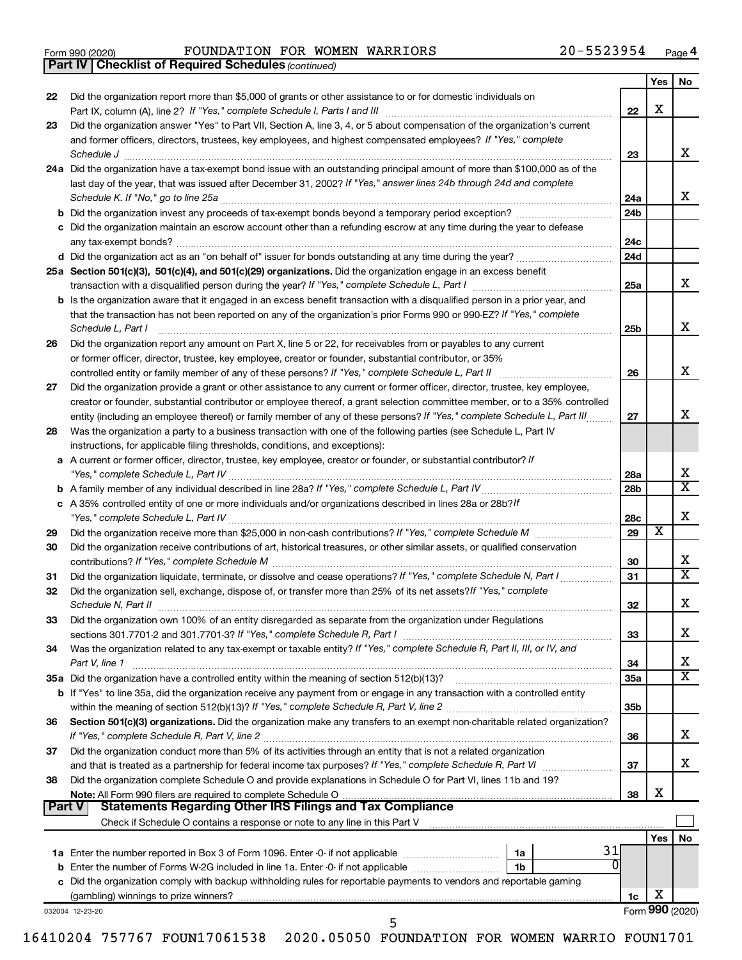|  | Form 990 (2020) |
|--|-----------------|
|  |                 |

Form 990 (2020) **POUNDATION FOR WOMEN WARRIORS**  $20-5523954$   $_{\text{Page}}$ 

*(continued)* **Part IV Checklist of Required Schedules**

|          |                                                                                                                                    |                 | Yes | No              |
|----------|------------------------------------------------------------------------------------------------------------------------------------|-----------------|-----|-----------------|
| 22       | Did the organization report more than \$5,000 of grants or other assistance to or for domestic individuals on                      |                 |     |                 |
|          |                                                                                                                                    | 22              | X   |                 |
| 23       | Did the organization answer "Yes" to Part VII, Section A, line 3, 4, or 5 about compensation of the organization's current         |                 |     |                 |
|          | and former officers, directors, trustees, key employees, and highest compensated employees? If "Yes," complete                     |                 |     |                 |
|          | Schedule J                                                                                                                         | 23              |     | x               |
|          | 24a Did the organization have a tax-exempt bond issue with an outstanding principal amount of more than \$100,000 as of the        |                 |     |                 |
|          | last day of the year, that was issued after December 31, 2002? If "Yes," answer lines 24b through 24d and complete                 |                 |     |                 |
|          |                                                                                                                                    | 24a             |     | х               |
|          |                                                                                                                                    | 24 <sub>b</sub> |     |                 |
|          | c Did the organization maintain an escrow account other than a refunding escrow at any time during the year to defease             |                 |     |                 |
|          |                                                                                                                                    | 24c             |     |                 |
|          |                                                                                                                                    | 24d             |     |                 |
|          | 25a Section 501(c)(3), 501(c)(4), and 501(c)(29) organizations. Did the organization engage in an excess benefit                   |                 |     |                 |
|          |                                                                                                                                    | 25a             |     | x               |
|          | b Is the organization aware that it engaged in an excess benefit transaction with a disqualified person in a prior year, and       |                 |     |                 |
|          | that the transaction has not been reported on any of the organization's prior Forms 990 or 990-EZ? If "Yes," complete              |                 |     |                 |
|          | Schedule L, Part I                                                                                                                 | 25b             |     | х               |
| 26       | Did the organization report any amount on Part X, line 5 or 22, for receivables from or payables to any current                    |                 |     |                 |
|          | or former officer, director, trustee, key employee, creator or founder, substantial contributor, or 35%                            |                 |     |                 |
|          |                                                                                                                                    | 26              |     | х               |
| 27       | Did the organization provide a grant or other assistance to any current or former officer, director, trustee, key employee,        |                 |     |                 |
|          | creator or founder, substantial contributor or employee thereof, a grant selection committee member, or to a 35% controlled        |                 |     |                 |
|          | entity (including an employee thereof) or family member of any of these persons? If "Yes," complete Schedule L, Part III           | 27              |     | x               |
| 28       | Was the organization a party to a business transaction with one of the following parties (see Schedule L, Part IV                  |                 |     |                 |
|          | instructions, for applicable filing thresholds, conditions, and exceptions):                                                       |                 |     |                 |
|          | a A current or former officer, director, trustee, key employee, creator or founder, or substantial contributor? If                 |                 |     |                 |
|          |                                                                                                                                    | 28a             |     | х<br>X          |
|          |                                                                                                                                    | 28 <sub>b</sub> |     |                 |
|          | c A 35% controlled entity of one or more individuals and/or organizations described in lines 28a or 28b?If                         |                 |     | х               |
|          |                                                                                                                                    | 28c<br>29       | х   |                 |
| 29<br>30 | Did the organization receive contributions of art, historical treasures, or other similar assets, or qualified conservation        |                 |     |                 |
|          |                                                                                                                                    | 30              |     | х               |
| 31       | Did the organization liquidate, terminate, or dissolve and cease operations? If "Yes," complete Schedule N, Part I                 | 31              |     | x               |
| 32       | Did the organization sell, exchange, dispose of, or transfer more than 25% of its net assets? If "Yes," complete                   |                 |     |                 |
|          |                                                                                                                                    | 32              |     | х               |
| 33       | Did the organization own 100% of an entity disregarded as separate from the organization under Regulations                         |                 |     |                 |
|          |                                                                                                                                    | 33              |     | х               |
| 34       | Was the organization related to any tax-exempt or taxable entity? If "Yes," complete Schedule R, Part II, III, or IV, and          |                 |     |                 |
|          | Part V, line 1                                                                                                                     | 34              |     | х               |
|          |                                                                                                                                    | 35a             |     | x               |
|          | <b>b</b> If "Yes" to line 35a, did the organization receive any payment from or engage in any transaction with a controlled entity |                 |     |                 |
|          |                                                                                                                                    | 35 <sub>b</sub> |     |                 |
| 36       | Section 501(c)(3) organizations. Did the organization make any transfers to an exempt non-charitable related organization?         |                 |     |                 |
|          |                                                                                                                                    | 36              |     | х               |
| 37       | Did the organization conduct more than 5% of its activities through an entity that is not a related organization                   |                 |     |                 |
|          |                                                                                                                                    | 37              |     | х               |
| 38       | Did the organization complete Schedule O and provide explanations in Schedule O for Part VI, lines 11b and 19?                     |                 |     |                 |
|          |                                                                                                                                    | 38              | х   |                 |
| ∣ Part V | <b>Statements Regarding Other IRS Filings and Tax Compliance</b>                                                                   |                 |     |                 |
|          |                                                                                                                                    |                 |     |                 |
|          |                                                                                                                                    |                 | Yes | No              |
|          | 31<br>1a Enter the number reported in Box 3 of Form 1096. Enter -0- if not applicable <i>manumerane</i> manu-<br>1a                |                 |     |                 |
|          | 1b                                                                                                                                 |                 |     |                 |
|          | c Did the organization comply with backup withholding rules for reportable payments to vendors and reportable gaming               |                 |     |                 |
|          |                                                                                                                                    | 1c              | X   |                 |
|          | 032004 12-23-20<br>5                                                                                                               |                 |     | Form 990 (2020) |
|          |                                                                                                                                    |                 |     |                 |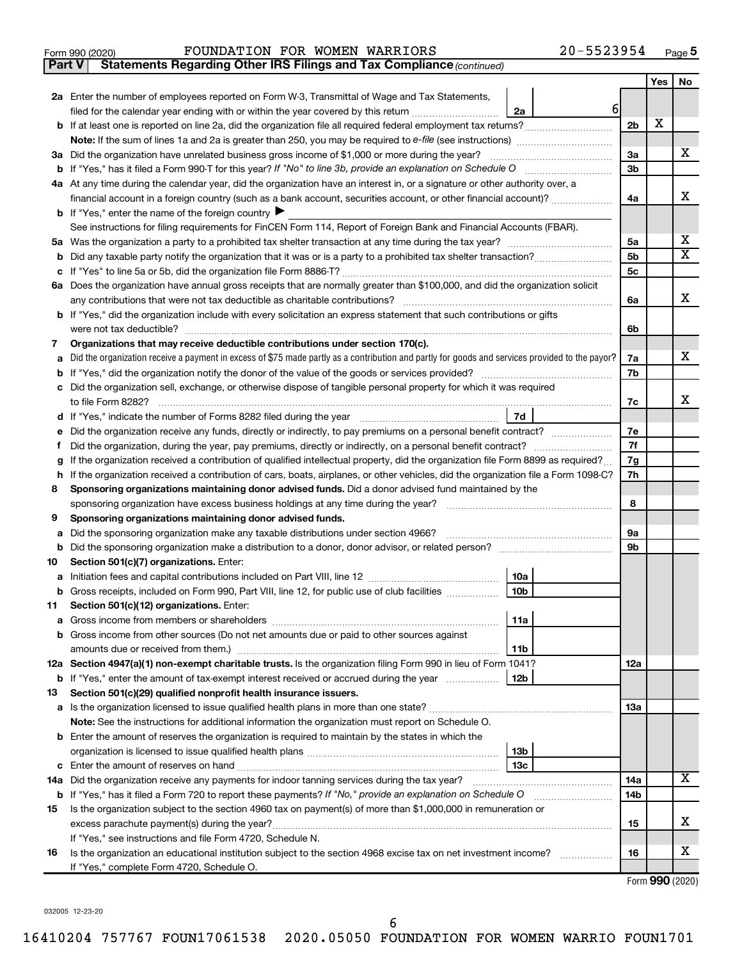|  | Form 990 (2020) |
|--|-----------------|
|  |                 |

**Part V** Statements Regarding Other IRS Filings and Tax Compliance (continued)

|         |                                                                                                                                                               |                | Yes | No                      |  |  |
|---------|---------------------------------------------------------------------------------------------------------------------------------------------------------------|----------------|-----|-------------------------|--|--|
|         | 2a Enter the number of employees reported on Form W-3, Transmittal of Wage and Tax Statements,                                                                |                |     |                         |  |  |
|         | $6 \mid$<br>filed for the calendar year ending with or within the year covered by this return<br>2a                                                           |                |     |                         |  |  |
|         |                                                                                                                                                               | 2 <sub>b</sub> | х   |                         |  |  |
|         |                                                                                                                                                               |                |     |                         |  |  |
|         | 3a Did the organization have unrelated business gross income of \$1,000 or more during the year?                                                              |                |     |                         |  |  |
|         | <b>b</b> If "Yes," has it filed a Form 990-T for this year? If "No" to line 3b, provide an explanation on Schedule O                                          | Зb             |     |                         |  |  |
|         | 4a At any time during the calendar year, did the organization have an interest in, or a signature or other authority over, a                                  |                |     |                         |  |  |
|         | financial account in a foreign country (such as a bank account, securities account, or other financial account)?                                              | 4a             |     | x                       |  |  |
|         | <b>b</b> If "Yes," enter the name of the foreign country $\blacktriangleright$                                                                                |                |     |                         |  |  |
|         | See instructions for filing requirements for FinCEN Form 114, Report of Foreign Bank and Financial Accounts (FBAR).                                           |                |     |                         |  |  |
|         |                                                                                                                                                               | 5а             |     | x                       |  |  |
| b       |                                                                                                                                                               | 5b             |     | $\overline{\textbf{X}}$ |  |  |
| с       |                                                                                                                                                               | 5c             |     |                         |  |  |
|         | 6a Does the organization have annual gross receipts that are normally greater than \$100,000, and did the organization solicit                                |                |     |                         |  |  |
|         |                                                                                                                                                               | 6a             |     | x                       |  |  |
|         | <b>b</b> If "Yes," did the organization include with every solicitation an express statement that such contributions or gifts                                 |                |     |                         |  |  |
|         |                                                                                                                                                               | 6b             |     |                         |  |  |
| 7       | Organizations that may receive deductible contributions under section 170(c).                                                                                 |                |     |                         |  |  |
| a       | Did the organization receive a payment in excess of \$75 made partly as a contribution and partly for goods and services provided to the payor?               | 7a             |     | х                       |  |  |
| b       |                                                                                                                                                               | 7b             |     |                         |  |  |
| с       | Did the organization sell, exchange, or otherwise dispose of tangible personal property for which it was required                                             |                |     | x                       |  |  |
|         | 7d                                                                                                                                                            | 7c             |     |                         |  |  |
| d       | Did the organization receive any funds, directly or indirectly, to pay premiums on a personal benefit contract?                                               | 7е             |     |                         |  |  |
| е       |                                                                                                                                                               | 7f             |     |                         |  |  |
| f.<br>g | If the organization received a contribution of qualified intellectual property, did the organization file Form 8899 as required?                              | 7g             |     |                         |  |  |
| h       | If the organization received a contribution of cars, boats, airplanes, or other vehicles, did the organization file a Form 1098-C?                            | 7h             |     |                         |  |  |
| 8       | Sponsoring organizations maintaining donor advised funds. Did a donor advised fund maintained by the                                                          |                |     |                         |  |  |
|         | sponsoring organization have excess business holdings at any time during the year?                                                                            |                |     |                         |  |  |
| 9       | Sponsoring organizations maintaining donor advised funds.                                                                                                     | 8              |     |                         |  |  |
| а       | Did the sponsoring organization make any taxable distributions under section 4966?                                                                            | 9а             |     |                         |  |  |
| b       |                                                                                                                                                               | 9b             |     |                         |  |  |
| 10      | Section 501(c)(7) organizations. Enter:                                                                                                                       |                |     |                         |  |  |
| а       | 10a                                                                                                                                                           |                |     |                         |  |  |
|         | 10 <sub>b</sub><br>b Gross receipts, included on Form 990, Part VIII, line 12, for public use of club facilities                                              |                |     |                         |  |  |
| 11      | Section 501(c)(12) organizations. Enter:                                                                                                                      |                |     |                         |  |  |
|         | 11a                                                                                                                                                           |                |     |                         |  |  |
|         | <b>b</b> Gross income from other sources (Do not net amounts due or paid to other sources against                                                             |                |     |                         |  |  |
|         | 11b                                                                                                                                                           |                |     |                         |  |  |
|         | 12a Section 4947(a)(1) non-exempt charitable trusts. Is the organization filing Form 990 in lieu of Form 1041?                                                | 12a            |     |                         |  |  |
|         | 12 <sub>b</sub><br>b If "Yes," enter the amount of tax-exempt interest received or accrued during the year                                                    |                |     |                         |  |  |
| 13      | Section 501(c)(29) qualified nonprofit health insurance issuers.                                                                                              |                |     |                         |  |  |
|         |                                                                                                                                                               | 13a            |     |                         |  |  |
|         | Note: See the instructions for additional information the organization must report on Schedule O.                                                             |                |     |                         |  |  |
|         | <b>b</b> Enter the amount of reserves the organization is required to maintain by the states in which the                                                     |                |     |                         |  |  |
|         | 13 <sub>b</sub>                                                                                                                                               |                |     |                         |  |  |
|         | 13c<br>14a Did the organization receive any payments for indoor tanning services during the tax year?                                                         |                |     | x                       |  |  |
|         |                                                                                                                                                               | 14a<br>14b     |     |                         |  |  |
|         | <b>b</b> If "Yes," has it filed a Form 720 to report these payments? If "No," provide an explanation on Schedule O                                            |                |     |                         |  |  |
| 15      | Is the organization subject to the section 4960 tax on payment(s) of more than \$1,000,000 in remuneration or<br>excess parachute payment(s) during the year? | 15             |     | X                       |  |  |
|         | If "Yes," see instructions and file Form 4720, Schedule N.                                                                                                    |                |     |                         |  |  |
| 16      | Is the organization an educational institution subject to the section 4968 excise tax on net investment income?                                               | 16             |     | X                       |  |  |
|         | If "Yes," complete Form 4720, Schedule O.                                                                                                                     |                |     |                         |  |  |
|         |                                                                                                                                                               |                |     |                         |  |  |

Form (2020) **990**

032005 12-23-20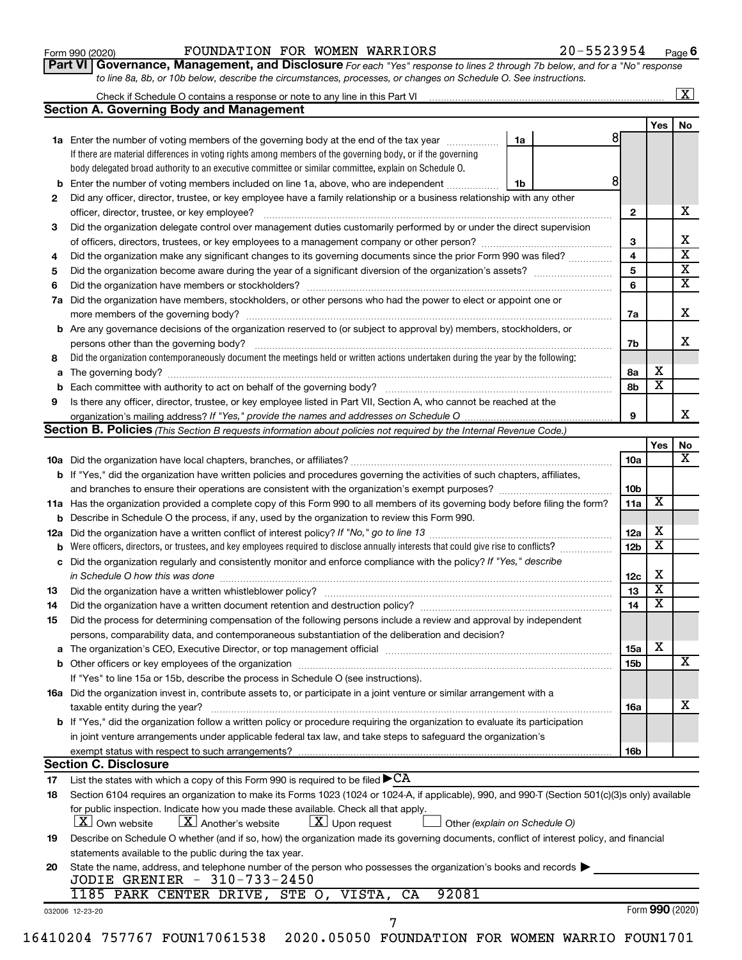| Form 990 (2020) |  |
|-----------------|--|
|-----------------|--|

### Form 990 (2020) **POUNDATION FOR WOMEN WARRIORS**  $20-5523954$   $_{\text{Page}}$

**Part VI** Governance, Management, and Disclosure For each "Yes" response to lines 2 through 7b below, and for a "No" response *to line 8a, 8b, or 10b below, describe the circumstances, processes, or changes on Schedule O. See instructions.*

|    | Check if Schedule O contains a response or note to any line in this Part VI [11] [11] [11] [11] Check if Schedule O contains a response or note to any line in this Part VI |    |   |                 |                         | $\overline{\text{X}}$   |
|----|-----------------------------------------------------------------------------------------------------------------------------------------------------------------------------|----|---|-----------------|-------------------------|-------------------------|
|    | <b>Section A. Governing Body and Management</b>                                                                                                                             |    |   |                 |                         |                         |
|    |                                                                                                                                                                             |    |   |                 | Yes                     | No                      |
|    | 1a Enter the number of voting members of the governing body at the end of the tax year                                                                                      | 1a | 8 |                 |                         |                         |
|    | If there are material differences in voting rights among members of the governing body, or if the governing                                                                 |    |   |                 |                         |                         |
|    | body delegated broad authority to an executive committee or similar committee, explain on Schedule O.                                                                       |    |   |                 |                         |                         |
| b  | Enter the number of voting members included on line 1a, above, who are independent                                                                                          | 1b | 8 |                 |                         |                         |
| 2  | Did any officer, director, trustee, or key employee have a family relationship or a business relationship with any other                                                    |    |   |                 |                         |                         |
|    | officer, director, trustee, or key employee?                                                                                                                                |    |   | $\mathbf{2}$    |                         | x                       |
| 3  | Did the organization delegate control over management duties customarily performed by or under the direct supervision                                                       |    |   |                 |                         |                         |
|    |                                                                                                                                                                             |    |   | 3               |                         | x                       |
| 4  | Did the organization make any significant changes to its governing documents since the prior Form 990 was filed?                                                            |    |   | $\overline{4}$  |                         | $\overline{\mathbf{x}}$ |
| 5  |                                                                                                                                                                             |    |   | 5               |                         | $\overline{\textbf{x}}$ |
| 6  | Did the organization have members or stockholders?                                                                                                                          |    |   | 6               |                         | $\overline{\mathtt{x}}$ |
| 7а | Did the organization have members, stockholders, or other persons who had the power to elect or appoint one or                                                              |    |   |                 |                         |                         |
|    |                                                                                                                                                                             |    |   | 7a              |                         | x                       |
|    | <b>b</b> Are any governance decisions of the organization reserved to (or subject to approval by) members, stockholders, or                                                 |    |   |                 |                         |                         |
|    | persons other than the governing body?                                                                                                                                      |    |   | 7b              |                         | x                       |
| 8  | Did the organization contemporaneously document the meetings held or written actions undertaken during the year by the following:                                           |    |   |                 |                         |                         |
|    |                                                                                                                                                                             |    |   | 8а              | X                       |                         |
| b  |                                                                                                                                                                             |    |   | 8b              | $\overline{\text{x}}$   |                         |
| 9  | Is there any officer, director, trustee, or key employee listed in Part VII, Section A, who cannot be reached at the                                                        |    |   |                 |                         |                         |
|    |                                                                                                                                                                             |    |   | 9               |                         | X.                      |
|    | Section B. Policies (This Section B requests information about policies not required by the Internal Revenue Code.)                                                         |    |   |                 |                         |                         |
|    |                                                                                                                                                                             |    |   |                 | Yes                     | No                      |
|    |                                                                                                                                                                             |    |   | 10a             |                         | $\overline{\mathbf{X}}$ |
|    | b If "Yes," did the organization have written policies and procedures governing the activities of such chapters, affiliates,                                                |    |   |                 |                         |                         |
|    |                                                                                                                                                                             |    |   | 10 <sub>b</sub> |                         |                         |
|    | 11a Has the organization provided a complete copy of this Form 990 to all members of its governing body before filing the form?                                             |    |   | 11a             | $\overline{\mathbf{X}}$ |                         |
| b  | Describe in Schedule O the process, if any, used by the organization to review this Form 990.                                                                               |    |   |                 |                         |                         |
|    |                                                                                                                                                                             |    |   | 12a             | х                       |                         |
| b  | Were officers, directors, or trustees, and key employees required to disclose annually interests that could give rise to conflicts?                                         |    |   | 12 <sub>b</sub> | $\overline{\textbf{x}}$ |                         |
| c  | Did the organization regularly and consistently monitor and enforce compliance with the policy? If "Yes," describe                                                          |    |   |                 |                         |                         |
|    |                                                                                                                                                                             |    |   | 12c             | х                       |                         |
| 13 |                                                                                                                                                                             |    |   | 13              | $\overline{\text{X}}$   |                         |
| 14 | Did the organization have a written document retention and destruction policy? [11] manufaction manufaction in                                                              |    |   | 14              | $\overline{\text{x}}$   |                         |
| 15 | Did the process for determining compensation of the following persons include a review and approval by independent                                                          |    |   |                 |                         |                         |
|    | persons, comparability data, and contemporaneous substantiation of the deliberation and decision?                                                                           |    |   |                 |                         |                         |
|    |                                                                                                                                                                             |    |   | 15a             | х                       |                         |
|    |                                                                                                                                                                             |    |   | 15b             |                         | $\overline{\mathbf{X}}$ |
|    | If "Yes" to line 15a or 15b, describe the process in Schedule O (see instructions).                                                                                         |    |   |                 |                         |                         |
|    | 16a Did the organization invest in, contribute assets to, or participate in a joint venture or similar arrangement with a                                                   |    |   |                 |                         |                         |
|    | taxable entity during the year?                                                                                                                                             |    |   | 16a             |                         | х                       |
|    | b If "Yes," did the organization follow a written policy or procedure requiring the organization to evaluate its participation                                              |    |   |                 |                         |                         |
|    | in joint venture arrangements under applicable federal tax law, and take steps to safeguard the organization's                                                              |    |   |                 |                         |                         |
|    | exempt status with respect to such arrangements?                                                                                                                            |    |   | 16b             |                         |                         |
|    | <b>Section C. Disclosure</b>                                                                                                                                                |    |   |                 |                         |                         |
| 17 | List the states with which a copy of this Form 990 is required to be filed $\blacktriangleright$ CA                                                                         |    |   |                 |                         |                         |
| 18 | Section 6104 requires an organization to make its Forms 1023 (1024 or 1024-A, if applicable), 990, and 990-T (Section 501(c)(3)s only) available                            |    |   |                 |                         |                         |
|    | for public inspection. Indicate how you made these available. Check all that apply.                                                                                         |    |   |                 |                         |                         |
|    | $\lfloor x \rfloor$ Another's website<br>$X$ Upon request<br>$\lfloor X \rfloor$ Own website<br>Other (explain on Schedule O)                                               |    |   |                 |                         |                         |
| 19 | Describe on Schedule O whether (and if so, how) the organization made its governing documents, conflict of interest policy, and financial                                   |    |   |                 |                         |                         |
|    | statements available to the public during the tax year.                                                                                                                     |    |   |                 |                         |                         |
| 20 | State the name, address, and telephone number of the person who possesses the organization's books and records                                                              |    |   |                 |                         |                         |
|    | JODIE GRENIER - 310-733-2450                                                                                                                                                |    |   |                 |                         |                         |
|    | 92081<br>1185 PARK CENTER DRIVE, STE O, VISTA,<br>CA                                                                                                                        |    |   |                 |                         |                         |
|    | 032006 12-23-20                                                                                                                                                             |    |   |                 |                         | Form 990 (2020)         |
|    | 7                                                                                                                                                                           |    |   |                 |                         |                         |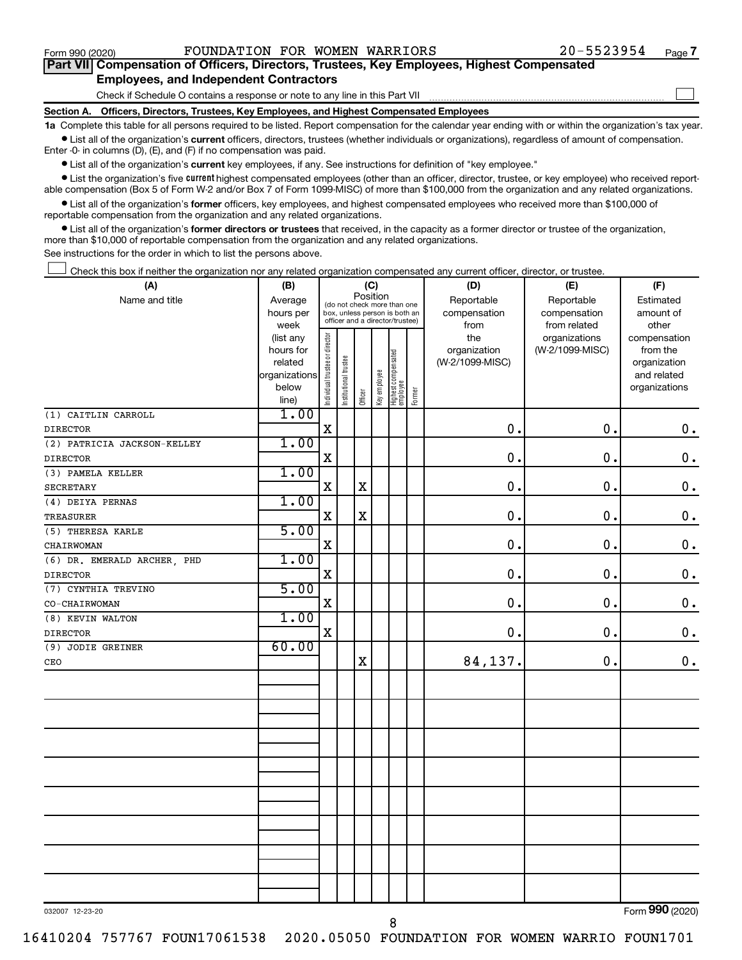$\Box$ 

| Part VII Compensation of Officers, Directors, Trustees, Key Employees, Highest Compensated |  |  |
|--------------------------------------------------------------------------------------------|--|--|
| <b>Employees, and Independent Contractors</b>                                              |  |  |

Check if Schedule O contains a response or note to any line in this Part VII

**Section A. Officers, Directors, Trustees, Key Employees, and Highest Compensated Employees**

**1a**  Complete this table for all persons required to be listed. Report compensation for the calendar year ending with or within the organization's tax year.  $\bullet$  List all of the organization's current officers, directors, trustees (whether individuals or organizations), regardless of amount of compensation.

Enter -0- in columns (D), (E), and (F) if no compensation was paid.

**•** List all of the organization's current key employees, if any. See instructions for definition of "key employee."

• List the organization's five *current* highest compensated employees (other than an officer, director, trustee, or key employee) who received reportable compensation (Box 5 of Form W-2 and/or Box 7 of Form 1099-MISC) of more than \$100,000 from the organization and any related organizations.

 $\bullet$  List all of the organization's former officers, key employees, and highest compensated employees who received more than \$100,000 of reportable compensation from the organization and any related organizations.

**•** List all of the organization's former directors or trustees that received, in the capacity as a former director or trustee of the organization, more than \$10,000 of reportable compensation from the organization and any related organizations.

See instructions for the order in which to list the persons above.

Check this box if neither the organization nor any related organization compensated any current officer, director, or trustee.  $\Box$ 

| (A)                         | (B)                      |                                |                                                                  | (C)         |              |                                 |        | (D)             | (E)             | (F)                         |
|-----------------------------|--------------------------|--------------------------------|------------------------------------------------------------------|-------------|--------------|---------------------------------|--------|-----------------|-----------------|-----------------------------|
| Name and title              | Average                  |                                | (do not check more than one                                      | Position    |              |                                 |        | Reportable      | Reportable      | Estimated                   |
|                             | hours per                |                                | box, unless person is both an<br>officer and a director/trustee) |             |              |                                 |        | compensation    | compensation    | amount of                   |
|                             | week                     |                                |                                                                  |             |              |                                 |        | from            | from related    | other                       |
|                             | (list any                |                                |                                                                  |             |              |                                 |        | the             | organizations   | compensation                |
|                             | hours for                |                                |                                                                  |             |              |                                 |        | organization    | (W-2/1099-MISC) | from the                    |
|                             | related<br>organizations |                                |                                                                  |             |              |                                 |        | (W-2/1099-MISC) |                 | organization<br>and related |
|                             | below                    |                                |                                                                  |             |              |                                 |        |                 |                 | organizations               |
|                             | line)                    | Individual trustee or director | Institutional trustee                                            | Officer     | Key employee | Highest compensated<br>employee | Former |                 |                 |                             |
| (1) CAITLIN CARROLL         | 1.00                     |                                |                                                                  |             |              |                                 |        |                 |                 |                             |
| <b>DIRECTOR</b>             |                          | $\mathbf X$                    |                                                                  |             |              |                                 |        | $\mathbf 0$ .   | 0.              | $\mathbf 0$ .               |
| (2) PATRICIA JACKSON-KELLEY | 1.00                     |                                |                                                                  |             |              |                                 |        |                 |                 |                             |
| <b>DIRECTOR</b>             |                          | $\mathbf X$                    |                                                                  |             |              |                                 |        | $\mathbf 0$ .   | 0.              | $\mathbf 0$ .               |
| (3) PAMELA KELLER           | 1.00                     |                                |                                                                  |             |              |                                 |        |                 |                 |                             |
| <b>SECRETARY</b>            |                          | $\mathbf X$                    |                                                                  | $\rm X$     |              |                                 |        | $\mathbf 0$ .   | 0.              | $\mathbf 0$ .               |
| (4) DEIYA PERNAS            | 1.00                     |                                |                                                                  |             |              |                                 |        |                 |                 |                             |
| <b>TREASURER</b>            |                          | $\mathbf X$                    |                                                                  | $\rm X$     |              |                                 |        | $\mathbf 0$ .   | 0.              | $\boldsymbol{0}$ .          |
| (5) THERESA KARLE           | 5.00                     |                                |                                                                  |             |              |                                 |        |                 |                 |                             |
| CHAIRWOMAN                  |                          | $\mathbf X$                    |                                                                  |             |              |                                 |        | $\mathbf 0$ .   | $\mathbf 0$ .   | $\mathbf 0$ .               |
| (6) DR. EMERALD ARCHER, PHD | 1.00                     |                                |                                                                  |             |              |                                 |        |                 |                 |                             |
| <b>DIRECTOR</b>             |                          | $\mathbf X$                    |                                                                  |             |              |                                 |        | $\mathbf 0$ .   | 0.              | $\mathbf 0$ .               |
| (7) CYNTHIA TREVINO         | 5.00                     |                                |                                                                  |             |              |                                 |        |                 |                 |                             |
| CO-CHAIRWOMAN               |                          | $\mathbf X$                    |                                                                  |             |              |                                 |        | $\mathbf 0$ .   | 0.              | $\mathbf 0$ .               |
| (8) KEVIN WALTON            | 1.00                     |                                |                                                                  |             |              |                                 |        |                 |                 |                             |
| <b>DIRECTOR</b>             |                          | $\mathbf X$                    |                                                                  |             |              |                                 |        | $\mathbf 0$ .   | 0.              | $\mathbf 0$ .               |
| (9) JODIE GREINER           | 60.00                    |                                |                                                                  |             |              |                                 |        |                 |                 |                             |
| CEO                         |                          |                                |                                                                  | $\mathbf X$ |              |                                 |        | 84,137.         | 0.              | $\mathbf 0$ .               |
|                             |                          |                                |                                                                  |             |              |                                 |        |                 |                 |                             |
|                             |                          |                                |                                                                  |             |              |                                 |        |                 |                 |                             |
|                             |                          |                                |                                                                  |             |              |                                 |        |                 |                 |                             |
|                             |                          |                                |                                                                  |             |              |                                 |        |                 |                 |                             |
|                             |                          |                                |                                                                  |             |              |                                 |        |                 |                 |                             |
|                             |                          |                                |                                                                  |             |              |                                 |        |                 |                 |                             |
|                             |                          |                                |                                                                  |             |              |                                 |        |                 |                 |                             |
|                             |                          |                                |                                                                  |             |              |                                 |        |                 |                 |                             |
|                             |                          |                                |                                                                  |             |              |                                 |        |                 |                 |                             |
|                             |                          |                                |                                                                  |             |              |                                 |        |                 |                 |                             |
|                             |                          |                                |                                                                  |             |              |                                 |        |                 |                 |                             |
|                             |                          |                                |                                                                  |             |              |                                 |        |                 |                 |                             |
|                             |                          |                                |                                                                  |             |              |                                 |        |                 |                 |                             |
|                             |                          |                                |                                                                  |             |              |                                 |        |                 |                 |                             |
|                             |                          |                                |                                                                  |             |              |                                 |        |                 |                 |                             |

032007 12-23-20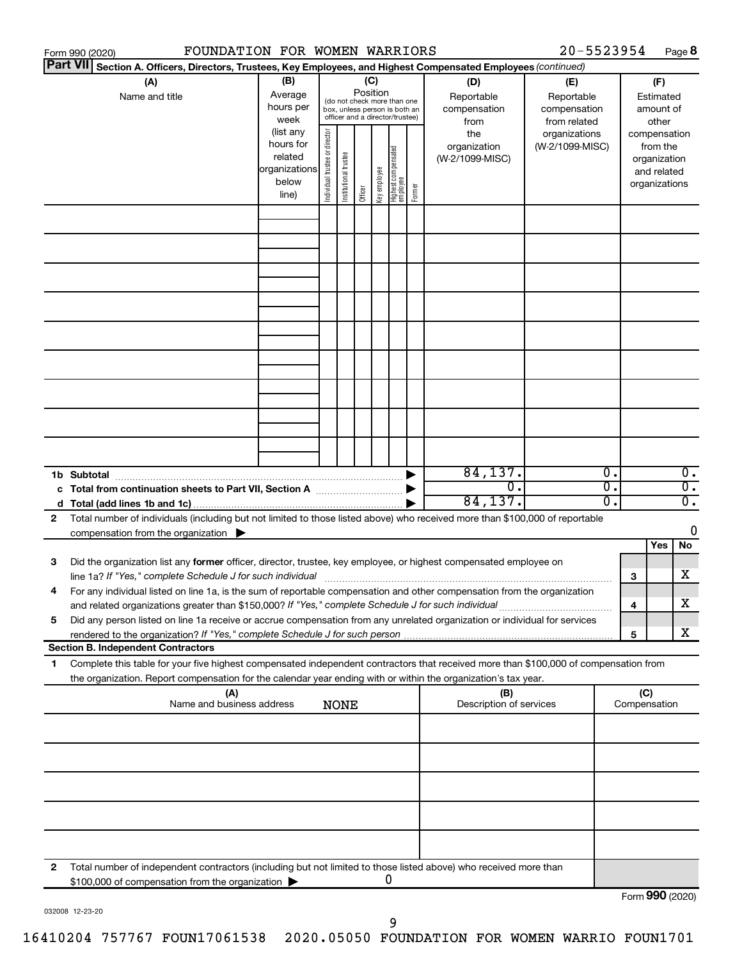|   | Form 990 (2020)                                                                                                                                                                                                                                                                                                                                               | FOUNDATION FOR WOMEN WARRIORS                                 |                                |                       |          |              |                                                                                                 |        |                                                                  | 20-5523954                                                                            |                  |                                              |                                                    | Page 8                 |
|---|---------------------------------------------------------------------------------------------------------------------------------------------------------------------------------------------------------------------------------------------------------------------------------------------------------------------------------------------------------------|---------------------------------------------------------------|--------------------------------|-----------------------|----------|--------------|-------------------------------------------------------------------------------------------------|--------|------------------------------------------------------------------|---------------------------------------------------------------------------------------|------------------|----------------------------------------------|----------------------------------------------------|------------------------|
|   | <b>Part VII</b><br>Section A. Officers, Directors, Trustees, Key Employees, and Highest Compensated Employees (continued)                                                                                                                                                                                                                                     |                                                               |                                |                       |          |              |                                                                                                 |        |                                                                  |                                                                                       |                  |                                              |                                                    |                        |
|   | (A)<br>Name and title                                                                                                                                                                                                                                                                                                                                         | (B)<br>Average<br>hours per<br>week<br>(list any<br>hours for |                                |                       | Position | (C)          | (do not check more than one<br>box, unless person is both an<br>officer and a director/trustee) |        | (D)<br>Reportable<br>compensation<br>from<br>the<br>organization | (E)<br>Reportable<br>compensation<br>from related<br>organizations<br>(W-2/1099-MISC) |                  | compensation                                 | (F)<br>Estimated<br>amount of<br>other<br>from the |                        |
|   |                                                                                                                                                                                                                                                                                                                                                               | related<br>organizations<br>below<br>line)                    | Individual trustee or director | Institutional trustee | Officer  | Key employee | Highest compensated<br>  employee                                                               | Former | (W-2/1099-MISC)                                                  |                                                                                       |                  | organization<br>and related<br>organizations |                                                    |                        |
|   |                                                                                                                                                                                                                                                                                                                                                               |                                                               |                                |                       |          |              |                                                                                                 |        |                                                                  |                                                                                       |                  |                                              |                                                    |                        |
|   |                                                                                                                                                                                                                                                                                                                                                               |                                                               |                                |                       |          |              |                                                                                                 |        |                                                                  |                                                                                       |                  |                                              |                                                    |                        |
|   |                                                                                                                                                                                                                                                                                                                                                               |                                                               |                                |                       |          |              |                                                                                                 |        |                                                                  |                                                                                       |                  |                                              |                                                    |                        |
|   |                                                                                                                                                                                                                                                                                                                                                               |                                                               |                                |                       |          |              |                                                                                                 |        |                                                                  |                                                                                       |                  |                                              |                                                    |                        |
|   |                                                                                                                                                                                                                                                                                                                                                               |                                                               |                                |                       |          |              |                                                                                                 |        |                                                                  |                                                                                       |                  |                                              |                                                    |                        |
|   |                                                                                                                                                                                                                                                                                                                                                               |                                                               |                                |                       |          |              |                                                                                                 |        | 84, 137.                                                         |                                                                                       | $\overline{0}$ . |                                              |                                                    | $\overline{0}$ .       |
|   | 1b Subtotal<br>c Total from continuation sheets to Part VII, Section A [111] [12] [13] Continuum [13] D                                                                                                                                                                                                                                                       |                                                               |                                |                       |          |              |                                                                                                 |        | σ.<br>84, 137.                                                   |                                                                                       | σ.<br>σ.         |                                              |                                                    | $\overline{0}$ .<br>σ. |
| 2 | Total number of individuals (including but not limited to those listed above) who received more than \$100,000 of reportable<br>compensation from the organization $\blacktriangleright$                                                                                                                                                                      |                                                               |                                |                       |          |              |                                                                                                 |        |                                                                  |                                                                                       |                  |                                              | Yes                                                | 0<br>No                |
| 3 | Did the organization list any former officer, director, trustee, key employee, or highest compensated employee on<br>line 1a? If "Yes," complete Schedule J for such individual [11] manufacture manufacture 1a? If "Yes," complete Schedule J for such individual                                                                                            |                                                               |                                |                       |          |              |                                                                                                 |        |                                                                  |                                                                                       |                  | 3                                            |                                                    | x                      |
| 5 | For any individual listed on line 1a, is the sum of reportable compensation and other compensation from the organization<br>and related organizations greater than \$150,000? If "Yes," complete Schedule J for such individual<br>Did any person listed on line 1a receive or accrue compensation from any unrelated organization or individual for services |                                                               |                                |                       |          |              |                                                                                                 |        |                                                                  |                                                                                       |                  | 4                                            |                                                    | х                      |
|   | rendered to the organization? If "Yes," complete Schedule J for such person.<br><b>Section B. Independent Contractors</b>                                                                                                                                                                                                                                     |                                                               |                                |                       |          |              |                                                                                                 |        |                                                                  |                                                                                       |                  | 5                                            |                                                    | x                      |
| 1 | Complete this table for your five highest compensated independent contractors that received more than \$100,000 of compensation from<br>the organization. Report compensation for the calendar year ending with or within the organization's tax year.                                                                                                        |                                                               |                                |                       |          |              |                                                                                                 |        |                                                                  |                                                                                       |                  |                                              |                                                    |                        |
|   |                                                                                                                                                                                                                                                                                                                                                               | (A)<br>Name and business address                              |                                | <b>NONE</b>           |          |              |                                                                                                 |        | (B)<br>Description of services                                   |                                                                                       |                  | (C)<br>Compensation                          |                                                    |                        |
|   |                                                                                                                                                                                                                                                                                                                                                               |                                                               |                                |                       |          |              |                                                                                                 |        |                                                                  |                                                                                       |                  |                                              |                                                    |                        |
|   |                                                                                                                                                                                                                                                                                                                                                               |                                                               |                                |                       |          |              |                                                                                                 |        |                                                                  |                                                                                       |                  |                                              |                                                    |                        |
|   |                                                                                                                                                                                                                                                                                                                                                               |                                                               |                                |                       |          |              |                                                                                                 |        |                                                                  |                                                                                       |                  |                                              |                                                    |                        |
| 2 | Total number of independent contractors (including but not limited to those listed above) who received more than<br>\$100,000 of compensation from the organization                                                                                                                                                                                           |                                                               |                                |                       |          |              | 0                                                                                               |        |                                                                  |                                                                                       |                  |                                              |                                                    |                        |
|   |                                                                                                                                                                                                                                                                                                                                                               |                                                               |                                |                       |          |              |                                                                                                 |        |                                                                  |                                                                                       |                  | $F_{\alpha r}$ QQO (2020)                    |                                                    |                        |

032008 12-23-20

Form (2020) **990**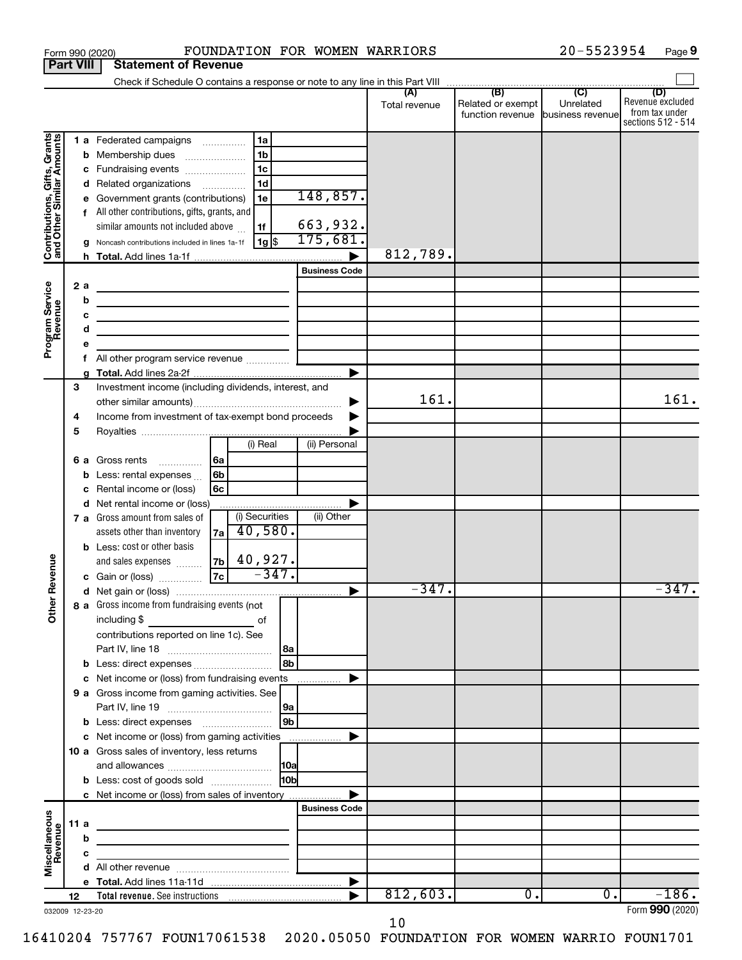|                                                                                         | <b>Part VIII</b>                      | <b>Statement of Revenue</b>                                                                                                                                                                                                                                                                                                                                                                                                                                                                                                                                                                                                                                             |                                                                             |                                                          |               |                                                        |           |                                                                 |
|-----------------------------------------------------------------------------------------|---------------------------------------|-------------------------------------------------------------------------------------------------------------------------------------------------------------------------------------------------------------------------------------------------------------------------------------------------------------------------------------------------------------------------------------------------------------------------------------------------------------------------------------------------------------------------------------------------------------------------------------------------------------------------------------------------------------------------|-----------------------------------------------------------------------------|----------------------------------------------------------|---------------|--------------------------------------------------------|-----------|-----------------------------------------------------------------|
|                                                                                         |                                       |                                                                                                                                                                                                                                                                                                                                                                                                                                                                                                                                                                                                                                                                         |                                                                             |                                                          |               |                                                        |           |                                                                 |
|                                                                                         |                                       |                                                                                                                                                                                                                                                                                                                                                                                                                                                                                                                                                                                                                                                                         |                                                                             |                                                          | Total revenue | Related or exempt<br>function revenue business revenue | Unrelated | (D)<br>Revenue excluded<br>from tax under<br>sections 512 - 514 |
| Contributions, Gifts, Grants<br>and Other Similar Amounts<br>Program Service<br>Revenue | b<br>с<br>d<br>2a<br>b<br>c<br>d<br>е | 1 a Federated campaigns<br>Membership dues<br>$\ldots \ldots \ldots \ldots \ldots$<br>Fundraising events<br>Related organizations<br>Government grants (contributions)<br>f All other contributions, gifts, grants, and<br>similar amounts not included above<br>Noncash contributions included in lines 1a-1f<br><u> 1989 - Johann Barbara, martin amerikan basar dan basar dan basar dalam basar dalam basar dalam basar dalam ba</u><br>the control of the control of the control of the control of the control of<br>the contract of the contract of the contract of the contract of the contract of<br>the control of the control of the control of the control of | 1a<br>1 <sub>b</sub><br>1 <sub>c</sub><br>1 <sub>d</sub><br>1e<br>1f<br> 1g | 148,857.<br>663,932.<br>175,681.<br><b>Business Code</b> | 812,789.      |                                                        |           |                                                                 |
|                                                                                         | f                                     | All other program service revenue                                                                                                                                                                                                                                                                                                                                                                                                                                                                                                                                                                                                                                       |                                                                             |                                                          |               |                                                        |           |                                                                 |
|                                                                                         | 3<br>4<br>5                           | Investment income (including dividends, interest, and<br>Income from investment of tax-exempt bond proceeds                                                                                                                                                                                                                                                                                                                                                                                                                                                                                                                                                             |                                                                             | ►                                                        | 161.          |                                                        |           | 161.                                                            |
|                                                                                         | b                                     | 6 a Gross rents<br> 6a<br>.<br>6 <sub>b</sub><br>Less: rental expenses<br>Rental income or (loss)<br>6c                                                                                                                                                                                                                                                                                                                                                                                                                                                                                                                                                                 | (i) Real                                                                    | (ii) Personal                                            |               |                                                        |           |                                                                 |
| Revenue                                                                                 | d                                     | Net rental income or (loss)<br>7 a Gross amount from sales of<br>assets other than inventory<br>7a<br><b>b</b> Less: cost or other basis<br>and sales expenses<br> 7c <br>c Gain or (loss)                                                                                                                                                                                                                                                                                                                                                                                                                                                                              | (i) Securities<br>40,580.<br>$ z_{\text{b}} $ 40,927.<br>$-347.$            | (ii) Other                                               |               |                                                        |           |                                                                 |
|                                                                                         |                                       |                                                                                                                                                                                                                                                                                                                                                                                                                                                                                                                                                                                                                                                                         |                                                                             |                                                          | $-347.$       |                                                        |           | $-347.$                                                         |
| ৯<br>Ĕ                                                                                  |                                       | 8 a Gross income from fundraising events (not<br>including \$<br>contributions reported on line 1c). See                                                                                                                                                                                                                                                                                                                                                                                                                                                                                                                                                                | оf                                                                          | l 8a                                                     |               |                                                        |           |                                                                 |
|                                                                                         |                                       |                                                                                                                                                                                                                                                                                                                                                                                                                                                                                                                                                                                                                                                                         |                                                                             | 8b                                                       |               |                                                        |           |                                                                 |
|                                                                                         |                                       | c Net income or (loss) from fundraising events                                                                                                                                                                                                                                                                                                                                                                                                                                                                                                                                                                                                                          |                                                                             | .                                                        |               |                                                        |           |                                                                 |
|                                                                                         |                                       | 9 a Gross income from gaming activities. See                                                                                                                                                                                                                                                                                                                                                                                                                                                                                                                                                                                                                            |                                                                             | 9a                                                       |               |                                                        |           |                                                                 |
|                                                                                         |                                       |                                                                                                                                                                                                                                                                                                                                                                                                                                                                                                                                                                                                                                                                         |                                                                             | 9 <sub>b</sub>                                           |               |                                                        |           |                                                                 |
|                                                                                         |                                       | 10 a Gross sales of inventory, less returns                                                                                                                                                                                                                                                                                                                                                                                                                                                                                                                                                                                                                             |                                                                             |                                                          |               |                                                        |           |                                                                 |
|                                                                                         |                                       | <b>b</b> Less: cost of goods sold                                                                                                                                                                                                                                                                                                                                                                                                                                                                                                                                                                                                                                       |                                                                             | 10bl                                                     |               |                                                        |           |                                                                 |
|                                                                                         |                                       | c Net income or (loss) from sales of inventory                                                                                                                                                                                                                                                                                                                                                                                                                                                                                                                                                                                                                          |                                                                             |                                                          |               |                                                        |           |                                                                 |
| Miscellaneous<br>Revenue                                                                | 11 a                                  | the control of the control of the control of the control of the control of                                                                                                                                                                                                                                                                                                                                                                                                                                                                                                                                                                                              |                                                                             | <b>Business Code</b>                                     |               |                                                        |           |                                                                 |
|                                                                                         | b                                     |                                                                                                                                                                                                                                                                                                                                                                                                                                                                                                                                                                                                                                                                         |                                                                             |                                                          |               |                                                        |           |                                                                 |
|                                                                                         | с                                     |                                                                                                                                                                                                                                                                                                                                                                                                                                                                                                                                                                                                                                                                         |                                                                             |                                                          |               |                                                        |           |                                                                 |
|                                                                                         | d                                     |                                                                                                                                                                                                                                                                                                                                                                                                                                                                                                                                                                                                                                                                         |                                                                             |                                                          |               |                                                        |           |                                                                 |
|                                                                                         |                                       |                                                                                                                                                                                                                                                                                                                                                                                                                                                                                                                                                                                                                                                                         |                                                                             |                                                          |               |                                                        | 0.        | $-186.$                                                         |
|                                                                                         | 12                                    |                                                                                                                                                                                                                                                                                                                                                                                                                                                                                                                                                                                                                                                                         |                                                                             |                                                          | 812,603.      | $\overline{0}$ .                                       |           | $Form$ QQ $\cap$ (2020)                                         |

Form 990 (2020) **POUNDATION FOR WOMEN WARRIORS** 20-5523954 Page

032009 12-23-20

Form (2020) **990**

20-5523954 Page 9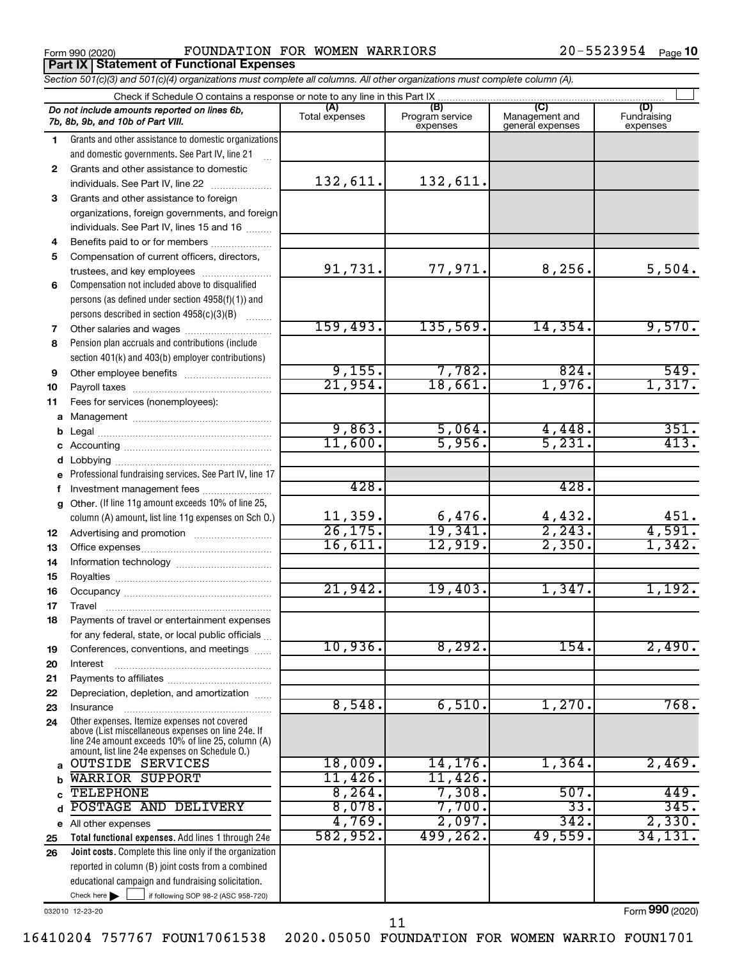**Part IX Statement of Functional Expenses**

Form 990 (2020) **POUNDATION FOR WOMEN WARRIORS**  $20-5523954$   $_{\text{Page}}$ 

*Section 501(c)(3) and 501(c)(4) organizations must complete all columns. All other organizations must complete column (A).*

|    | Check if Schedule O contains a response or note to any line in this Part IX                                                                                                                                |                       |                                    |                                           |                                |
|----|------------------------------------------------------------------------------------------------------------------------------------------------------------------------------------------------------------|-----------------------|------------------------------------|-------------------------------------------|--------------------------------|
|    | Do not include amounts reported on lines 6b,<br>7b, 8b, 9b, and 10b of Part VIII.                                                                                                                          | (A)<br>Total expenses | (B)<br>Program service<br>expenses | (C)<br>Management and<br>general expenses | (D)<br>Fundraising<br>expenses |
| 1. | Grants and other assistance to domestic organizations                                                                                                                                                      |                       |                                    |                                           |                                |
|    | and domestic governments. See Part IV, line 21                                                                                                                                                             |                       |                                    |                                           |                                |
| 2  | Grants and other assistance to domestic                                                                                                                                                                    |                       |                                    |                                           |                                |
|    | individuals. See Part IV, line 22                                                                                                                                                                          | 132,611.              | 132,611.                           |                                           |                                |
| 3  | Grants and other assistance to foreign                                                                                                                                                                     |                       |                                    |                                           |                                |
|    | organizations, foreign governments, and foreign                                                                                                                                                            |                       |                                    |                                           |                                |
|    | individuals. See Part IV, lines 15 and 16                                                                                                                                                                  |                       |                                    |                                           |                                |
| 4  | Benefits paid to or for members                                                                                                                                                                            |                       |                                    |                                           |                                |
| 5  | Compensation of current officers, directors,                                                                                                                                                               |                       |                                    |                                           |                                |
|    | trustees, and key employees                                                                                                                                                                                | 91,731.               | 77,971.                            | 8, 256.                                   | 5,504.                         |
| 6  | Compensation not included above to disqualified                                                                                                                                                            |                       |                                    |                                           |                                |
|    | persons (as defined under section 4958(f)(1)) and                                                                                                                                                          |                       |                                    |                                           |                                |
|    | persons described in section 4958(c)(3)(B)                                                                                                                                                                 |                       |                                    |                                           |                                |
| 7  | Other salaries and wages                                                                                                                                                                                   | 159,493.              | 135,569.                           | 14,354.                                   | 9,570.                         |
| 8  | Pension plan accruals and contributions (include                                                                                                                                                           |                       |                                    |                                           |                                |
|    | section 401(k) and 403(b) employer contributions)                                                                                                                                                          |                       |                                    |                                           |                                |
| 9  |                                                                                                                                                                                                            | 9,155.                | 7,782.                             | 824.                                      | 549.                           |
| 10 |                                                                                                                                                                                                            | 21,954.               | 18,661.                            | 1,976.                                    | 1,317.                         |
| 11 | Fees for services (nonemployees):                                                                                                                                                                          |                       |                                    |                                           |                                |
|    |                                                                                                                                                                                                            |                       |                                    |                                           |                                |
| b  |                                                                                                                                                                                                            | 9,863.                | 5,064.                             | 4,448.                                    | 351.                           |
|    |                                                                                                                                                                                                            | 11,600.               | 5,956.                             | 5,231.                                    | 413.                           |
| d  |                                                                                                                                                                                                            |                       |                                    |                                           |                                |
|    | e Professional fundraising services. See Part IV, line 17                                                                                                                                                  |                       |                                    |                                           |                                |
| f  | Investment management fees                                                                                                                                                                                 | 428.                  |                                    | 428.                                      |                                |
|    | g Other. (If line 11g amount exceeds 10% of line 25,                                                                                                                                                       |                       |                                    |                                           |                                |
|    | column (A) amount, list line 11g expenses on Sch O.)                                                                                                                                                       | 11,359.               |                                    |                                           |                                |
| 12 |                                                                                                                                                                                                            | 26, 175.              | $\frac{6,476}{19,341}$             | $\frac{4,432}{2,243}$                     | $\frac{451}{4,591}$            |
| 13 |                                                                                                                                                                                                            | 16,611.               | 12,919.                            | 2,350.                                    | 1,342.                         |
| 14 |                                                                                                                                                                                                            |                       |                                    |                                           |                                |
| 15 |                                                                                                                                                                                                            |                       |                                    |                                           |                                |
| 16 |                                                                                                                                                                                                            | 21,942.               | 19,403.                            | 1,347.                                    | 1,192.                         |
| 17 | Travel                                                                                                                                                                                                     |                       |                                    |                                           |                                |
| 18 | Payments of travel or entertainment expenses                                                                                                                                                               |                       |                                    |                                           |                                |
|    | for any federal, state, or local public officials                                                                                                                                                          |                       |                                    |                                           |                                |
| 19 | Conferences, conventions, and meetings                                                                                                                                                                     | 10,936.               | 8,292.                             | 154.                                      | 2,490.                         |
| 20 | Interest                                                                                                                                                                                                   |                       |                                    |                                           |                                |
| 21 |                                                                                                                                                                                                            |                       |                                    |                                           |                                |
| 22 | Depreciation, depletion, and amortization                                                                                                                                                                  |                       |                                    |                                           |                                |
| 23 | Insurance                                                                                                                                                                                                  | 8,548.                | 6,510.                             | 1,270.                                    | 768.                           |
| 24 | Other expenses. Itemize expenses not covered<br>above (List miscellaneous expenses on line 24e. If<br>line 24e amount exceeds 10% of line 25, column (A)<br>amount, list line 24e expenses on Schedule O.) |                       |                                    |                                           |                                |
| a  | <b>OUTSIDE SERVICES</b>                                                                                                                                                                                    | 18,009.               | 14, 176.                           | 1,364.                                    | 2,469.                         |
| h  | <b>WARRIOR SUPPORT</b>                                                                                                                                                                                     | 11,426.               | 11,426.                            |                                           |                                |
|    | <b>TELEPHONE</b>                                                                                                                                                                                           | 8, 264.               | 7,308.                             | 507.                                      | 449.                           |
| d  | POSTAGE AND DELIVERY                                                                                                                                                                                       | 8,078.                | 7,700.                             | $\overline{33}$ .                         | 345.                           |
|    | e All other expenses                                                                                                                                                                                       | 4,769.                | 2,097.                             | 342.                                      | 2,330.                         |
| 25 | Total functional expenses. Add lines 1 through 24e                                                                                                                                                         | 582,952.              | 499,262.                           | 49,559.                                   | 34,131.                        |
| 26 | Joint costs. Complete this line only if the organization                                                                                                                                                   |                       |                                    |                                           |                                |
|    | reported in column (B) joint costs from a combined                                                                                                                                                         |                       |                                    |                                           |                                |
|    | educational campaign and fundraising solicitation.                                                                                                                                                         |                       |                                    |                                           |                                |

032010 12-23-20

Check here

Form (2020) **990**

Check here  $\begin{array}{c} \begin{array}{|c} \hline \end{array} \end{array}$  if following SOP 98-2 (ASC 958-720)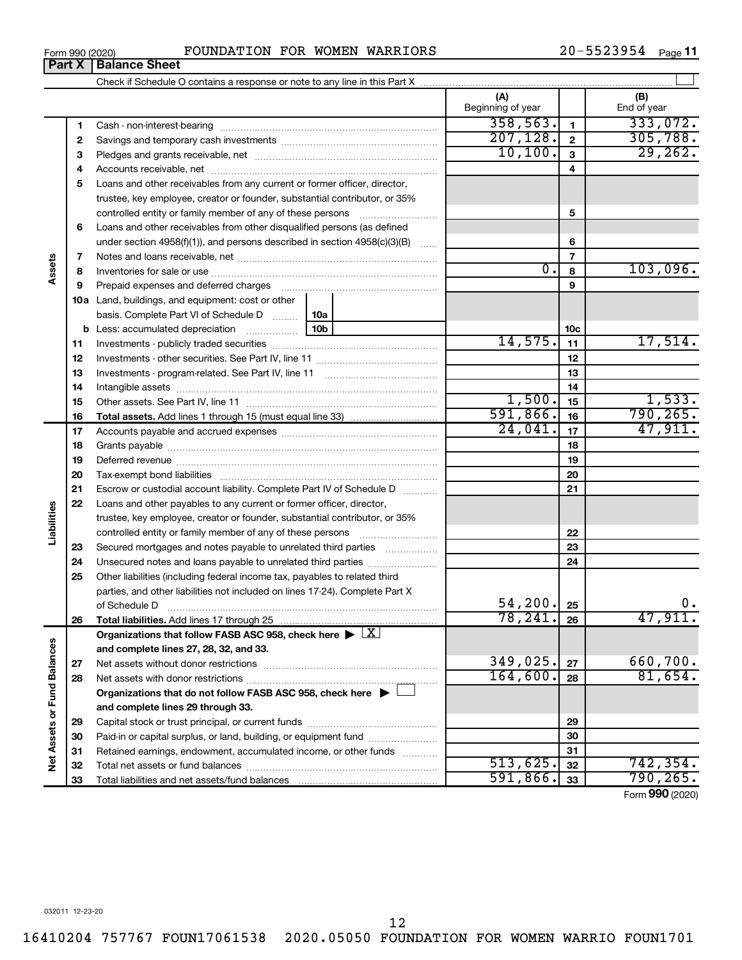$\overline{\phantom{a}}$ 

| 0 |  |  |
|---|--|--|

**Part X Balance Sheet**

### Form 990 (2020) **POUNDATION FOR WOMEN WARRIORS**  $20-5523954$   $_{\text{Page}}$

20-5523954 Page 11

|                             |    |                                                                                                        |                 | (A)<br>Beginning of year |                         | (B)<br>End of year |
|-----------------------------|----|--------------------------------------------------------------------------------------------------------|-----------------|--------------------------|-------------------------|--------------------|
|                             | 1  |                                                                                                        |                 | 358,563.                 | $\mathbf{1}$            | 333,072.           |
|                             | 2  |                                                                                                        |                 | 207, 128.                | $\overline{\mathbf{2}}$ | 305,788.           |
|                             | З  |                                                                                                        |                 | 10, 100.                 | $\overline{\mathbf{3}}$ | 29, 262.           |
|                             | 4  |                                                                                                        |                 |                          | 4                       |                    |
|                             | 5  | Loans and other receivables from any current or former officer, director,                              |                 |                          |                         |                    |
|                             |    | trustee, key employee, creator or founder, substantial contributor, or 35%                             |                 |                          |                         |                    |
|                             |    | controlled entity or family member of any of these persons                                             |                 |                          | 5                       |                    |
|                             | 6  | Loans and other receivables from other disqualified persons (as defined                                |                 |                          |                         |                    |
|                             |    | under section 4958(f)(1)), and persons described in section 4958(c)(3)(B) $\ldots$                     |                 |                          | 6                       |                    |
|                             | 7  |                                                                                                        |                 |                          | $\overline{7}$          |                    |
| Assets                      | 8  |                                                                                                        |                 | $\overline{0}$ .         | 8                       | 103,096.           |
|                             | 9  |                                                                                                        |                 |                          | 9                       |                    |
|                             |    | 10a Land, buildings, and equipment: cost or other                                                      |                 |                          |                         |                    |
|                             |    | basis. Complete Part VI of Schedule D                                                                  | 10a             |                          |                         |                    |
|                             |    | <b>b</b> Less: accumulated depreciation <i>mimimimini</i>                                              | 10 <sub>b</sub> |                          | 10 <sub>c</sub>         |                    |
|                             | 11 |                                                                                                        |                 | 14,575.                  | 11                      | 17,514.            |
|                             | 12 |                                                                                                        |                 |                          | 12                      |                    |
|                             | 13 |                                                                                                        |                 |                          | 13                      |                    |
|                             | 14 |                                                                                                        |                 |                          | 14                      |                    |
|                             | 15 |                                                                                                        |                 | 1,500.                   | 15                      | 1,533.             |
|                             | 16 |                                                                                                        |                 | 591,866.                 | 16                      | 790, 265.          |
|                             | 17 |                                                                                                        |                 | 24,041.                  | 17                      | 47,911.            |
|                             | 18 |                                                                                                        |                 |                          | 18                      |                    |
|                             | 19 |                                                                                                        |                 |                          | 19                      |                    |
|                             | 20 |                                                                                                        |                 |                          | 20                      |                    |
|                             | 21 | Escrow or custodial account liability. Complete Part IV of Schedule D                                  |                 |                          | 21                      |                    |
|                             | 22 | Loans and other payables to any current or former officer, director,                                   |                 |                          |                         |                    |
| Liabilities                 |    | trustee, key employee, creator or founder, substantial contributor, or 35%                             |                 |                          |                         |                    |
|                             |    | controlled entity or family member of any of these persons [                                           |                 |                          | 22                      |                    |
|                             | 23 | Secured mortgages and notes payable to unrelated third parties                                         |                 |                          | 23                      |                    |
|                             | 24 | Unsecured notes and loans payable to unrelated third parties                                           |                 |                          | 24                      |                    |
|                             | 25 | Other liabilities (including federal income tax, payables to related third                             |                 |                          |                         |                    |
|                             |    | parties, and other liabilities not included on lines 17-24). Complete Part X                           |                 |                          |                         |                    |
|                             |    |                                                                                                        |                 | 54, 200.                 | 25                      | 0.                 |
|                             | 26 | Total liabilities. Add lines 17 through 25                                                             |                 | 78,241.                  | 26                      | 47,911.            |
|                             |    | Organizations that follow FASB ASC 958, check here $\blacktriangleright \lfloor \underline{X} \rfloor$ |                 |                          |                         |                    |
|                             |    | and complete lines 27, 28, 32, and 33.                                                                 |                 |                          |                         |                    |
|                             | 27 |                                                                                                        |                 | 349,025.                 | 27                      | 660,700.           |
|                             | 28 |                                                                                                        |                 | 164,600.                 | 28                      | 81,654.            |
|                             |    | Organizations that do not follow FASB ASC 958, check here $\blacktriangleright$                        |                 |                          |                         |                    |
|                             |    | and complete lines 29 through 33.                                                                      |                 |                          |                         |                    |
|                             | 29 |                                                                                                        |                 |                          | 29                      |                    |
|                             | 30 | Paid-in or capital surplus, or land, building, or equipment fund                                       |                 |                          | 30                      |                    |
| Net Assets or Fund Balances | 31 | Retained earnings, endowment, accumulated income, or other funds                                       |                 |                          | 31                      |                    |
|                             | 32 |                                                                                                        |                 | 513,625.                 | 32                      | 742,354.           |
|                             | 33 |                                                                                                        |                 | 591,866.                 | 33                      | 790, 265.          |

Form (2020) **990**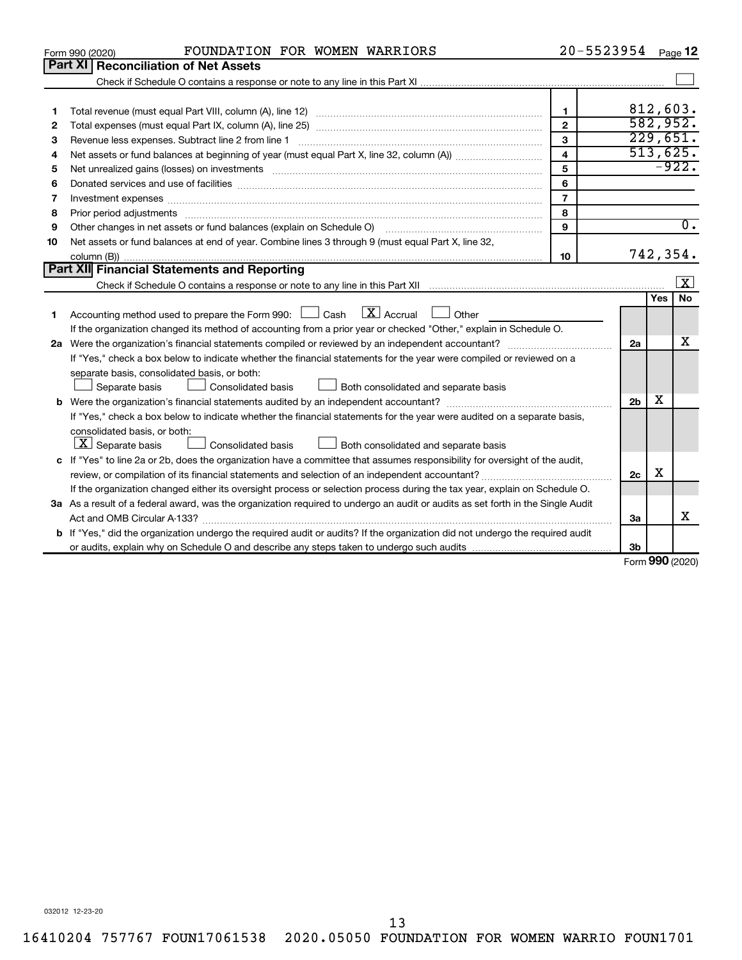|    | FOUNDATION FOR WOMEN WARRIORS<br>Form 990 (2020)                                                                                                                                                                               | 20-5523954              |                |     | Page 12          |
|----|--------------------------------------------------------------------------------------------------------------------------------------------------------------------------------------------------------------------------------|-------------------------|----------------|-----|------------------|
|    | Part XI   Reconciliation of Net Assets                                                                                                                                                                                         |                         |                |     |                  |
|    |                                                                                                                                                                                                                                |                         |                |     |                  |
|    |                                                                                                                                                                                                                                |                         |                |     |                  |
| 1  |                                                                                                                                                                                                                                | 1                       |                |     | 812,603.         |
| 2  |                                                                                                                                                                                                                                | $\mathbf{2}$            |                |     | 582,952.         |
| 3  |                                                                                                                                                                                                                                | 3                       |                |     | 229,651.         |
| 4  |                                                                                                                                                                                                                                | $\overline{\mathbf{4}}$ |                |     | 513,625.         |
| 5  |                                                                                                                                                                                                                                | 5                       |                |     | $-922.$          |
| 6  | Donated services and use of facilities [[111] matter contracts and use of facilities [[11] matter contracts and use of facilities [[11] matter contracts and use of facilities [[11] matter contracts and a service contract o | 6                       |                |     |                  |
| 7  |                                                                                                                                                                                                                                | $\overline{7}$          |                |     |                  |
| 8  |                                                                                                                                                                                                                                | 8                       |                |     |                  |
| 9  | Other changes in net assets or fund balances (explain on Schedule O)                                                                                                                                                           | 9                       |                |     | $\overline{0}$ . |
| 10 | Net assets or fund balances at end of year. Combine lines 3 through 9 (must equal Part X, line 32,                                                                                                                             |                         |                |     |                  |
|    |                                                                                                                                                                                                                                | 10                      |                |     | 742,354.         |
|    | Part XII Financial Statements and Reporting                                                                                                                                                                                    |                         |                |     |                  |
|    |                                                                                                                                                                                                                                |                         |                |     | $\vert X \vert$  |
|    |                                                                                                                                                                                                                                |                         |                | Yes | <b>No</b>        |
| 1  | $\mathbf{X}$ Accrual<br>Accounting method used to prepare the Form 990: $\Box$ Cash<br>$\Box$ Other                                                                                                                            |                         |                |     |                  |
|    | If the organization changed its method of accounting from a prior year or checked "Other," explain in Schedule O.                                                                                                              |                         |                |     |                  |
|    |                                                                                                                                                                                                                                |                         | 2a             |     | x                |
|    | If "Yes," check a box below to indicate whether the financial statements for the year were compiled or reviewed on a                                                                                                           |                         |                |     |                  |
|    | separate basis, consolidated basis, or both:                                                                                                                                                                                   |                         |                |     |                  |
|    | Both consolidated and separate basis<br>Separate basis<br>Consolidated basis                                                                                                                                                   |                         |                |     |                  |
|    |                                                                                                                                                                                                                                |                         | 2 <sub>b</sub> | x   |                  |
|    | If "Yes," check a box below to indicate whether the financial statements for the year were audited on a separate basis,                                                                                                        |                         |                |     |                  |
|    | consolidated basis, or both:                                                                                                                                                                                                   |                         |                |     |                  |
|    | $ \mathbf{X} $ Separate basis<br>Consolidated basis<br>Both consolidated and separate basis                                                                                                                                    |                         |                |     |                  |
|    | c If "Yes" to line 2a or 2b, does the organization have a committee that assumes responsibility for oversight of the audit,                                                                                                    |                         |                |     |                  |
|    | review, or compilation of its financial statements and selection of an independent accountant?                                                                                                                                 |                         | 2c             | X   |                  |
|    | If the organization changed either its oversight process or selection process during the tax year, explain on Schedule O.                                                                                                      |                         |                |     |                  |
|    | 3a As a result of a federal award, was the organization required to undergo an audit or audits as set forth in the Single Audit                                                                                                |                         |                |     |                  |
|    | Act and OMB Circular A-133?                                                                                                                                                                                                    |                         | 3a             |     | x                |
|    | b If "Yes," did the organization undergo the required audit or audits? If the organization did not undergo the required audit                                                                                                  |                         |                |     |                  |
|    |                                                                                                                                                                                                                                |                         | 3b             |     | $000 \text{$     |
|    |                                                                                                                                                                                                                                |                         |                |     |                  |

Form (2020) **990**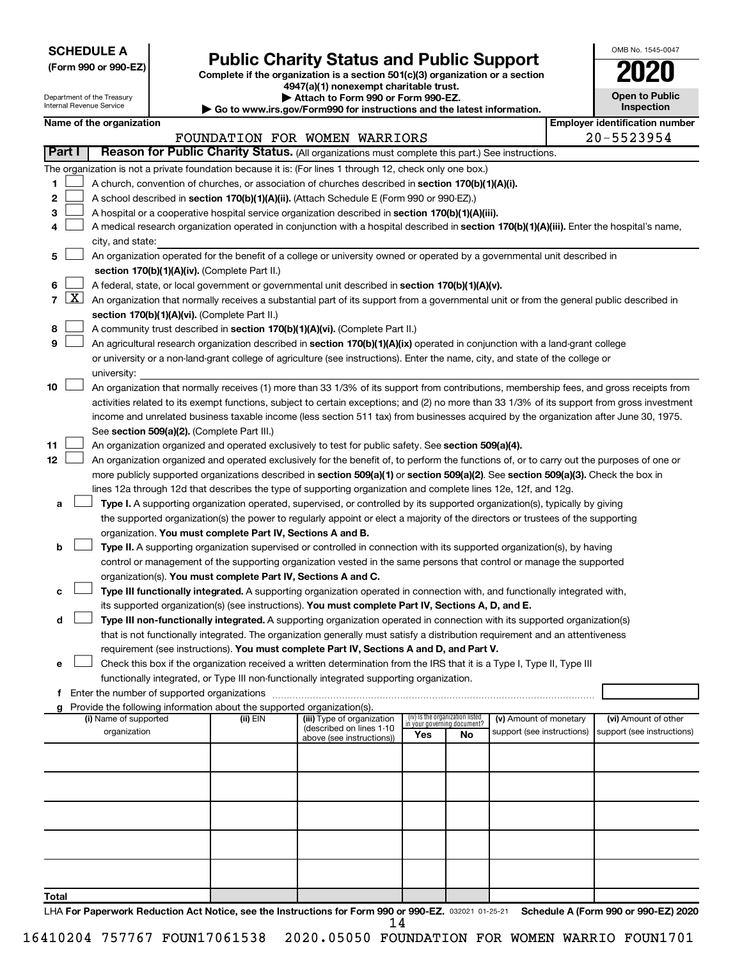| <b>SCHEDULE A</b> |  |
|-------------------|--|
|-------------------|--|

Department of the Treasury Internal Revenue Service

| (Form 990 or 990-EZ) |  |  |  |
|----------------------|--|--|--|
|----------------------|--|--|--|

## Form 990 or 990-EZ) **Public Charity Status and Public Support**<br>
Complete if the organization is a section 501(c)(3) organization or a section<br> **2020**

**4947(a)(1) nonexempt charitable trust. | Attach to Form 990 or Form 990-EZ.** 

**| Go to www.irs.gov/Form990 for instructions and the latest information.**

| <b>Open to Public</b><br>Inspection |
|-------------------------------------|

OMB No. 1545-0047

|              | Name of the organization                                                                                                                          |          |                               |                                    |    |                            | <b>Employer identification number</b> |
|--------------|---------------------------------------------------------------------------------------------------------------------------------------------------|----------|-------------------------------|------------------------------------|----|----------------------------|---------------------------------------|
|              |                                                                                                                                                   |          | FOUNDATION FOR WOMEN WARRIORS |                                    |    |                            | 20-5523954                            |
| Part I       | Reason for Public Charity Status. (All organizations must complete this part.) See instructions.                                                  |          |                               |                                    |    |                            |                                       |
|              | The organization is not a private foundation because it is: (For lines 1 through 12, check only one box.)                                         |          |                               |                                    |    |                            |                                       |
| 1            | A church, convention of churches, or association of churches described in section 170(b)(1)(A)(i).                                                |          |                               |                                    |    |                            |                                       |
| 2            | A school described in section 170(b)(1)(A)(ii). (Attach Schedule E (Form 990 or 990-EZ).)                                                         |          |                               |                                    |    |                            |                                       |
| З            | A hospital or a cooperative hospital service organization described in section 170(b)(1)(A)(iii).                                                 |          |                               |                                    |    |                            |                                       |
| 4            | A medical research organization operated in conjunction with a hospital described in section 170(b)(1)(A)(iii). Enter the hospital's name,        |          |                               |                                    |    |                            |                                       |
|              | city, and state:                                                                                                                                  |          |                               |                                    |    |                            |                                       |
| 5            | An organization operated for the benefit of a college or university owned or operated by a governmental unit described in                         |          |                               |                                    |    |                            |                                       |
|              | section 170(b)(1)(A)(iv). (Complete Part II.)                                                                                                     |          |                               |                                    |    |                            |                                       |
| 6.           | A federal, state, or local government or governmental unit described in section 170(b)(1)(A)(v).                                                  |          |                               |                                    |    |                            |                                       |
|              | 7 $ X $ An organization that normally receives a substantial part of its support from a governmental unit or from the general public described in |          |                               |                                    |    |                            |                                       |
|              | section 170(b)(1)(A)(vi). (Complete Part II.)                                                                                                     |          |                               |                                    |    |                            |                                       |
| 8            | A community trust described in section 170(b)(1)(A)(vi). (Complete Part II.)                                                                      |          |                               |                                    |    |                            |                                       |
| 9            | An agricultural research organization described in section 170(b)(1)(A)(ix) operated in conjunction with a land-grant college                     |          |                               |                                    |    |                            |                                       |
|              | or university or a non-land-grant college of agriculture (see instructions). Enter the name, city, and state of the college or                    |          |                               |                                    |    |                            |                                       |
|              | university:                                                                                                                                       |          |                               |                                    |    |                            |                                       |
| 10           | An organization that normally receives (1) more than 33 1/3% of its support from contributions, membership fees, and gross receipts from          |          |                               |                                    |    |                            |                                       |
|              | activities related to its exempt functions, subject to certain exceptions; and (2) no more than 33 1/3% of its support from gross investment      |          |                               |                                    |    |                            |                                       |
|              | income and unrelated business taxable income (less section 511 tax) from businesses acquired by the organization after June 30, 1975.             |          |                               |                                    |    |                            |                                       |
|              | See section 509(a)(2). (Complete Part III.)                                                                                                       |          |                               |                                    |    |                            |                                       |
| 11           | An organization organized and operated exclusively to test for public safety. See section 509(a)(4).                                              |          |                               |                                    |    |                            |                                       |
| 12           | An organization organized and operated exclusively for the benefit of, to perform the functions of, or to carry out the purposes of one or        |          |                               |                                    |    |                            |                                       |
|              | more publicly supported organizations described in section 509(a)(1) or section 509(a)(2). See section 509(a)(3). Check the box in                |          |                               |                                    |    |                            |                                       |
|              | lines 12a through 12d that describes the type of supporting organization and complete lines 12e, 12f, and 12g.                                    |          |                               |                                    |    |                            |                                       |
| а            | Type I. A supporting organization operated, supervised, or controlled by its supported organization(s), typically by giving                       |          |                               |                                    |    |                            |                                       |
|              | the supported organization(s) the power to regularly appoint or elect a majority of the directors or trustees of the supporting                   |          |                               |                                    |    |                            |                                       |
|              | organization. You must complete Part IV, Sections A and B.                                                                                        |          |                               |                                    |    |                            |                                       |
| b            |                                                                                                                                                   |          |                               |                                    |    |                            |                                       |
|              | Type II. A supporting organization supervised or controlled in connection with its supported organization(s), by having                           |          |                               |                                    |    |                            |                                       |
|              | control or management of the supporting organization vested in the same persons that control or manage the supported                              |          |                               |                                    |    |                            |                                       |
|              | organization(s). You must complete Part IV, Sections A and C.                                                                                     |          |                               |                                    |    |                            |                                       |
| с            | Type III functionally integrated. A supporting organization operated in connection with, and functionally integrated with,                        |          |                               |                                    |    |                            |                                       |
|              | its supported organization(s) (see instructions). You must complete Part IV, Sections A, D, and E.                                                |          |                               |                                    |    |                            |                                       |
| d            | Type III non-functionally integrated. A supporting organization operated in connection with its supported organization(s)                         |          |                               |                                    |    |                            |                                       |
|              | that is not functionally integrated. The organization generally must satisfy a distribution requirement and an attentiveness                      |          |                               |                                    |    |                            |                                       |
|              | requirement (see instructions). You must complete Part IV, Sections A and D, and Part V.                                                          |          |                               |                                    |    |                            |                                       |
|              | Check this box if the organization received a written determination from the IRS that it is a Type I, Type II, Type III                           |          |                               |                                    |    |                            |                                       |
|              | functionally integrated, or Type III non-functionally integrated supporting organization.                                                         |          |                               |                                    |    |                            |                                       |
|              | f Enter the number of supported organizations                                                                                                     |          |                               |                                    |    |                            |                                       |
|              | g Provide the following information about the supported organization(s).<br>(i) Name of supported                                                 | (ii) EIN | (iii) Type of organization    | (iv) Is the organization listed    |    | (v) Amount of monetary     | (vi) Amount of other                  |
|              | organization                                                                                                                                      |          | (described on lines 1-10      | in your governing document?<br>Yes | No | support (see instructions) | support (see instructions)            |
|              |                                                                                                                                                   |          | above (see instructions))     |                                    |    |                            |                                       |
|              |                                                                                                                                                   |          |                               |                                    |    |                            |                                       |
|              |                                                                                                                                                   |          |                               |                                    |    |                            |                                       |
|              |                                                                                                                                                   |          |                               |                                    |    |                            |                                       |
|              |                                                                                                                                                   |          |                               |                                    |    |                            |                                       |
|              |                                                                                                                                                   |          |                               |                                    |    |                            |                                       |
|              |                                                                                                                                                   |          |                               |                                    |    |                            |                                       |
|              |                                                                                                                                                   |          |                               |                                    |    |                            |                                       |
|              |                                                                                                                                                   |          |                               |                                    |    |                            |                                       |
|              |                                                                                                                                                   |          |                               |                                    |    |                            |                                       |
|              |                                                                                                                                                   |          |                               |                                    |    |                            |                                       |
| <b>Total</b> |                                                                                                                                                   |          |                               |                                    |    |                            |                                       |

LHA For Paperwork Reduction Act Notice, see the Instructions for Form 990 or 990-EZ. 032021 01-25-21 Schedule A (Form 990 or 990-EZ) 2020 14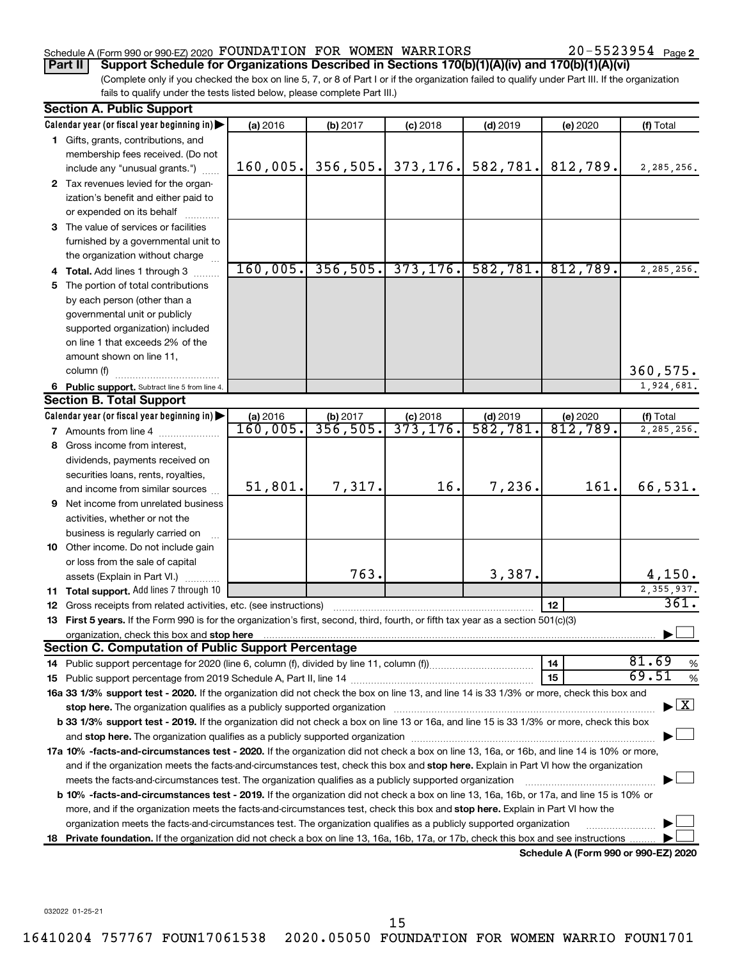### Schedule A (Form 990 or 990-EZ) 2020 Page FOUNDATION FOR WOMEN WARRIORS 20-5523954

**Part II Support Schedule for Organizations Described in Sections 170(b)(1)(A)(iv) and 170(b)(1)(A)(vi)**

(Complete only if you checked the box on line 5, 7, or 8 of Part I or if the organization failed to qualify under Part III. If the organization fails to qualify under the tests listed below, please complete Part III.)

|    | <b>Section A. Public Support</b>                                                                                                                                                                                               |                                    |                      |                        |                       |                                      |                                          |
|----|--------------------------------------------------------------------------------------------------------------------------------------------------------------------------------------------------------------------------------|------------------------------------|----------------------|------------------------|-----------------------|--------------------------------------|------------------------------------------|
|    | Calendar year (or fiscal year beginning in)                                                                                                                                                                                    | (a) 2016                           | (b) 2017             | $(c)$ 2018             | $(d)$ 2019            | (e) 2020                             | (f) Total                                |
|    | 1 Gifts, grants, contributions, and                                                                                                                                                                                            |                                    |                      |                        |                       |                                      |                                          |
|    | membership fees received. (Do not                                                                                                                                                                                              |                                    |                      |                        |                       |                                      |                                          |
|    | include any "unusual grants.")                                                                                                                                                                                                 | 160,005.                           | 356,505.             | 373, 176.              | 582,781.              | 812,789.                             | 2,285,256.                               |
|    | 2 Tax revenues levied for the organ-                                                                                                                                                                                           |                                    |                      |                        |                       |                                      |                                          |
|    | ization's benefit and either paid to                                                                                                                                                                                           |                                    |                      |                        |                       |                                      |                                          |
|    | or expended on its behalf                                                                                                                                                                                                      |                                    |                      |                        |                       |                                      |                                          |
|    | 3 The value of services or facilities                                                                                                                                                                                          |                                    |                      |                        |                       |                                      |                                          |
|    | furnished by a governmental unit to                                                                                                                                                                                            |                                    |                      |                        |                       |                                      |                                          |
|    | the organization without charge                                                                                                                                                                                                |                                    |                      |                        |                       |                                      |                                          |
|    | 4 Total. Add lines 1 through 3                                                                                                                                                                                                 | 160,005.                           | 356,505.             | 373, 176.              | 582,781.              | 812,789.                             | 2,285,256.                               |
|    | 5 The portion of total contributions                                                                                                                                                                                           |                                    |                      |                        |                       |                                      |                                          |
|    | by each person (other than a                                                                                                                                                                                                   |                                    |                      |                        |                       |                                      |                                          |
|    | governmental unit or publicly                                                                                                                                                                                                  |                                    |                      |                        |                       |                                      |                                          |
|    | supported organization) included                                                                                                                                                                                               |                                    |                      |                        |                       |                                      |                                          |
|    | on line 1 that exceeds 2% of the                                                                                                                                                                                               |                                    |                      |                        |                       |                                      |                                          |
|    | amount shown on line 11,                                                                                                                                                                                                       |                                    |                      |                        |                       |                                      |                                          |
|    | column (f)                                                                                                                                                                                                                     |                                    |                      |                        |                       |                                      | 360,575.                                 |
|    | 6 Public support. Subtract line 5 from line 4.                                                                                                                                                                                 |                                    |                      |                        |                       |                                      | 1,924,681.                               |
|    | <b>Section B. Total Support</b>                                                                                                                                                                                                |                                    |                      |                        |                       |                                      |                                          |
|    | Calendar year (or fiscal year beginning in)                                                                                                                                                                                    | (a) 2016<br>$\overline{160,005}$ . | (b) 2017<br>356,505. | $(c)$ 2018<br>373,176. | $(d)$ 2019<br>582,781 | (e) 2020<br>$\overline{812,789}$ .   | (f) Total<br>2,285,256.                  |
|    | 7 Amounts from line 4                                                                                                                                                                                                          |                                    |                      |                        |                       |                                      |                                          |
|    | 8 Gross income from interest,                                                                                                                                                                                                  |                                    |                      |                        |                       |                                      |                                          |
|    | dividends, payments received on                                                                                                                                                                                                |                                    |                      |                        |                       |                                      |                                          |
|    | securities loans, rents, royalties,<br>and income from similar sources                                                                                                                                                         | 51,801.                            | 7,317.               | 16.                    | 7,236.                | 161.                                 | 66,531.                                  |
|    | 9 Net income from unrelated business                                                                                                                                                                                           |                                    |                      |                        |                       |                                      |                                          |
|    | activities, whether or not the                                                                                                                                                                                                 |                                    |                      |                        |                       |                                      |                                          |
|    | business is regularly carried on                                                                                                                                                                                               |                                    |                      |                        |                       |                                      |                                          |
|    | 10 Other income. Do not include gain                                                                                                                                                                                           |                                    |                      |                        |                       |                                      |                                          |
|    | or loss from the sale of capital                                                                                                                                                                                               |                                    |                      |                        |                       |                                      |                                          |
|    | assets (Explain in Part VI.)                                                                                                                                                                                                   |                                    | 763.                 |                        | 3,387.                |                                      | 4,150.                                   |
|    | 11 Total support. Add lines 7 through 10                                                                                                                                                                                       |                                    |                      |                        |                       |                                      | 2,355,937.                               |
|    | <b>12</b> Gross receipts from related activities, etc. (see instructions)                                                                                                                                                      |                                    |                      |                        |                       | 12                                   | 361.                                     |
|    | 13 First 5 years. If the Form 990 is for the organization's first, second, third, fourth, or fifth tax year as a section 501(c)(3)                                                                                             |                                    |                      |                        |                       |                                      |                                          |
|    | organization, check this box and stop here [1, 2000] with the content of the content of the content of the content of the content of the content of the content of the content of the content of the content of the content of |                                    |                      |                        |                       |                                      |                                          |
|    | <b>Section C. Computation of Public Support Percentage</b>                                                                                                                                                                     |                                    |                      |                        |                       |                                      |                                          |
|    |                                                                                                                                                                                                                                |                                    |                      |                        |                       | 14                                   | 81.69<br>%                               |
|    |                                                                                                                                                                                                                                |                                    |                      |                        |                       | 15                                   | 69.51<br>$\%$                            |
|    | 16a 33 1/3% support test - 2020. If the organization did not check the box on line 13, and line 14 is 33 1/3% or more, check this box and                                                                                      |                                    |                      |                        |                       |                                      |                                          |
|    | stop here. The organization qualifies as a publicly supported organization manufaction manufacture or manufacture or the organization manufacture or the organization of the state of the state of the state of the state of t |                                    |                      |                        |                       |                                      | $\blacktriangleright$ $\boxed{\text{X}}$ |
|    | b 33 1/3% support test - 2019. If the organization did not check a box on line 13 or 16a, and line 15 is 33 1/3% or more, check this box                                                                                       |                                    |                      |                        |                       |                                      |                                          |
|    |                                                                                                                                                                                                                                |                                    |                      |                        |                       |                                      |                                          |
|    | 17a 10% -facts-and-circumstances test - 2020. If the organization did not check a box on line 13, 16a, or 16b, and line 14 is 10% or more,                                                                                     |                                    |                      |                        |                       |                                      |                                          |
|    | and if the organization meets the facts-and-circumstances test, check this box and stop here. Explain in Part VI how the organization                                                                                          |                                    |                      |                        |                       |                                      |                                          |
|    | meets the facts-and-circumstances test. The organization qualifies as a publicly supported organization                                                                                                                        |                                    |                      |                        |                       |                                      |                                          |
|    | <b>b 10%</b> -facts-and-circumstances test - 2019. If the organization did not check a box on line 13, 16a, 16b, or 17a, and line 15 is 10% or                                                                                 |                                    |                      |                        |                       |                                      |                                          |
|    | more, and if the organization meets the facts-and-circumstances test, check this box and stop here. Explain in Part VI how the                                                                                                 |                                    |                      |                        |                       |                                      |                                          |
|    | organization meets the facts-and-circumstances test. The organization qualifies as a publicly supported organization                                                                                                           |                                    |                      |                        |                       |                                      |                                          |
| 18 | Private foundation. If the organization did not check a box on line 13, 16a, 16b, 17a, or 17b, check this box and see instructions.                                                                                            |                                    |                      |                        |                       |                                      |                                          |
|    |                                                                                                                                                                                                                                |                                    |                      |                        |                       | Schedule A (Form 990 or 990-EZ) 2020 |                                          |

15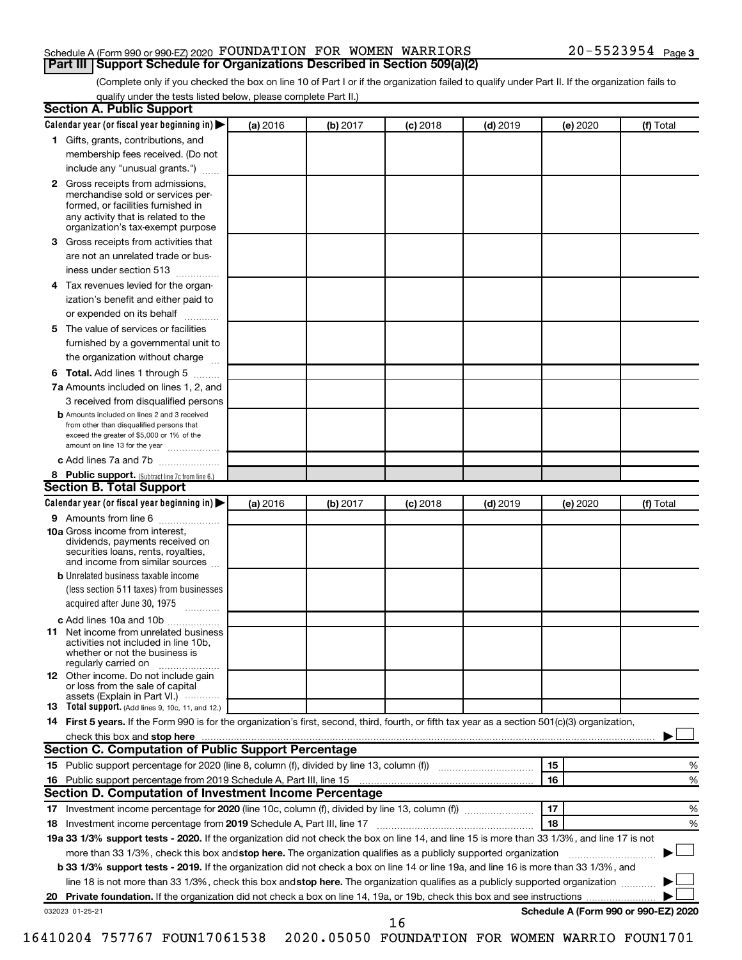#### Schedule A (Form 990 or 990-EZ) 2020 Page FOUNDATION FOR WOMEN WARRIORS 20-5523954 **Part III Support Schedule for Organizations Described in Section 509(a)(2)**

(Complete only if you checked the box on line 10 of Part I or if the organization failed to qualify under Part II. If the organization fails to qualify under the tests listed below, please complete Part II.)

| <b>Section A. Public Support</b>                                                                                                                                                                                               |          |          |            |            |          |                                      |
|--------------------------------------------------------------------------------------------------------------------------------------------------------------------------------------------------------------------------------|----------|----------|------------|------------|----------|--------------------------------------|
| Calendar year (or fiscal year beginning in)                                                                                                                                                                                    | (a) 2016 | (b) 2017 | $(c)$ 2018 | $(d)$ 2019 | (e) 2020 | (f) Total                            |
| 1 Gifts, grants, contributions, and                                                                                                                                                                                            |          |          |            |            |          |                                      |
| membership fees received. (Do not                                                                                                                                                                                              |          |          |            |            |          |                                      |
| include any "unusual grants.")                                                                                                                                                                                                 |          |          |            |            |          |                                      |
| 2 Gross receipts from admissions,<br>merchandise sold or services per-<br>formed, or facilities furnished in<br>any activity that is related to the<br>organization's tax-exempt purpose                                       |          |          |            |            |          |                                      |
| 3 Gross receipts from activities that                                                                                                                                                                                          |          |          |            |            |          |                                      |
| are not an unrelated trade or bus-                                                                                                                                                                                             |          |          |            |            |          |                                      |
| iness under section 513                                                                                                                                                                                                        |          |          |            |            |          |                                      |
| 4 Tax revenues levied for the organ-                                                                                                                                                                                           |          |          |            |            |          |                                      |
| ization's benefit and either paid to                                                                                                                                                                                           |          |          |            |            |          |                                      |
| or expended on its behalf                                                                                                                                                                                                      |          |          |            |            |          |                                      |
| 5 The value of services or facilities                                                                                                                                                                                          |          |          |            |            |          |                                      |
| furnished by a governmental unit to                                                                                                                                                                                            |          |          |            |            |          |                                      |
| the organization without charge                                                                                                                                                                                                |          |          |            |            |          |                                      |
|                                                                                                                                                                                                                                |          |          |            |            |          |                                      |
| 6 Total. Add lines 1 through 5                                                                                                                                                                                                 |          |          |            |            |          |                                      |
| 7a Amounts included on lines 1, 2, and                                                                                                                                                                                         |          |          |            |            |          |                                      |
| 3 received from disqualified persons<br><b>b</b> Amounts included on lines 2 and 3 received<br>from other than disqualified persons that<br>exceed the greater of \$5,000 or 1% of the<br>amount on line 13 for the year       |          |          |            |            |          |                                      |
| c Add lines 7a and 7b                                                                                                                                                                                                          |          |          |            |            |          |                                      |
| 8 Public support. (Subtract line 7c from line 6.)                                                                                                                                                                              |          |          |            |            |          |                                      |
| <b>Section B. Total Support</b>                                                                                                                                                                                                |          |          |            |            |          |                                      |
| Calendar year (or fiscal year beginning in)                                                                                                                                                                                    | (a) 2016 | (b) 2017 | $(c)$ 2018 | $(d)$ 2019 | (e) 2020 | (f) Total                            |
| <b>9</b> Amounts from line 6                                                                                                                                                                                                   |          |          |            |            |          |                                      |
| <b>10a</b> Gross income from interest,<br>dividends, payments received on<br>securities loans, rents, royalties,<br>and income from similar sources                                                                            |          |          |            |            |          |                                      |
| <b>b</b> Unrelated business taxable income                                                                                                                                                                                     |          |          |            |            |          |                                      |
| (less section 511 taxes) from businesses<br>acquired after June 30, 1975                                                                                                                                                       |          |          |            |            |          |                                      |
| c Add lines 10a and 10b                                                                                                                                                                                                        |          |          |            |            |          |                                      |
| 11 Net income from unrelated business<br>activities not included in line 10b.<br>whether or not the business is<br>regularly carried on                                                                                        |          |          |            |            |          |                                      |
| <b>12</b> Other income. Do not include gain<br>or loss from the sale of capital<br>assets (Explain in Part VI.)                                                                                                                |          |          |            |            |          |                                      |
| <b>13</b> Total support. (Add lines 9, 10c, 11, and 12.)                                                                                                                                                                       |          |          |            |            |          |                                      |
| 14 First 5 years. If the Form 990 is for the organization's first, second, third, fourth, or fifth tax year as a section 501(c)(3) organization,                                                                               |          |          |            |            |          |                                      |
| check this box and stop here manufactured and stop here and stop here are manufactured and stop here and stop here and stop here and stop here and stop here and stop here and stop here are all the stop of the stop of the s |          |          |            |            |          |                                      |
| <b>Section C. Computation of Public Support Percentage</b>                                                                                                                                                                     |          |          |            |            |          |                                      |
|                                                                                                                                                                                                                                |          |          |            |            | 15       | ℅                                    |
| 16 Public support percentage from 2019 Schedule A, Part III, line 15                                                                                                                                                           |          |          |            |            | 16       | %                                    |
| Section D. Computation of Investment Income Percentage                                                                                                                                                                         |          |          |            |            |          |                                      |
|                                                                                                                                                                                                                                |          |          |            |            | 17       | %                                    |
| 18 Investment income percentage from 2019 Schedule A, Part III, line 17                                                                                                                                                        |          |          |            |            | 18       | %                                    |
| 19a 33 1/3% support tests - 2020. If the organization did not check the box on line 14, and line 15 is more than 33 1/3%, and line 17 is not                                                                                   |          |          |            |            |          |                                      |
| more than 33 1/3%, check this box and stop here. The organization qualifies as a publicly supported organization                                                                                                               |          |          |            |            |          |                                      |
| b 33 1/3% support tests - 2019. If the organization did not check a box on line 14 or line 19a, and line 16 is more than 33 1/3%, and                                                                                          |          |          |            |            |          |                                      |
| line 18 is not more than 33 1/3%, check this box and stop here. The organization qualifies as a publicly supported organization                                                                                                |          |          |            |            |          |                                      |
|                                                                                                                                                                                                                                |          |          |            |            |          |                                      |
| 032023 01-25-21                                                                                                                                                                                                                |          |          |            |            |          | Schedule A (Form 990 or 990-EZ) 2020 |
|                                                                                                                                                                                                                                |          |          | 16         |            |          |                                      |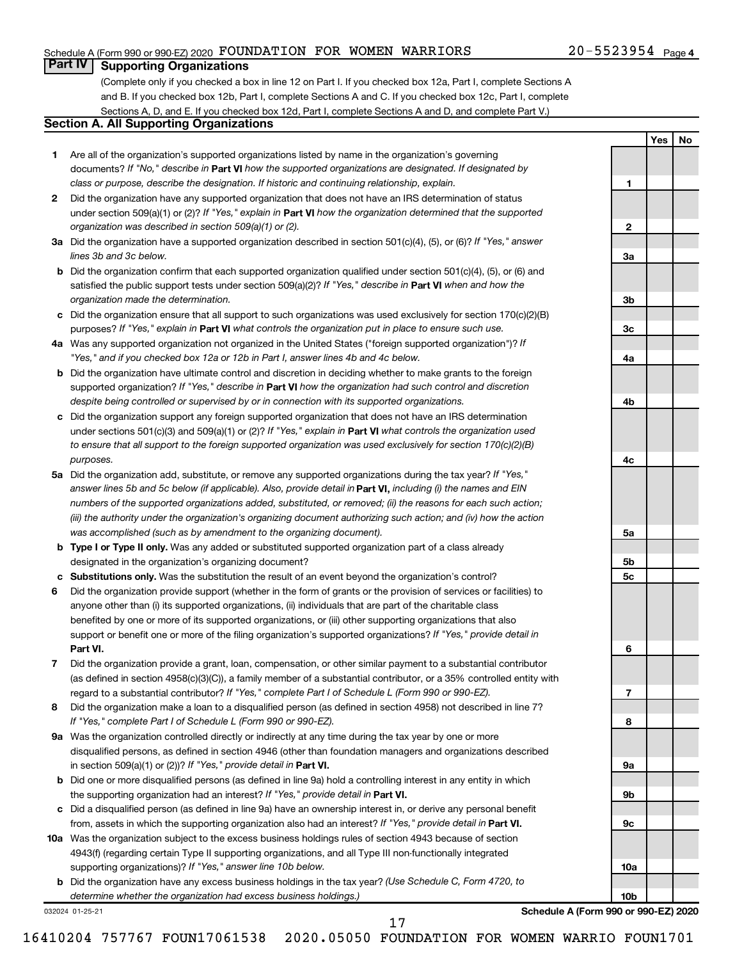### Schedule A (Form 990 or 990-EZ) 2020 Page FOUNDATION FOR WOMEN WARRIORS 20-5523954

**1**

**2**

**3a**

**3b**

**3c**

**4a**

**4b**

**4c**

**5a**

**5b 5c**

**6**

**7**

**8**

**9a**

**9b**

**9c**

**10a**

**10b**

**Yes No**

### **Part IV Supporting Organizations**

(Complete only if you checked a box in line 12 on Part I. If you checked box 12a, Part I, complete Sections A and B. If you checked box 12b, Part I, complete Sections A and C. If you checked box 12c, Part I, complete Sections A, D, and E. If you checked box 12d, Part I, complete Sections A and D, and complete Part V.)

### **Section A. All Supporting Organizations**

- **1** Are all of the organization's supported organizations listed by name in the organization's governing documents? If "No," describe in Part VI how the supported organizations are designated. If designated by *class or purpose, describe the designation. If historic and continuing relationship, explain.*
- **2** Did the organization have any supported organization that does not have an IRS determination of status under section 509(a)(1) or (2)? If "Yes," explain in Part **VI** how the organization determined that the supported *organization was described in section 509(a)(1) or (2).*
- **3a** Did the organization have a supported organization described in section 501(c)(4), (5), or (6)? If "Yes," answer *lines 3b and 3c below.*
- **b** Did the organization confirm that each supported organization qualified under section 501(c)(4), (5), or (6) and satisfied the public support tests under section 509(a)(2)? If "Yes," describe in Part VI when and how the *organization made the determination.*
- **c** Did the organization ensure that all support to such organizations was used exclusively for section 170(c)(2)(B) purposes? If "Yes," explain in Part VI what controls the organization put in place to ensure such use.
- **4 a** *If* Was any supported organization not organized in the United States ("foreign supported organization")? *"Yes," and if you checked box 12a or 12b in Part I, answer lines 4b and 4c below.*
- **b** Did the organization have ultimate control and discretion in deciding whether to make grants to the foreign supported organization? If "Yes," describe in Part VI how the organization had such control and discretion *despite being controlled or supervised by or in connection with its supported organizations.*
- **c** Did the organization support any foreign supported organization that does not have an IRS determination under sections 501(c)(3) and 509(a)(1) or (2)? If "Yes," explain in Part VI what controls the organization used *to ensure that all support to the foreign supported organization was used exclusively for section 170(c)(2)(B) purposes.*
- **5a** Did the organization add, substitute, or remove any supported organizations during the tax year? If "Yes," answer lines 5b and 5c below (if applicable). Also, provide detail in **Part VI,** including (i) the names and EIN *numbers of the supported organizations added, substituted, or removed; (ii) the reasons for each such action; (iii) the authority under the organization's organizing document authorizing such action; and (iv) how the action was accomplished (such as by amendment to the organizing document).*
- **b Type I or Type II only.** Was any added or substituted supported organization part of a class already designated in the organization's organizing document?
- **c Substitutions only.**  Was the substitution the result of an event beyond the organization's control?
- **6** Did the organization provide support (whether in the form of grants or the provision of services or facilities) to **Part VI.** support or benefit one or more of the filing organization's supported organizations? If "Yes," provide detail in anyone other than (i) its supported organizations, (ii) individuals that are part of the charitable class benefited by one or more of its supported organizations, or (iii) other supporting organizations that also
- **7** Did the organization provide a grant, loan, compensation, or other similar payment to a substantial contributor regard to a substantial contributor? If "Yes," complete Part I of Schedule L (Form 990 or 990-EZ). (as defined in section 4958(c)(3)(C)), a family member of a substantial contributor, or a 35% controlled entity with
- **8** Did the organization make a loan to a disqualified person (as defined in section 4958) not described in line 7? *If "Yes," complete Part I of Schedule L (Form 990 or 990-EZ).*
- **9 a** Was the organization controlled directly or indirectly at any time during the tax year by one or more in section 509(a)(1) or (2))? If "Yes," provide detail in **Part VI.** disqualified persons, as defined in section 4946 (other than foundation managers and organizations described
- **b** Did one or more disqualified persons (as defined in line 9a) hold a controlling interest in any entity in which the supporting organization had an interest? If "Yes," provide detail in Part VI.
- **c** Did a disqualified person (as defined in line 9a) have an ownership interest in, or derive any personal benefit from, assets in which the supporting organization also had an interest? If "Yes," provide detail in Part VI.
- **10 a** Was the organization subject to the excess business holdings rules of section 4943 because of section supporting organizations)? If "Yes," answer line 10b below. 4943(f) (regarding certain Type II supporting organizations, and all Type III non-functionally integrated
	- **b** Did the organization have any excess business holdings in the tax year? (Use Schedule C, Form 4720, to *determine whether the organization had excess business holdings.)*

032024 01-25-21

**Schedule A (Form 990 or 990-EZ) 2020**

17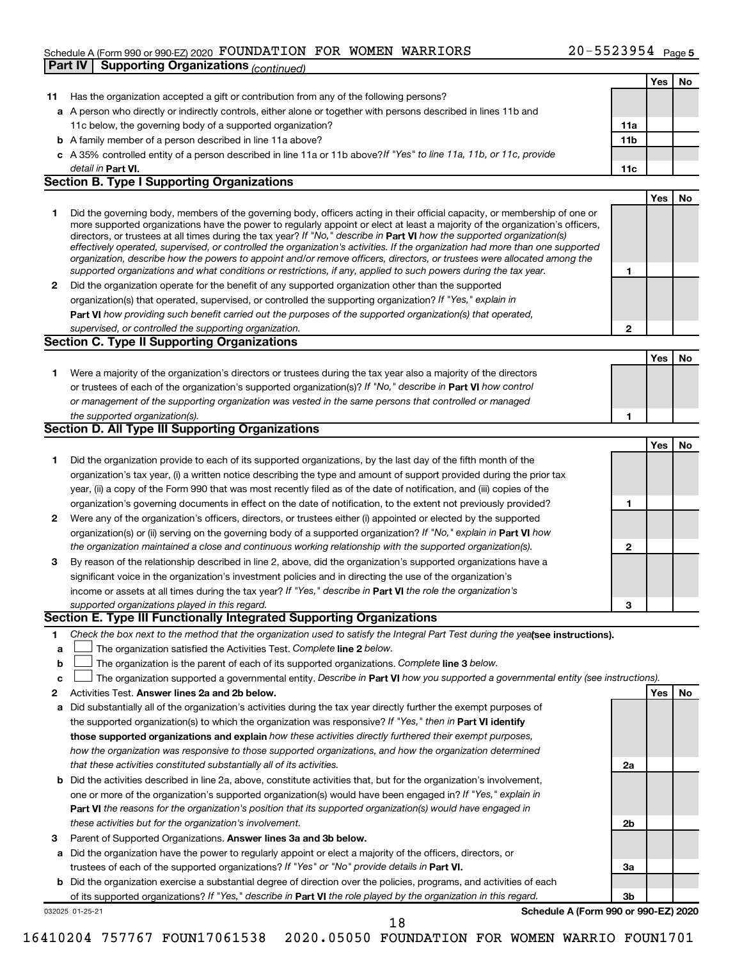### Schedule A (Form 990 or 990-EZ) 2020 Page FOUNDATION FOR WOMEN WARRIORS 20-5523954 **Part IV | Supporting Organizations** *(continued)*

|              |                                                                                                                                                                                                                                              |                 | Yes | No |
|--------------|----------------------------------------------------------------------------------------------------------------------------------------------------------------------------------------------------------------------------------------------|-----------------|-----|----|
| 11           | Has the organization accepted a gift or contribution from any of the following persons?                                                                                                                                                      |                 |     |    |
|              | a A person who directly or indirectly controls, either alone or together with persons described in lines 11b and                                                                                                                             |                 |     |    |
|              | 11c below, the governing body of a supported organization?                                                                                                                                                                                   | 11a             |     |    |
|              | <b>b</b> A family member of a person described in line 11a above?                                                                                                                                                                            | 11 <sub>b</sub> |     |    |
|              | c A 35% controlled entity of a person described in line 11a or 11b above?If "Yes" to line 11a, 11b, or 11c, provide                                                                                                                          |                 |     |    |
|              | detail in Part VI.                                                                                                                                                                                                                           | 11c             |     |    |
|              | <b>Section B. Type I Supporting Organizations</b>                                                                                                                                                                                            |                 |     |    |
|              |                                                                                                                                                                                                                                              |                 | Yes | No |
| 1            | Did the governing body, members of the governing body, officers acting in their official capacity, or membership of one or                                                                                                                   |                 |     |    |
|              | more supported organizations have the power to regularly appoint or elect at least a majority of the organization's officers,                                                                                                                |                 |     |    |
|              | directors, or trustees at all times during the tax year? If "No," describe in Part VI how the supported organization(s)                                                                                                                      |                 |     |    |
|              | effectively operated, supervised, or controlled the organization's activities. If the organization had more than one supported                                                                                                               |                 |     |    |
|              | organization, describe how the powers to appoint and/or remove officers, directors, or trustees were allocated among the<br>supported organizations and what conditions or restrictions, if any, applied to such powers during the tax year. | 1               |     |    |
|              | Did the organization operate for the benefit of any supported organization other than the supported                                                                                                                                          |                 |     |    |
| $\mathbf{2}$ | organization(s) that operated, supervised, or controlled the supporting organization? If "Yes," explain in                                                                                                                                   |                 |     |    |
|              | Part VI how providing such benefit carried out the purposes of the supported organization(s) that operated,                                                                                                                                  |                 |     |    |
|              | supervised, or controlled the supporting organization.                                                                                                                                                                                       | 2               |     |    |
|              | <b>Section C. Type II Supporting Organizations</b>                                                                                                                                                                                           |                 |     |    |
|              |                                                                                                                                                                                                                                              |                 |     |    |
|              |                                                                                                                                                                                                                                              |                 | Yes | No |
| 1.           | Were a majority of the organization's directors or trustees during the tax year also a majority of the directors                                                                                                                             |                 |     |    |
|              | or trustees of each of the organization's supported organization(s)? If "No," describe in Part VI how control                                                                                                                                |                 |     |    |
|              | or management of the supporting organization was vested in the same persons that controlled or managed                                                                                                                                       |                 |     |    |
|              | the supported organization(s).                                                                                                                                                                                                               | 1               |     |    |
|              | <b>Section D. All Type III Supporting Organizations</b>                                                                                                                                                                                      |                 |     |    |
|              |                                                                                                                                                                                                                                              |                 | Yes | No |
| 1            | Did the organization provide to each of its supported organizations, by the last day of the fifth month of the                                                                                                                               |                 |     |    |
|              | organization's tax year, (i) a written notice describing the type and amount of support provided during the prior tax                                                                                                                        |                 |     |    |
|              | year, (ii) a copy of the Form 990 that was most recently filed as of the date of notification, and (iii) copies of the                                                                                                                       |                 |     |    |
|              | organization's governing documents in effect on the date of notification, to the extent not previously provided?                                                                                                                             | 1               |     |    |
| 2            | Were any of the organization's officers, directors, or trustees either (i) appointed or elected by the supported                                                                                                                             |                 |     |    |
|              | organization(s) or (ii) serving on the governing body of a supported organization? If "No," explain in Part VI how                                                                                                                           |                 |     |    |
|              | the organization maintained a close and continuous working relationship with the supported organization(s).                                                                                                                                  | 2               |     |    |
| 3            | By reason of the relationship described in line 2, above, did the organization's supported organizations have a                                                                                                                              |                 |     |    |
|              | significant voice in the organization's investment policies and in directing the use of the organization's                                                                                                                                   |                 |     |    |
|              | income or assets at all times during the tax year? If "Yes," describe in Part VI the role the organization's                                                                                                                                 |                 |     |    |
|              | supported organizations played in this regard.                                                                                                                                                                                               | 3               |     |    |
|              | Section E. Type III Functionally Integrated Supporting Organizations                                                                                                                                                                         |                 |     |    |
| 1            | Check the box next to the method that the organization used to satisfy the Integral Part Test during the yealsee instructions).                                                                                                              |                 |     |    |
| a            | The organization satisfied the Activities Test. Complete line 2 below.                                                                                                                                                                       |                 |     |    |
| b            | The organization is the parent of each of its supported organizations. Complete line 3 below.                                                                                                                                                |                 |     |    |
| c            | The organization supported a governmental entity. Describe in Part VI how you supported a governmental entity (see instructions).                                                                                                            |                 |     |    |
| 2            | Activities Test. Answer lines 2a and 2b below.                                                                                                                                                                                               |                 | Yes | No |
| а            | Did substantially all of the organization's activities during the tax year directly further the exempt purposes of                                                                                                                           |                 |     |    |
|              | the supported organization(s) to which the organization was responsive? If "Yes," then in Part VI identify                                                                                                                                   |                 |     |    |
|              | those supported organizations and explain how these activities directly furthered their exempt purposes,                                                                                                                                     |                 |     |    |
|              | how the organization was responsive to those supported organizations, and how the organization determined                                                                                                                                    |                 |     |    |
|              | that these activities constituted substantially all of its activities.                                                                                                                                                                       | 2a              |     |    |
| b            | Did the activities described in line 2a, above, constitute activities that, but for the organization's involvement,                                                                                                                          |                 |     |    |
|              | one or more of the organization's supported organization(s) would have been engaged in? If "Yes," explain in                                                                                                                                 |                 |     |    |
|              | <b>Part VI</b> the reasons for the organization's position that its supported organization(s) would have engaged in                                                                                                                          |                 |     |    |
|              | these activities but for the organization's involvement.                                                                                                                                                                                     | 2b              |     |    |
| 3            | Parent of Supported Organizations. Answer lines 3a and 3b below.                                                                                                                                                                             |                 |     |    |
| а            | Did the organization have the power to regularly appoint or elect a majority of the officers, directors, or                                                                                                                                  |                 |     |    |
|              | trustees of each of the supported organizations? If "Yes" or "No" provide details in Part VI.                                                                                                                                                | За              |     |    |
| b            | Did the organization exercise a substantial degree of direction over the policies, programs, and activities of each                                                                                                                          |                 |     |    |
|              | of its supported organizations? If "Yes," describe in Part VI the role played by the organization in this regard.                                                                                                                            | Зb              |     |    |
|              | Schedule A (Form 990 or 990-EZ) 2020<br>032025 01-25-21                                                                                                                                                                                      |                 |     |    |
|              | 18                                                                                                                                                                                                                                           |                 |     |    |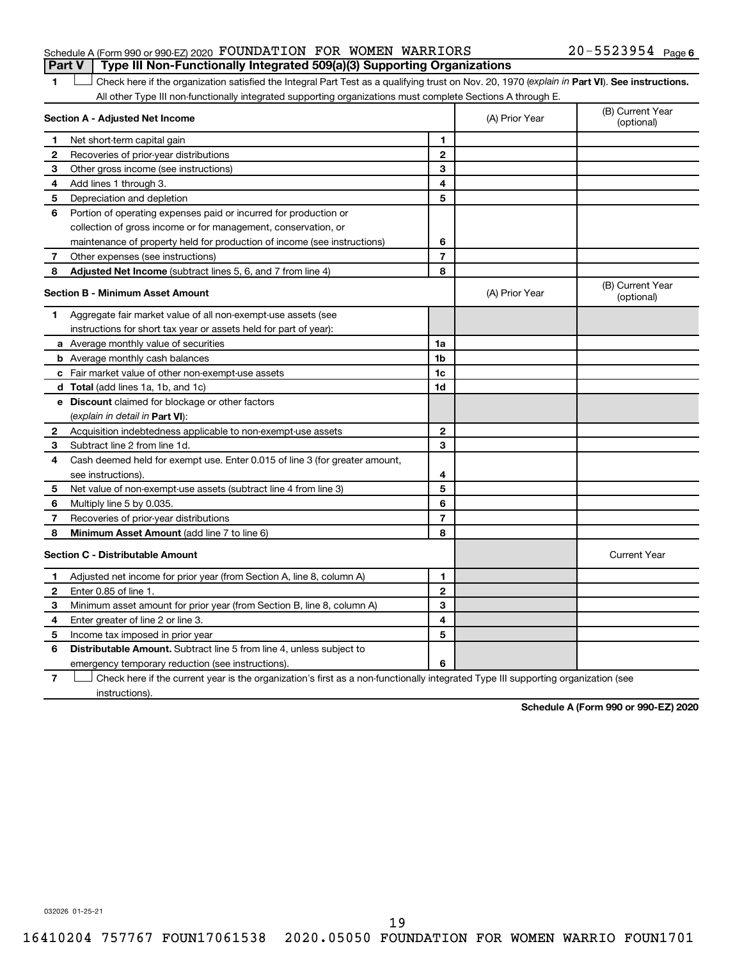### Schedule A (Form 990 or 990-EZ) 2020 Page FOUNDATION FOR WOMEN WARRIORS 20-5523954 **Part V Type III Non-Functionally Integrated 509(a)(3) Supporting Organizations**

### 20-5523954 Page 6

1 **Letter See instructions.** Check here if the organization satisfied the Integral Part Test as a qualifying trust on Nov. 20, 1970 (*explain in* Part **VI**). See instructions. All other Type III non-functionally integrated supporting organizations must complete Sections A through E.

|    | Section A - Adjusted Net Income                                             |                | (A) Prior Year | (B) Current Year<br>(optional) |
|----|-----------------------------------------------------------------------------|----------------|----------------|--------------------------------|
| 1  | Net short-term capital gain                                                 | 1              |                |                                |
| 2  | Recoveries of prior-year distributions                                      | $\mathbf{2}$   |                |                                |
| 3  | Other gross income (see instructions)                                       | 3              |                |                                |
| 4  | Add lines 1 through 3.                                                      | 4              |                |                                |
| 5  | Depreciation and depletion                                                  | 5              |                |                                |
| 6  | Portion of operating expenses paid or incurred for production or            |                |                |                                |
|    | collection of gross income or for management, conservation, or              |                |                |                                |
|    | maintenance of property held for production of income (see instructions)    | 6              |                |                                |
| 7  | Other expenses (see instructions)                                           | $\overline{7}$ |                |                                |
| 8  | Adjusted Net Income (subtract lines 5, 6, and 7 from line 4)                | 8              |                |                                |
|    | <b>Section B - Minimum Asset Amount</b>                                     |                | (A) Prior Year | (B) Current Year<br>(optional) |
| 1. | Aggregate fair market value of all non-exempt-use assets (see               |                |                |                                |
|    | instructions for short tax year or assets held for part of year):           |                |                |                                |
|    | a Average monthly value of securities                                       | 1a             |                |                                |
|    | <b>b</b> Average monthly cash balances                                      | 1b             |                |                                |
|    | c Fair market value of other non-exempt-use assets                          | 1c             |                |                                |
|    | d Total (add lines 1a, 1b, and 1c)                                          | 1d             |                |                                |
|    | e Discount claimed for blockage or other factors                            |                |                |                                |
|    | (explain in detail in Part VI):                                             |                |                |                                |
| 2  | Acquisition indebtedness applicable to non-exempt-use assets                | $\mathbf{2}$   |                |                                |
| З  | Subtract line 2 from line 1d.                                               | 3              |                |                                |
| 4  | Cash deemed held for exempt use. Enter 0.015 of line 3 (for greater amount, |                |                |                                |
|    | see instructions).                                                          | 4              |                |                                |
| 5  | Net value of non-exempt-use assets (subtract line 4 from line 3)            | 5              |                |                                |
| 6  | Multiply line 5 by 0.035.                                                   | 6              |                |                                |
| 7  | Recoveries of prior-year distributions                                      | $\overline{7}$ |                |                                |
| 8  | Minimum Asset Amount (add line 7 to line 6)                                 | 8              |                |                                |
|    | <b>Section C - Distributable Amount</b>                                     |                |                | <b>Current Year</b>            |
| 1  | Adjusted net income for prior year (from Section A, line 8, column A)       | 1              |                |                                |
| 2  | Enter 0.85 of line 1.                                                       | $\mathbf{2}$   |                |                                |
| 3  | Minimum asset amount for prior year (from Section B, line 8, column A)      | 3              |                |                                |
| 4  | Enter greater of line 2 or line 3.                                          | 4              |                |                                |
| 5  | Income tax imposed in prior year                                            | 5              |                |                                |
| 6  | <b>Distributable Amount.</b> Subtract line 5 from line 4, unless subject to |                |                |                                |
|    | emergency temporary reduction (see instructions).                           | 6              |                |                                |
|    |                                                                             |                |                |                                |

**7** Check here if the current year is the organization's first as a non-functionally integrated Type III supporting organization (see † instructions).

**Schedule A (Form 990 or 990-EZ) 2020**

032026 01-25-21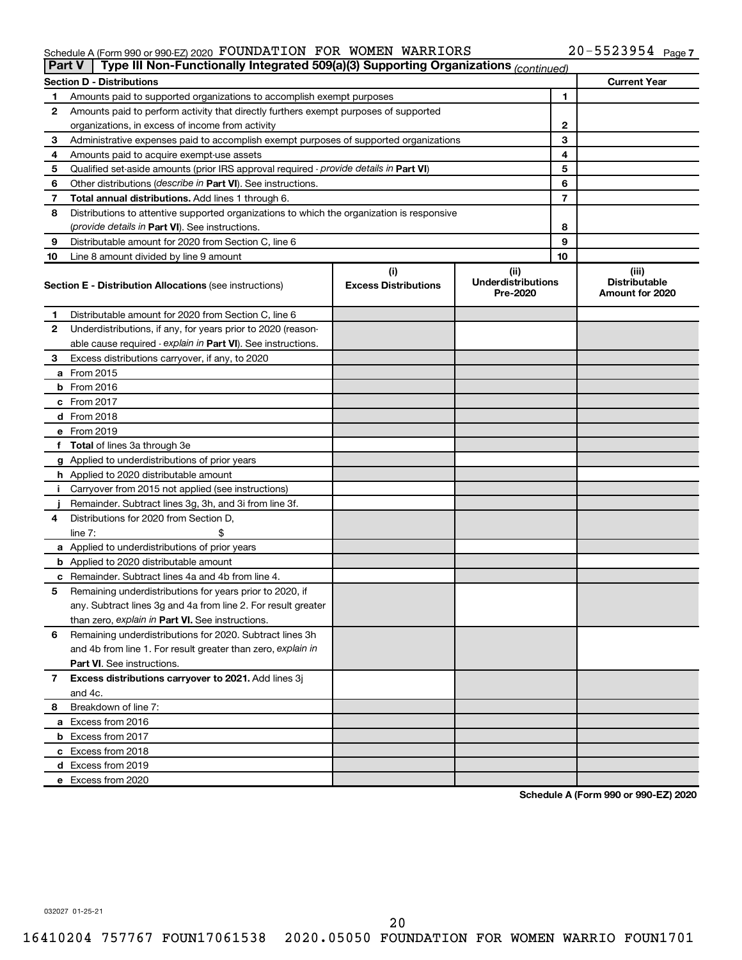#### $\footnotesize$  Schedule A (Form 990 or 990-EZ) 2020 <code>FOUNDATION</code> FOR <code>WOMEN</code> WARRIORS  $\footnotesize$   $\footnotesize$   $\footnotesize$   $\footnotesize$   $\footnotesize$   $\footnotesize$   $\footnotesize$   $\footnotesize$   $\footnotesize$   $\footnotesize$   $\footnotesize$   $\footnotesize$   $\footnotesize$   $\footnotesize$   $\footnotesize$   $\footnotesize$   $\footnotesize$   $\footnotesize$   $\footnotesize$   $\footnotesize$   $\foot$ FOUNDATION FOR WOMEN WARRIORS 20-5523954

| <b>Part V</b> | Type III Non-Functionally Integrated 509(a)(3) Supporting Organizations (continued)        |                                    |                                               |    |                                                  |
|---------------|--------------------------------------------------------------------------------------------|------------------------------------|-----------------------------------------------|----|--------------------------------------------------|
|               | <b>Section D - Distributions</b>                                                           |                                    |                                               |    | <b>Current Year</b>                              |
| 1             | Amounts paid to supported organizations to accomplish exempt purposes                      |                                    |                                               | 1  |                                                  |
| 2             | Amounts paid to perform activity that directly furthers exempt purposes of supported       |                                    |                                               |    |                                                  |
|               | organizations, in excess of income from activity                                           |                                    |                                               | 2  |                                                  |
| 3             | Administrative expenses paid to accomplish exempt purposes of supported organizations      |                                    |                                               | 3  |                                                  |
| 4             | Amounts paid to acquire exempt-use assets                                                  |                                    |                                               | 4  |                                                  |
| 5             | Qualified set-aside amounts (prior IRS approval required - provide details in Part VI)     |                                    |                                               | 5  |                                                  |
| 6             | Other distributions ( <i>describe in Part VI</i> ). See instructions.                      |                                    |                                               | 6  |                                                  |
| 7             | Total annual distributions. Add lines 1 through 6.                                         |                                    |                                               | 7  |                                                  |
| 8             | Distributions to attentive supported organizations to which the organization is responsive |                                    |                                               |    |                                                  |
|               | (provide details in Part VI). See instructions.                                            |                                    |                                               | 8  |                                                  |
| 9             | Distributable amount for 2020 from Section C, line 6                                       |                                    |                                               | 9  |                                                  |
| 10            | Line 8 amount divided by line 9 amount                                                     |                                    |                                               | 10 |                                                  |
|               | <b>Section E - Distribution Allocations (see instructions)</b>                             | (i)<br><b>Excess Distributions</b> | (ii)<br><b>Underdistributions</b><br>Pre-2020 |    | (iii)<br><b>Distributable</b><br>Amount for 2020 |
| 1             | Distributable amount for 2020 from Section C, line 6                                       |                                    |                                               |    |                                                  |
| 2             | Underdistributions, if any, for years prior to 2020 (reason-                               |                                    |                                               |    |                                                  |
|               | able cause required - explain in Part VI). See instructions.                               |                                    |                                               |    |                                                  |
| 3             | Excess distributions carryover, if any, to 2020                                            |                                    |                                               |    |                                                  |
|               | a From 2015                                                                                |                                    |                                               |    |                                                  |
|               | <b>b</b> From 2016                                                                         |                                    |                                               |    |                                                  |
|               | c From 2017                                                                                |                                    |                                               |    |                                                  |
|               | d From 2018                                                                                |                                    |                                               |    |                                                  |
|               | e From 2019                                                                                |                                    |                                               |    |                                                  |
|               | f Total of lines 3a through 3e                                                             |                                    |                                               |    |                                                  |
|               | g Applied to underdistributions of prior years                                             |                                    |                                               |    |                                                  |
|               | <b>h</b> Applied to 2020 distributable amount                                              |                                    |                                               |    |                                                  |
| Ť.            | Carryover from 2015 not applied (see instructions)                                         |                                    |                                               |    |                                                  |
|               | Remainder. Subtract lines 3g, 3h, and 3i from line 3f.                                     |                                    |                                               |    |                                                  |
| 4             | Distributions for 2020 from Section D,                                                     |                                    |                                               |    |                                                  |
|               | line $7:$                                                                                  |                                    |                                               |    |                                                  |
|               | a Applied to underdistributions of prior years                                             |                                    |                                               |    |                                                  |
|               | <b>b</b> Applied to 2020 distributable amount                                              |                                    |                                               |    |                                                  |
|               | c Remainder. Subtract lines 4a and 4b from line 4.                                         |                                    |                                               |    |                                                  |
| 5             | Remaining underdistributions for years prior to 2020, if                                   |                                    |                                               |    |                                                  |
|               | any. Subtract lines 3g and 4a from line 2. For result greater                              |                                    |                                               |    |                                                  |
|               | than zero, explain in Part VI. See instructions.                                           |                                    |                                               |    |                                                  |
| 6             | Remaining underdistributions for 2020. Subtract lines 3h                                   |                                    |                                               |    |                                                  |
|               | and 4b from line 1. For result greater than zero, explain in                               |                                    |                                               |    |                                                  |
|               | <b>Part VI.</b> See instructions.                                                          |                                    |                                               |    |                                                  |
| 7             | Excess distributions carryover to 2021. Add lines 3j                                       |                                    |                                               |    |                                                  |
|               | and 4c.                                                                                    |                                    |                                               |    |                                                  |
| 8             | Breakdown of line 7:                                                                       |                                    |                                               |    |                                                  |
|               | a Excess from 2016                                                                         |                                    |                                               |    |                                                  |
|               | <b>b</b> Excess from 2017                                                                  |                                    |                                               |    |                                                  |
|               | c Excess from 2018                                                                         |                                    |                                               |    |                                                  |
|               | d Excess from 2019                                                                         |                                    |                                               |    |                                                  |
|               | e Excess from 2020                                                                         |                                    |                                               |    |                                                  |

**Schedule A (Form 990 or 990-EZ) 2020**

032027 01-25-21

20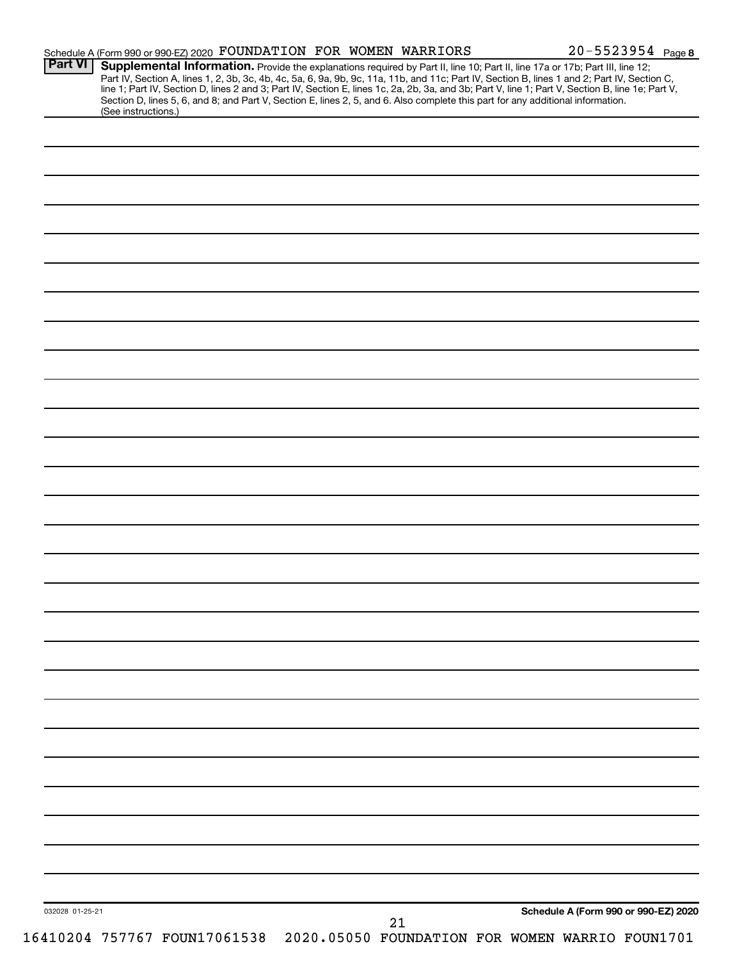| <b>Part VI</b>  | Schedule A (Form 990 or 990-EZ) 2020 FOUNDATION FOR WOMEN WARRIORS                                                                                                                                                                     |  |    | $20 - 5523954$ Page 8                |  |
|-----------------|----------------------------------------------------------------------------------------------------------------------------------------------------------------------------------------------------------------------------------------|--|----|--------------------------------------|--|
|                 | <b>Supplemental Information.</b> Provide the explanations required by Part II, line 10; Part II, line 17a or 17b; Part III, line 12;<br>Part IV, Section A, lines 1, 2, 3b, 3c, 4b, 4c, 5a, 6, 9a, 9b, 9c, 11a, 11b, and 11c; Part IV, |  |    |                                      |  |
|                 | Section D, lines 5, 6, and 8; and Part V, Section E, lines 2, 5, and 6. Also complete this part for any additional information.<br>(See instructions.)                                                                                 |  |    |                                      |  |
|                 |                                                                                                                                                                                                                                        |  |    |                                      |  |
|                 |                                                                                                                                                                                                                                        |  |    |                                      |  |
|                 |                                                                                                                                                                                                                                        |  |    |                                      |  |
|                 |                                                                                                                                                                                                                                        |  |    |                                      |  |
|                 |                                                                                                                                                                                                                                        |  |    |                                      |  |
|                 |                                                                                                                                                                                                                                        |  |    |                                      |  |
|                 |                                                                                                                                                                                                                                        |  |    |                                      |  |
|                 |                                                                                                                                                                                                                                        |  |    |                                      |  |
|                 |                                                                                                                                                                                                                                        |  |    |                                      |  |
|                 |                                                                                                                                                                                                                                        |  |    |                                      |  |
|                 |                                                                                                                                                                                                                                        |  |    |                                      |  |
|                 |                                                                                                                                                                                                                                        |  |    |                                      |  |
|                 |                                                                                                                                                                                                                                        |  |    |                                      |  |
|                 |                                                                                                                                                                                                                                        |  |    |                                      |  |
|                 |                                                                                                                                                                                                                                        |  |    |                                      |  |
|                 |                                                                                                                                                                                                                                        |  |    |                                      |  |
|                 |                                                                                                                                                                                                                                        |  |    |                                      |  |
|                 |                                                                                                                                                                                                                                        |  |    |                                      |  |
|                 |                                                                                                                                                                                                                                        |  |    |                                      |  |
|                 |                                                                                                                                                                                                                                        |  |    |                                      |  |
|                 |                                                                                                                                                                                                                                        |  |    |                                      |  |
|                 |                                                                                                                                                                                                                                        |  |    |                                      |  |
|                 |                                                                                                                                                                                                                                        |  |    |                                      |  |
|                 |                                                                                                                                                                                                                                        |  |    |                                      |  |
|                 |                                                                                                                                                                                                                                        |  |    |                                      |  |
|                 |                                                                                                                                                                                                                                        |  |    |                                      |  |
|                 |                                                                                                                                                                                                                                        |  |    |                                      |  |
|                 |                                                                                                                                                                                                                                        |  |    |                                      |  |
|                 |                                                                                                                                                                                                                                        |  |    |                                      |  |
|                 |                                                                                                                                                                                                                                        |  |    |                                      |  |
|                 |                                                                                                                                                                                                                                        |  |    |                                      |  |
|                 |                                                                                                                                                                                                                                        |  |    |                                      |  |
|                 |                                                                                                                                                                                                                                        |  |    |                                      |  |
|                 |                                                                                                                                                                                                                                        |  |    |                                      |  |
|                 |                                                                                                                                                                                                                                        |  |    |                                      |  |
|                 |                                                                                                                                                                                                                                        |  |    |                                      |  |
|                 |                                                                                                                                                                                                                                        |  |    |                                      |  |
|                 |                                                                                                                                                                                                                                        |  |    |                                      |  |
|                 |                                                                                                                                                                                                                                        |  |    |                                      |  |
|                 |                                                                                                                                                                                                                                        |  |    |                                      |  |
| 032028 01-25-21 |                                                                                                                                                                                                                                        |  |    | Schedule A (Form 990 or 990-EZ) 2020 |  |
|                 | 16410204 757767 FOUN17061538 2020.05050 FOUNDATION FOR WOMEN WARRIO FOUN1701                                                                                                                                                           |  | 21 |                                      |  |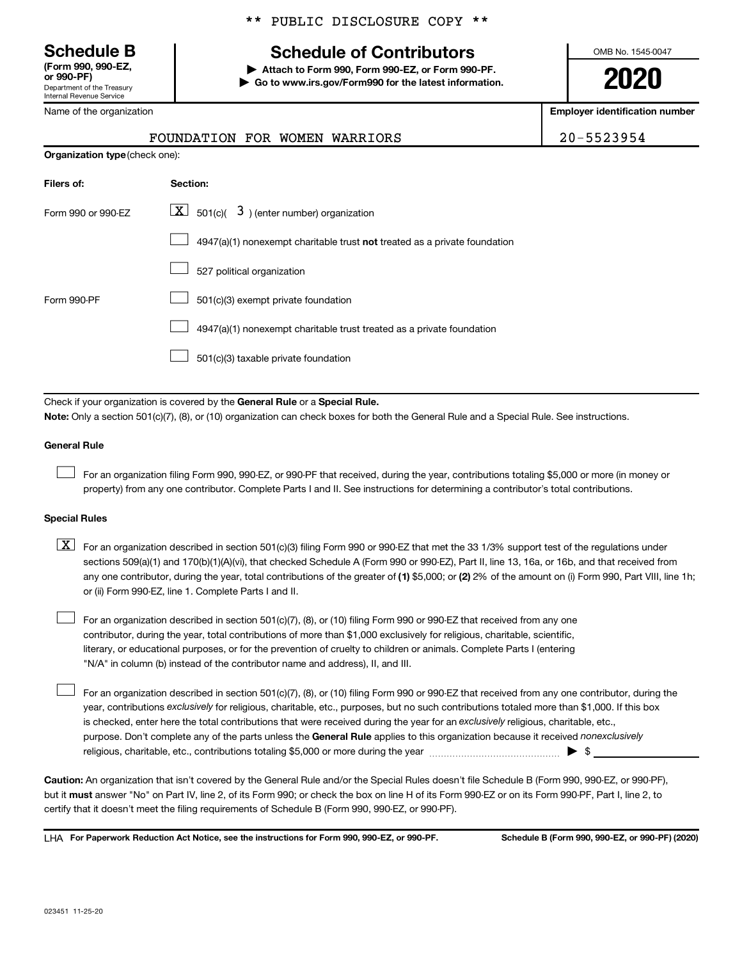**(Form 990, 990-EZ,**

Department of the Treasury Internal Revenue Service

Name of the organization

## **Schedule B Schedule of Contributors**

**or 990-PF) | Attach to Form 990, Form 990-EZ, or Form 990-PF. | Go to www.irs.gov/Form990 for the latest information.** OMB No. 1545-0047

**2020**

**Employer identification number**

| 20-552395 |
|-----------|
|-----------|

|                                       | FOUNDATION FOR WOMEN WARRIORS |  | 20-5523954 |
|---------------------------------------|-------------------------------|--|------------|
| <b>Organization type (check one):</b> |                               |  |            |
| Filers of:                            | Section:                      |  |            |
|                                       | $\overline{z}$                |  |            |

| Form 990 or 990-FZ | $\overline{X}$ 501(c)( 3) (enter number) organization                              |
|--------------------|------------------------------------------------------------------------------------|
|                    | $4947(a)(1)$ nonexempt charitable trust <b>not</b> treated as a private foundation |
|                    | 527 political organization                                                         |
| Form 990-PF        | 501(c)(3) exempt private foundation                                                |
|                    | 4947(a)(1) nonexempt charitable trust treated as a private foundation              |
|                    | 501(c)(3) taxable private foundation                                               |

Check if your organization is covered by the General Rule or a Special Rule. **Note:**  Only a section 501(c)(7), (8), or (10) organization can check boxes for both the General Rule and a Special Rule. See instructions.

### **General Rule**

 $\Box$ 

 $\Box$ 

For an organization filing Form 990, 990-EZ, or 990-PF that received, during the year, contributions totaling \$5,000 or more (in money or property) from any one contributor. Complete Parts I and II. See instructions for determining a contributor's total contributions.

### **Special Rules**

- any one contributor, during the year, total contributions of the greater of (1) \$5,000; or (2) 2% of the amount on (i) Form 990, Part VIII, line 1h;  $\boxed{\text{X}}$  For an organization described in section 501(c)(3) filing Form 990 or 990-EZ that met the 33 1/3% support test of the regulations under sections 509(a)(1) and 170(b)(1)(A)(vi), that checked Schedule A (Form 990 or 990-EZ), Part II, line 13, 16a, or 16b, and that received from or (ii) Form 990-EZ, line 1. Complete Parts I and II.
- For an organization described in section 501(c)(7), (8), or (10) filing Form 990 or 990-EZ that received from any one contributor, during the year, total contributions of more than \$1,000 exclusively for religious, charitable, scientific, literary, or educational purposes, or for the prevention of cruelty to children or animals. Complete Parts I (entering "N/A" in column (b) instead of the contributor name and address), II, and III.  $\Box$

purpose. Don't complete any of the parts unless the General Rule applies to this organization because it received nonexclusively year, contributions exclusively for religious, charitable, etc., purposes, but no such contributions totaled more than \$1,000. If this box is checked, enter here the total contributions that were received during the year for an exclusively religious, charitable, etc., For an organization described in section 501(c)(7), (8), or (10) filing Form 990 or 990-EZ that received from any one contributor, during the religious, charitable, etc., contributions totaling \$5,000 or more during the year  $~\ldots\ldots\ldots\ldots\ldots\ldots\ldots\ldots\blacktriangleright~$ \$

**Caution:**  An organization that isn't covered by the General Rule and/or the Special Rules doesn't file Schedule B (Form 990, 990-EZ, or 990-PF),  **must** but it answer "No" on Part IV, line 2, of its Form 990; or check the box on line H of its Form 990-EZ or on its Form 990-PF, Part I, line 2, to certify that it doesn't meet the filing requirements of Schedule B (Form 990, 990-EZ, or 990-PF).

**For Paperwork Reduction Act Notice, see the instructions for Form 990, 990-EZ, or 990-PF. Schedule B (Form 990, 990-EZ, or 990-PF) (2020)** LHA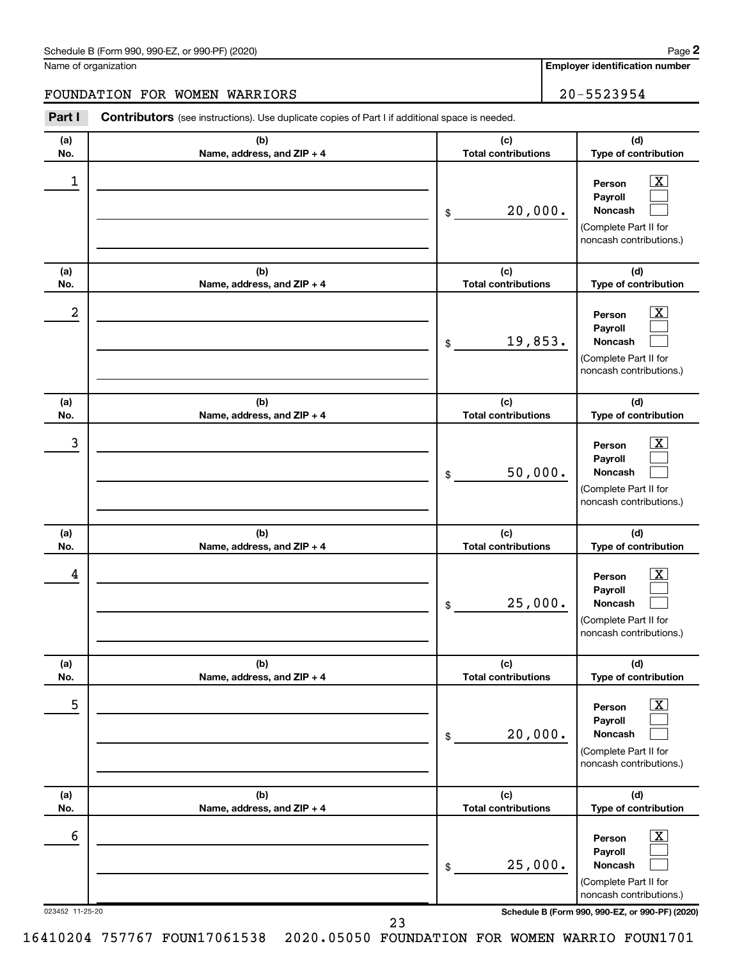| Schedule B (Form 990, 990-EZ, or 990-PF) (2020)<br>. The state of the state $\mathcal{L}$ is the state of the state of the state of the state of the state of the state of the state of the state of the state of the state of the state of the state of the state of the state of th | Page |
|---------------------------------------------------------------------------------------------------------------------------------------------------------------------------------------------------------------------------------------------------------------------------------------|------|
|---------------------------------------------------------------------------------------------------------------------------------------------------------------------------------------------------------------------------------------------------------------------------------------|------|

Name of organization

**Employer identification number**

### FOUNDATION FOR WOMEN WARRIORS 20-5523954

**Part I** Contributors (see instructions). Use duplicate copies of Part I if additional space is needed.

| (a) | (b)                               | (c)                               | (d)                                                                                                         |
|-----|-----------------------------------|-----------------------------------|-------------------------------------------------------------------------------------------------------------|
| No. | Name, address, and ZIP + 4        | <b>Total contributions</b>        | Type of contribution                                                                                        |
| 1   |                                   | 20,000.<br>\$                     | $\overline{\text{X}}$<br>Person<br>Payroll<br>Noncash<br>(Complete Part II for<br>noncash contributions.)   |
| (a) | (b)<br>Name, address, and ZIP + 4 | (c)<br><b>Total contributions</b> | (d)<br>Type of contribution                                                                                 |
| No. |                                   |                                   |                                                                                                             |
| 2   |                                   | 19,853.<br>\$                     | $\overline{\mathbf{X}}$<br>Person<br>Payroll<br>Noncash<br>(Complete Part II for<br>noncash contributions.) |
| (a) | (b)                               | (c)                               | (d)                                                                                                         |
| No. | Name, address, and ZIP + 4        | <b>Total contributions</b>        | Type of contribution                                                                                        |
| 3   |                                   | 50,000.<br>\$                     | $\overline{\textbf{X}}$<br>Person<br>Payroll<br>Noncash<br>(Complete Part II for<br>noncash contributions.) |
| (a) | (b)                               | (c)                               | (d)                                                                                                         |
| No. |                                   |                                   |                                                                                                             |
|     | Name, address, and ZIP + 4        | <b>Total contributions</b>        | Type of contribution                                                                                        |
| 4   |                                   | 25,000.<br>\$                     | x<br>Person<br>Payroll<br><b>Noncash</b><br>(Complete Part II for<br>noncash contributions.)                |
| (a) | (b)                               | (c)                               | (d)                                                                                                         |
| No. | Name, address, and $ZIP + 4$      | <b>Total contributions</b>        | Type of contribution                                                                                        |
| 5   |                                   | 20,000.<br>\$                     | $\overline{\mathbf{X}}$<br>Person<br>Payroll<br>Noncash<br>(Complete Part II for<br>noncash contributions.) |
| (a) | (b)                               | (c)                               | (d)                                                                                                         |
| No. | Name, address, and ZIP + 4        | <b>Total contributions</b>        | Type of contribution                                                                                        |
| 6   |                                   | 25,000.<br>\$                     | $\boxed{\text{X}}$<br>Person<br>Payroll<br>Noncash<br>(Complete Part II for<br>noncash contributions.)      |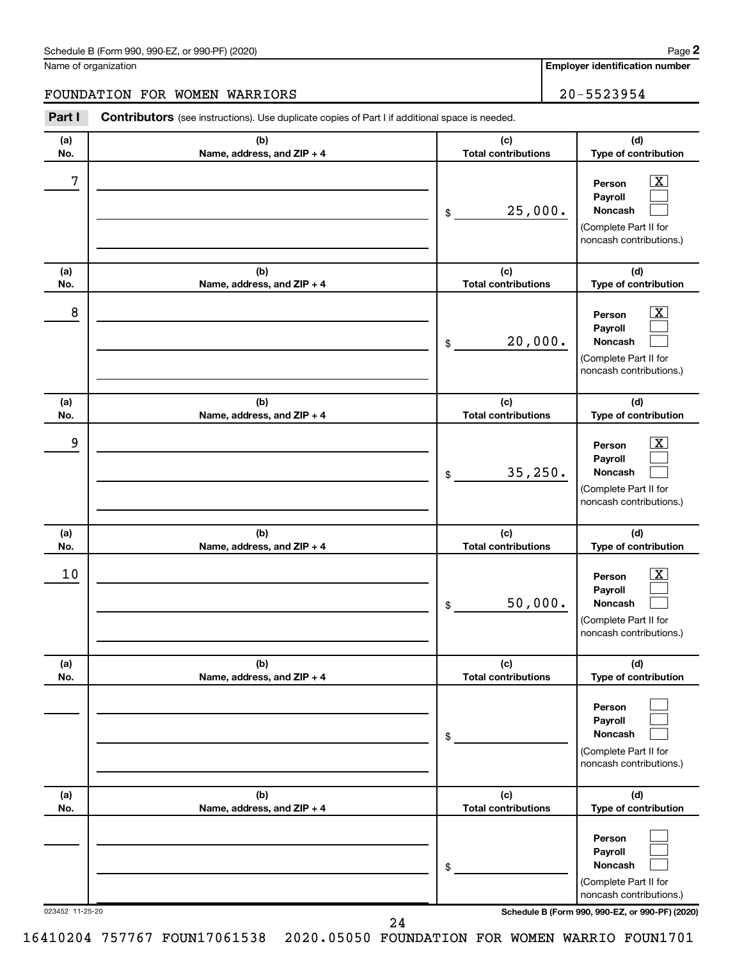Name of organization

### FOUNDATION FOR WOMEN WARRIORS | 20-5523954

**Part I** Contributors (see instructions). Use duplicate copies of Part I if additional space is needed.

| (a)             | (b)                               | (c)                               | (d)                                                                                                                                 |
|-----------------|-----------------------------------|-----------------------------------|-------------------------------------------------------------------------------------------------------------------------------------|
| No.             | Name, address, and ZIP + 4        | <b>Total contributions</b>        | Type of contribution                                                                                                                |
| 7               |                                   | 25,000.<br>\$                     | $\overline{\mathbf{X}}$<br>Person<br>Payroll<br>Noncash<br>(Complete Part II for<br>noncash contributions.)                         |
| (a)<br>No.      | (b)<br>Name, address, and ZIP + 4 | (c)<br><b>Total contributions</b> | (d)<br>Type of contribution                                                                                                         |
| 8               |                                   | 20,000.<br>\$                     | $\overline{\text{X}}$<br>Person<br>Payroll<br>Noncash<br>(Complete Part II for<br>noncash contributions.)                           |
| (a)<br>No.      | (b)<br>Name, address, and ZIP + 4 | (c)<br><b>Total contributions</b> | (d)<br>Type of contribution                                                                                                         |
| 9               |                                   | 35, 250.<br>\$                    | $\overline{\mathbf{X}}$<br>Person<br>Payroll<br><b>Noncash</b><br>(Complete Part II for<br>noncash contributions.)                  |
| (a)<br>No.      | (b)<br>Name, address, and ZIP + 4 | (c)<br><b>Total contributions</b> | (d)<br>Type of contribution                                                                                                         |
| 10              |                                   | 50,000.<br>\$                     | $\overline{\mathbf{X}}$<br>Person<br>Payroll<br>Noncash<br>(Complete Part II for<br>noncash contributions.)                         |
| (a)<br>NO.      | (b)<br>Name, address, and ZIP + 4 | (c)<br>Total contributions        | (d)<br>Type of contribution                                                                                                         |
|                 |                                   | \$                                | Person<br>Payroll<br>Noncash<br>(Complete Part II for<br>noncash contributions.)                                                    |
| (a)<br>No.      | (b)<br>Name, address, and ZIP + 4 | (c)<br><b>Total contributions</b> | (d)<br>Type of contribution                                                                                                         |
| 023452 11-25-20 |                                   | \$                                | Person<br>Payroll<br>Noncash<br>(Complete Part II for<br>noncash contributions.)<br>Schedule B (Form 990, 990-EZ, or 990-PF) (2020) |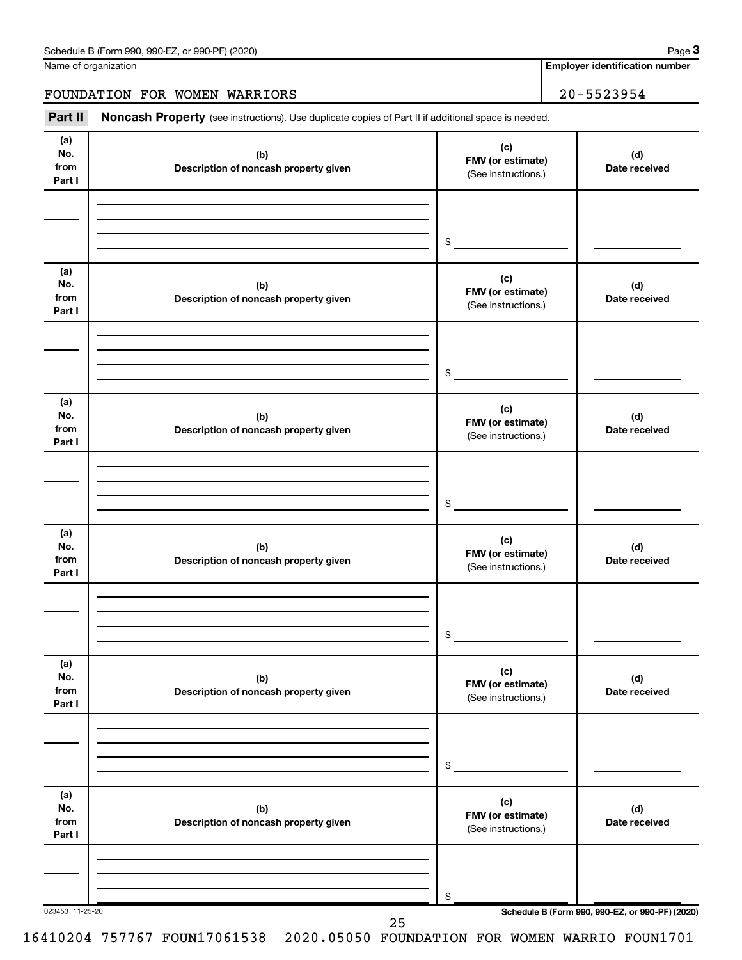Name of organization

**Employer identification number**

FOUNDATION FOR WOMEN WARRIORS | 20-5523954

Part II Noncash Property (see instructions). Use duplicate copies of Part II if additional space is needed.

| (a)<br>No.<br>from<br>Part I | (b)<br>Description of noncash property given | (c)<br>FMV (or estimate)<br>(See instructions.) | (d)<br>Date received                            |
|------------------------------|----------------------------------------------|-------------------------------------------------|-------------------------------------------------|
|                              |                                              |                                                 |                                                 |
|                              |                                              | $\frac{1}{2}$                                   |                                                 |
| (a)<br>No.<br>from<br>Part I | (b)<br>Description of noncash property given | (c)<br>FMV (or estimate)<br>(See instructions.) | (d)<br>Date received                            |
|                              |                                              |                                                 |                                                 |
|                              |                                              | $\frac{1}{2}$                                   |                                                 |
| (a)<br>No.<br>from<br>Part I | (b)<br>Description of noncash property given | (c)<br>FMV (or estimate)<br>(See instructions.) | (d)<br>Date received                            |
|                              |                                              |                                                 |                                                 |
|                              |                                              | $\frac{1}{2}$                                   |                                                 |
| (a)<br>No.<br>from<br>Part I | (b)<br>Description of noncash property given | (c)<br>FMV (or estimate)<br>(See instructions.) | (d)<br>Date received                            |
|                              |                                              |                                                 |                                                 |
|                              |                                              | $\frac{1}{2}$                                   |                                                 |
| (a)<br>No.<br>from<br>Part I | (b)<br>Description of noncash property given | (c)<br>FMV (or estimate)<br>(See instructions.) | (d)<br>Date received                            |
|                              |                                              |                                                 |                                                 |
|                              |                                              | \$                                              |                                                 |
| (a)<br>No.<br>from<br>Part I | (b)<br>Description of noncash property given | (c)<br>FMV (or estimate)<br>(See instructions.) | (d)<br>Date received                            |
|                              |                                              |                                                 |                                                 |
| 023453 11-25-20              |                                              | \$                                              | Schedule B (Form 990, 990-EZ, or 990-PF) (2020) |
|                              | 25                                           |                                                 |                                                 |

16410204 757767 FOUN17061538 2020.05050 FOUNDATION FOR WOMEN WARRIO FOUN1701

**3**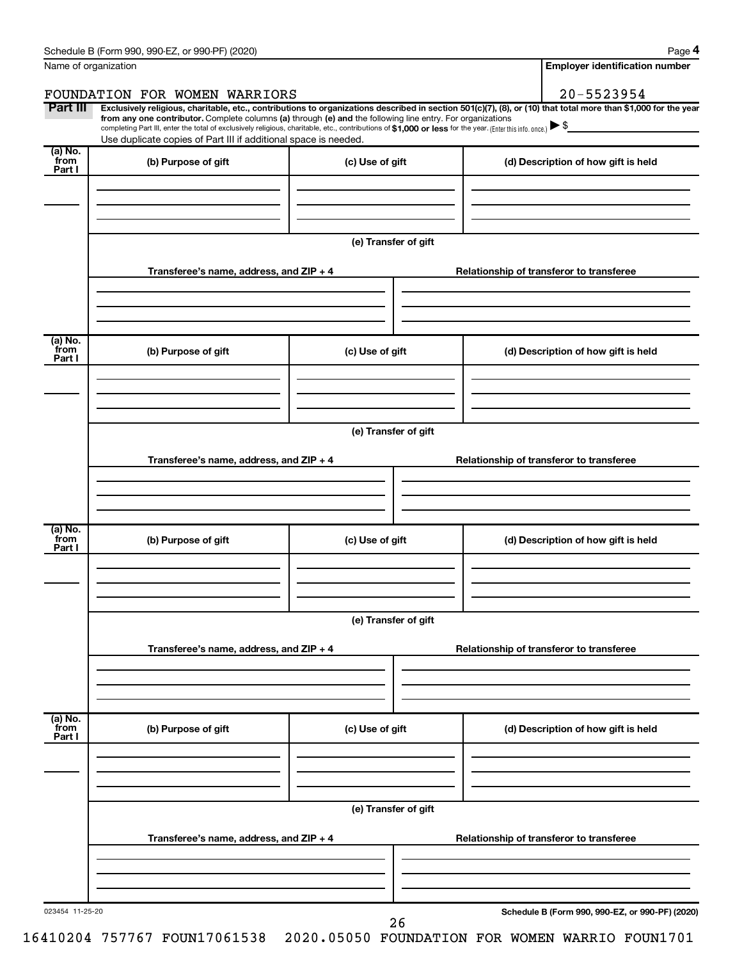|                           | Schedule B (Form 990, 990-EZ, or 990-PF) (2020)                                                                                                                                                                                                                                                                                                                                                                                                                                                                  |                      | Page 4                                          |
|---------------------------|------------------------------------------------------------------------------------------------------------------------------------------------------------------------------------------------------------------------------------------------------------------------------------------------------------------------------------------------------------------------------------------------------------------------------------------------------------------------------------------------------------------|----------------------|-------------------------------------------------|
|                           | Name of organization                                                                                                                                                                                                                                                                                                                                                                                                                                                                                             |                      | <b>Employer identification number</b>           |
|                           | FOUNDATION FOR WOMEN WARRIORS                                                                                                                                                                                                                                                                                                                                                                                                                                                                                    |                      | 20-5523954                                      |
| Part III                  | Exclusively religious, charitable, etc., contributions to organizations described in section 501(c)(7), (8), or (10) that total more than \$1,000 for the year<br>from any one contributor. Complete columns (a) through (e) and the following line entry. For organizations<br>completing Part III, enter the total of exclusively religious, charitable, etc., contributions of \$1,000 or less for the year. (Enter this info. once.) > \$<br>Use duplicate copies of Part III if additional space is needed. |                      |                                                 |
| (a) No.<br>from<br>Part I | (b) Purpose of gift                                                                                                                                                                                                                                                                                                                                                                                                                                                                                              | (c) Use of gift      | (d) Description of how gift is held             |
|                           |                                                                                                                                                                                                                                                                                                                                                                                                                                                                                                                  |                      |                                                 |
|                           |                                                                                                                                                                                                                                                                                                                                                                                                                                                                                                                  | (e) Transfer of gift |                                                 |
|                           | Transferee's name, address, and $ZIP + 4$                                                                                                                                                                                                                                                                                                                                                                                                                                                                        |                      | Relationship of transferor to transferee        |
| (a) No.                   |                                                                                                                                                                                                                                                                                                                                                                                                                                                                                                                  |                      |                                                 |
| from<br>Part I            | (b) Purpose of gift                                                                                                                                                                                                                                                                                                                                                                                                                                                                                              | (c) Use of gift      | (d) Description of how gift is held             |
|                           |                                                                                                                                                                                                                                                                                                                                                                                                                                                                                                                  |                      |                                                 |
|                           |                                                                                                                                                                                                                                                                                                                                                                                                                                                                                                                  | (e) Transfer of gift |                                                 |
|                           | Transferee's name, address, and $ZIP + 4$                                                                                                                                                                                                                                                                                                                                                                                                                                                                        |                      | Relationship of transferor to transferee        |
|                           |                                                                                                                                                                                                                                                                                                                                                                                                                                                                                                                  |                      |                                                 |
| (a) No.<br>from<br>Part I | (b) Purpose of gift                                                                                                                                                                                                                                                                                                                                                                                                                                                                                              | (c) Use of gift      | (d) Description of how gift is held             |
|                           |                                                                                                                                                                                                                                                                                                                                                                                                                                                                                                                  |                      |                                                 |
|                           |                                                                                                                                                                                                                                                                                                                                                                                                                                                                                                                  | (e) Transfer of gift |                                                 |
|                           | Transferee's name, address, and ZIP + 4                                                                                                                                                                                                                                                                                                                                                                                                                                                                          |                      | Relationship of transferor to transferee        |
|                           |                                                                                                                                                                                                                                                                                                                                                                                                                                                                                                                  |                      |                                                 |
| (a) No.<br>from<br>Part I | (b) Purpose of gift                                                                                                                                                                                                                                                                                                                                                                                                                                                                                              | (c) Use of gift      | (d) Description of how gift is held             |
|                           |                                                                                                                                                                                                                                                                                                                                                                                                                                                                                                                  |                      |                                                 |
|                           |                                                                                                                                                                                                                                                                                                                                                                                                                                                                                                                  | (e) Transfer of gift |                                                 |
|                           | Transferee's name, address, and ZIP + 4                                                                                                                                                                                                                                                                                                                                                                                                                                                                          |                      | Relationship of transferor to transferee        |
|                           |                                                                                                                                                                                                                                                                                                                                                                                                                                                                                                                  |                      |                                                 |
| 023454 11-25-20           |                                                                                                                                                                                                                                                                                                                                                                                                                                                                                                                  | 26                   | Schedule B (Form 990, 990-EZ, or 990-PF) (2020) |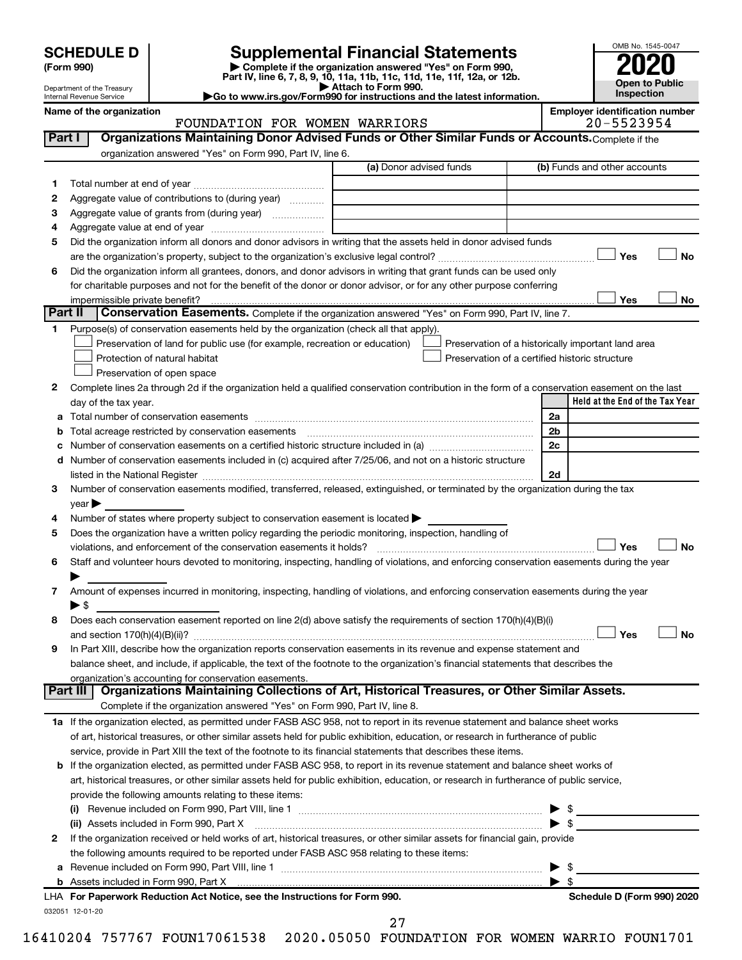| <b>SCHEDULE D</b> |  |
|-------------------|--|
|-------------------|--|

| (Form 990) |
|------------|
|            |

# **SCHEDULE D Supplemental Financial Statements**<br> **Form 990 2020**<br> **Part IV** line 6.7.8.9.10, 11a, 11b, 11d, 11d, 11d, 11d, 11d, 12a, 0r, 12b

**(Form 990) | Complete if the organization answered "Yes" on Form 990, Part IV, line 6, 7, 8, 9, 10, 11a, 11b, 11c, 11d, 11e, 11f, 12a, or 12b.**

**| Attach to Form 990. |Go to www.irs.gov/Form990 for instructions and the latest information.**



Department of the Treasury Internal Revenue Service

### FOUNDATION FOR WOMEN WARRIORS

| Name of the organization |                               |  |                                                                                       | <b>Emplover identification number</b> |
|--------------------------|-------------------------------|--|---------------------------------------------------------------------------------------|---------------------------------------|
|                          | FOUNDATION FOR WOMEN WARRIORS |  |                                                                                       | $20 - 5523954$                        |
| $P_{\text{max}}$         |                               |  | . Queent-etiana Mainteining Danau Adulaad Funda ay Qikay Qindiay Funda ay Aaaayyata a |                                       |

| Part I  | Organizations Maintaining Donor Advised Funds or Other Similar Funds or Accounts. Complete if the                                                                                                                             |                         |                                                    |
|---------|-------------------------------------------------------------------------------------------------------------------------------------------------------------------------------------------------------------------------------|-------------------------|----------------------------------------------------|
|         | organization answered "Yes" on Form 990, Part IV, line 6.                                                                                                                                                                     |                         |                                                    |
|         |                                                                                                                                                                                                                               | (a) Donor advised funds | (b) Funds and other accounts                       |
| 1.      |                                                                                                                                                                                                                               |                         |                                                    |
| 2       | Aggregate value of contributions to (during year)                                                                                                                                                                             |                         |                                                    |
| з       | Aggregate value of grants from (during year)                                                                                                                                                                                  |                         |                                                    |
| 4       |                                                                                                                                                                                                                               |                         |                                                    |
| 5       | Did the organization inform all donors and donor advisors in writing that the assets held in donor advised funds                                                                                                              |                         |                                                    |
|         |                                                                                                                                                                                                                               |                         | Yes<br><b>No</b>                                   |
| 6       | Did the organization inform all grantees, donors, and donor advisors in writing that grant funds can be used only                                                                                                             |                         |                                                    |
|         | for charitable purposes and not for the benefit of the donor or donor advisor, or for any other purpose conferring                                                                                                            |                         |                                                    |
|         | impermissible private benefit?                                                                                                                                                                                                |                         | Yes<br>No                                          |
| Part II | Conservation Easements. Complete if the organization answered "Yes" on Form 990, Part IV, line 7.                                                                                                                             |                         |                                                    |
| 1       | Purpose(s) of conservation easements held by the organization (check all that apply).                                                                                                                                         |                         |                                                    |
|         | Preservation of land for public use (for example, recreation or education)                                                                                                                                                    |                         | Preservation of a historically important land area |
|         | Protection of natural habitat                                                                                                                                                                                                 |                         | Preservation of a certified historic structure     |
|         | Preservation of open space                                                                                                                                                                                                    |                         |                                                    |
| 2       | Complete lines 2a through 2d if the organization held a qualified conservation contribution in the form of a conservation easement on the last                                                                                |                         |                                                    |
|         | day of the tax year.                                                                                                                                                                                                          |                         | Held at the End of the Tax Year                    |
| а       |                                                                                                                                                                                                                               |                         | 2a                                                 |
|         |                                                                                                                                                                                                                               |                         | 2 <sub>b</sub>                                     |
|         |                                                                                                                                                                                                                               |                         | 2c                                                 |
|         | d Number of conservation easements included in (c) acquired after 7/25/06, and not on a historic structure                                                                                                                    |                         |                                                    |
|         | listed in the National Register [111] Marshall Register [11] Marshall Register [11] Marshall Register [11] Marshall Register [11] Marshall Register [11] Marshall Register [11] Marshall Register [11] Marshall Register [11] |                         | 2d                                                 |
| 3       | Number of conservation easements modified, transferred, released, extinguished, or terminated by the organization during the tax                                                                                              |                         |                                                    |
|         | year                                                                                                                                                                                                                          |                         |                                                    |
| 4       | Number of states where property subject to conservation easement is located >                                                                                                                                                 |                         |                                                    |
| 5       | Does the organization have a written policy regarding the periodic monitoring, inspection, handling of                                                                                                                        |                         |                                                    |
|         | violations, and enforcement of the conservation easements it holds?                                                                                                                                                           |                         | Yes<br><b>No</b>                                   |
| 6       | Staff and volunteer hours devoted to monitoring, inspecting, handling of violations, and enforcing conservation easements during the year                                                                                     |                         |                                                    |
|         |                                                                                                                                                                                                                               |                         |                                                    |
| 7       | Amount of expenses incurred in monitoring, inspecting, handling of violations, and enforcing conservation easements during the year                                                                                           |                         |                                                    |
|         | $\blacktriangleright$ s                                                                                                                                                                                                       |                         |                                                    |
| 8       | Does each conservation easement reported on line 2(d) above satisfy the requirements of section 170(h)(4)(B)(i)                                                                                                               |                         |                                                    |
|         |                                                                                                                                                                                                                               |                         | Yes<br><b>No</b>                                   |
| 9       | In Part XIII, describe how the organization reports conservation easements in its revenue and expense statement and                                                                                                           |                         |                                                    |
|         | balance sheet, and include, if applicable, the text of the footnote to the organization's financial statements that describes the                                                                                             |                         |                                                    |
|         | organization's accounting for conservation easements.<br>Organizations Maintaining Collections of Art, Historical Treasures, or Other Similar Assets.<br>Part III                                                             |                         |                                                    |
|         | Complete if the organization answered "Yes" on Form 990, Part IV, line 8.                                                                                                                                                     |                         |                                                    |
|         | 1a If the organization elected, as permitted under FASB ASC 958, not to report in its revenue statement and balance sheet works                                                                                               |                         |                                                    |
|         | of art, historical treasures, or other similar assets held for public exhibition, education, or research in furtherance of public                                                                                             |                         |                                                    |
|         | service, provide in Part XIII the text of the footnote to its financial statements that describes these items.                                                                                                                |                         |                                                    |
|         | <b>b</b> If the organization elected, as permitted under FASB ASC 958, to report in its revenue statement and balance sheet works of                                                                                          |                         |                                                    |
|         | art, historical treasures, or other similar assets held for public exhibition, education, or research in furtherance of public service,                                                                                       |                         |                                                    |
|         | provide the following amounts relating to these items:                                                                                                                                                                        |                         |                                                    |
|         |                                                                                                                                                                                                                               |                         | - \$                                               |
|         | (ii) Assets included in Form 990, Part X                                                                                                                                                                                      |                         | $\triangleright$ \$                                |
| 2       | If the organization received or held works of art, historical treasures, or other similar assets for financial gain, provide                                                                                                  |                         |                                                    |
|         | the following amounts required to be reported under FASB ASC 958 relating to these items:                                                                                                                                     |                         |                                                    |
| а       |                                                                                                                                                                                                                               |                         | - \$<br>▶                                          |
|         |                                                                                                                                                                                                                               |                         | $\blacktriangleright$ s                            |
|         | LHA For Paperwork Reduction Act Notice, see the Instructions for Form 990.                                                                                                                                                    |                         | Schedule D (Form 990) 2020                         |
|         | 032051 12-01-20                                                                                                                                                                                                               |                         |                                                    |
|         |                                                                                                                                                                                                                               | 27                      |                                                    |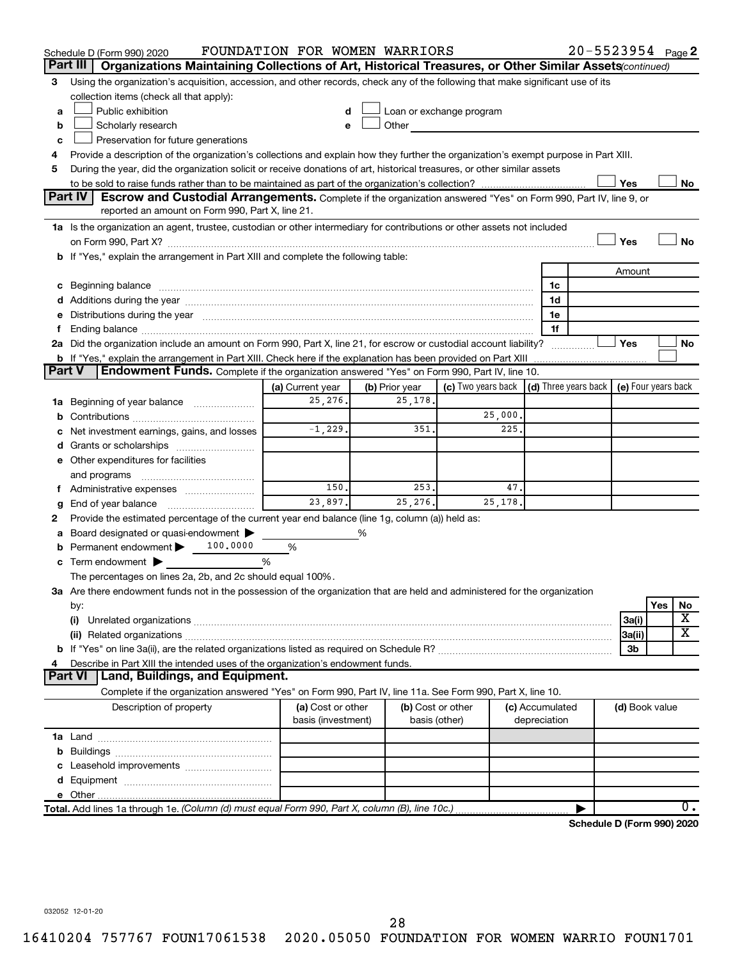|               | Schedule D (Form 990) 2020                                                                                                                                                                                                     | FOUNDATION FOR WOMEN WARRIORS |   |                |                                                                                                                                                                                                                                |  |                 | 20-5523954 Page 2          |                |     |    |
|---------------|--------------------------------------------------------------------------------------------------------------------------------------------------------------------------------------------------------------------------------|-------------------------------|---|----------------|--------------------------------------------------------------------------------------------------------------------------------------------------------------------------------------------------------------------------------|--|-----------------|----------------------------|----------------|-----|----|
|               | Organizations Maintaining Collections of Art, Historical Treasures, or Other Similar Assets (continued)<br>Part III                                                                                                            |                               |   |                |                                                                                                                                                                                                                                |  |                 |                            |                |     |    |
| 3             | Using the organization's acquisition, accession, and other records, check any of the following that make significant use of its                                                                                                |                               |   |                |                                                                                                                                                                                                                                |  |                 |                            |                |     |    |
|               | collection items (check all that apply):                                                                                                                                                                                       |                               |   |                |                                                                                                                                                                                                                                |  |                 |                            |                |     |    |
| а             | Public exhibition                                                                                                                                                                                                              |                               |   |                | Loan or exchange program                                                                                                                                                                                                       |  |                 |                            |                |     |    |
| b             | Scholarly research                                                                                                                                                                                                             | e                             |   |                | Other and the control of the control of the control of the control of the control of the control of the control of the control of the control of the control of the control of the control of the control of the control of th |  |                 |                            |                |     |    |
| с             | Preservation for future generations                                                                                                                                                                                            |                               |   |                |                                                                                                                                                                                                                                |  |                 |                            |                |     |    |
| 4             | Provide a description of the organization's collections and explain how they further the organization's exempt purpose in Part XIII.                                                                                           |                               |   |                |                                                                                                                                                                                                                                |  |                 |                            |                |     |    |
| 5             | During the year, did the organization solicit or receive donations of art, historical treasures, or other similar assets                                                                                                       |                               |   |                |                                                                                                                                                                                                                                |  |                 |                            |                |     |    |
|               |                                                                                                                                                                                                                                |                               |   |                |                                                                                                                                                                                                                                |  |                 |                            | Yes            |     | No |
|               | Part IV<br><b>Escrow and Custodial Arrangements.</b> Complete if the organization answered "Yes" on Form 990, Part IV, line 9, or                                                                                              |                               |   |                |                                                                                                                                                                                                                                |  |                 |                            |                |     |    |
|               | reported an amount on Form 990, Part X, line 21.                                                                                                                                                                               |                               |   |                |                                                                                                                                                                                                                                |  |                 |                            |                |     |    |
|               | 1a Is the organization an agent, trustee, custodian or other intermediary for contributions or other assets not included                                                                                                       |                               |   |                |                                                                                                                                                                                                                                |  |                 |                            |                |     |    |
|               |                                                                                                                                                                                                                                |                               |   |                |                                                                                                                                                                                                                                |  |                 |                            | Yes            |     | No |
|               | b If "Yes," explain the arrangement in Part XIII and complete the following table:                                                                                                                                             |                               |   |                |                                                                                                                                                                                                                                |  |                 |                            |                |     |    |
|               |                                                                                                                                                                                                                                |                               |   |                |                                                                                                                                                                                                                                |  |                 |                            | Amount         |     |    |
|               |                                                                                                                                                                                                                                |                               |   |                |                                                                                                                                                                                                                                |  | 1c              |                            |                |     |    |
|               |                                                                                                                                                                                                                                |                               |   |                |                                                                                                                                                                                                                                |  | 1d              |                            |                |     |    |
| е             | Distributions during the year manufactured and an account of the year manufactured and the year manufactured and the year manufactured and the year manufactured and the year manufactured and the year manufactured and the y |                               |   |                |                                                                                                                                                                                                                                |  | 1e<br>1f        |                            |                |     |    |
| f.            | 2a Did the organization include an amount on Form 990, Part X, line 21, for escrow or custodial account liability?                                                                                                             |                               |   |                |                                                                                                                                                                                                                                |  |                 |                            | Yes            |     | No |
|               | <b>b</b> If "Yes," explain the arrangement in Part XIII. Check here if the explanation has been provided on Part XIII                                                                                                          |                               |   |                |                                                                                                                                                                                                                                |  |                 |                            |                |     |    |
| <b>Part V</b> | Endowment Funds. Complete if the organization answered "Yes" on Form 990, Part IV, line 10.                                                                                                                                    |                               |   |                |                                                                                                                                                                                                                                |  |                 |                            |                |     |    |
|               |                                                                                                                                                                                                                                | (a) Current year              |   | (b) Prior year | (c) Two years back $\vert$ (d) Three years back $\vert$ (e) Four years back                                                                                                                                                    |  |                 |                            |                |     |    |
| 1a            | Beginning of year balance                                                                                                                                                                                                      | 25,276.                       |   | 25,178.        |                                                                                                                                                                                                                                |  |                 |                            |                |     |    |
| b             |                                                                                                                                                                                                                                |                               |   |                | 25,000.                                                                                                                                                                                                                        |  |                 |                            |                |     |    |
| с             | Net investment earnings, gains, and losses                                                                                                                                                                                     | $-1, 229.$                    |   | 351.           | 225.                                                                                                                                                                                                                           |  |                 |                            |                |     |    |
| d             | Grants or scholarships [ <i>[[[[[[[[[[[[[[[[[[[[[[[[[[[[[[[]]]]</i> ]]]                                                                                                                                                        |                               |   |                |                                                                                                                                                                                                                                |  |                 |                            |                |     |    |
|               | e Other expenditures for facilities                                                                                                                                                                                            |                               |   |                |                                                                                                                                                                                                                                |  |                 |                            |                |     |    |
|               | and programs                                                                                                                                                                                                                   |                               |   |                |                                                                                                                                                                                                                                |  |                 |                            |                |     |    |
|               | f Administrative expenses <i></i>                                                                                                                                                                                              | 150.                          |   | 253.           | 47.                                                                                                                                                                                                                            |  |                 |                            |                |     |    |
| g             | End of year balance <i>manually contained</i>                                                                                                                                                                                  | 23,897.                       |   | 25,276.        | 25, 178.                                                                                                                                                                                                                       |  |                 |                            |                |     |    |
| 2             | Provide the estimated percentage of the current year end balance (line 1g, column (a)) held as:                                                                                                                                |                               |   |                |                                                                                                                                                                                                                                |  |                 |                            |                |     |    |
| а             | Board designated or quasi-endowment                                                                                                                                                                                            |                               | % |                |                                                                                                                                                                                                                                |  |                 |                            |                |     |    |
| b             | Permanent endowment > 100.0000                                                                                                                                                                                                 | %                             |   |                |                                                                                                                                                                                                                                |  |                 |                            |                |     |    |
| с             | Term endowment $\blacktriangleright$                                                                                                                                                                                           | %                             |   |                |                                                                                                                                                                                                                                |  |                 |                            |                |     |    |
|               | The percentages on lines 2a, 2b, and 2c should equal 100%.                                                                                                                                                                     |                               |   |                |                                                                                                                                                                                                                                |  |                 |                            |                |     |    |
|               | 3a Are there endowment funds not in the possession of the organization that are held and administered for the organization                                                                                                     |                               |   |                |                                                                                                                                                                                                                                |  |                 |                            |                |     |    |
|               | by:                                                                                                                                                                                                                            |                               |   |                |                                                                                                                                                                                                                                |  |                 |                            |                | Yes | No |
|               | (i)                                                                                                                                                                                                                            |                               |   |                |                                                                                                                                                                                                                                |  |                 |                            | 3a(i)          |     | x  |
|               |                                                                                                                                                                                                                                |                               |   |                |                                                                                                                                                                                                                                |  |                 |                            | 3a(ii)         |     | х  |
|               |                                                                                                                                                                                                                                |                               |   |                |                                                                                                                                                                                                                                |  |                 |                            | 3b             |     |    |
| 4             | Describe in Part XIII the intended uses of the organization's endowment funds.                                                                                                                                                 |                               |   |                |                                                                                                                                                                                                                                |  |                 |                            |                |     |    |
|               | Land, Buildings, and Equipment.<br><b>Part VI</b>                                                                                                                                                                              |                               |   |                |                                                                                                                                                                                                                                |  |                 |                            |                |     |    |
|               | Complete if the organization answered "Yes" on Form 990, Part IV, line 11a. See Form 990, Part X, line 10.                                                                                                                     |                               |   |                |                                                                                                                                                                                                                                |  |                 |                            |                |     |    |
|               | Description of property                                                                                                                                                                                                        | (a) Cost or other             |   |                | (b) Cost or other                                                                                                                                                                                                              |  | (c) Accumulated |                            | (d) Book value |     |    |
|               |                                                                                                                                                                                                                                | basis (investment)            |   | basis (other)  |                                                                                                                                                                                                                                |  | depreciation    |                            |                |     |    |
|               |                                                                                                                                                                                                                                |                               |   |                |                                                                                                                                                                                                                                |  |                 |                            |                |     |    |
| b             |                                                                                                                                                                                                                                |                               |   |                |                                                                                                                                                                                                                                |  |                 |                            |                |     |    |
| c             | Leasehold improvements                                                                                                                                                                                                         |                               |   |                |                                                                                                                                                                                                                                |  |                 |                            |                |     |    |
| d             |                                                                                                                                                                                                                                |                               |   |                |                                                                                                                                                                                                                                |  |                 |                            |                |     |    |
|               |                                                                                                                                                                                                                                |                               |   |                |                                                                                                                                                                                                                                |  |                 |                            |                |     |    |
|               | Total. Add lines 1a through 1e. (Column (d) must equal Form 990, Part X, column (B), line 10c.)                                                                                                                                |                               |   |                |                                                                                                                                                                                                                                |  |                 |                            |                |     | 0. |
|               |                                                                                                                                                                                                                                |                               |   |                |                                                                                                                                                                                                                                |  |                 | Schedule D (Form 990) 2020 |                |     |    |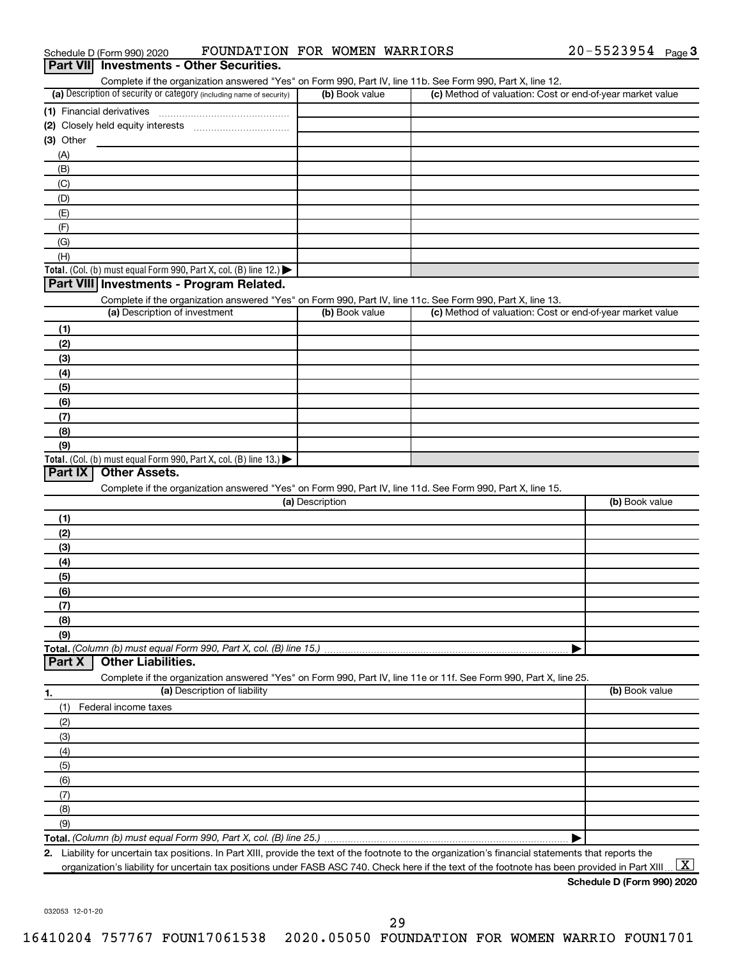|             | Part VII Investments - Other Securities.<br>Complete if the organization answered "Yes" on Form 990, Part IV, line 11b. See Form 990, Part X, line 12. |                 |                                                           |                |
|-------------|--------------------------------------------------------------------------------------------------------------------------------------------------------|-----------------|-----------------------------------------------------------|----------------|
|             | (a) Description of security or category (including name of security)                                                                                   | (b) Book value  | (c) Method of valuation: Cost or end-of-year market value |                |
|             |                                                                                                                                                        |                 |                                                           |                |
|             |                                                                                                                                                        |                 |                                                           |                |
| $(3)$ Other |                                                                                                                                                        |                 |                                                           |                |
| (A)         |                                                                                                                                                        |                 |                                                           |                |
| (B)         |                                                                                                                                                        |                 |                                                           |                |
| (C)         |                                                                                                                                                        |                 |                                                           |                |
| (D)         |                                                                                                                                                        |                 |                                                           |                |
| (E)         |                                                                                                                                                        |                 |                                                           |                |
| (F)         |                                                                                                                                                        |                 |                                                           |                |
| (G)         |                                                                                                                                                        |                 |                                                           |                |
| (H)         |                                                                                                                                                        |                 |                                                           |                |
|             | Total. (Col. (b) must equal Form 990, Part X, col. (B) line 12.) $\blacktriangleright$                                                                 |                 |                                                           |                |
|             | Part VIII Investments - Program Related.                                                                                                               |                 |                                                           |                |
|             | Complete if the organization answered "Yes" on Form 990, Part IV, line 11c. See Form 990, Part X, line 13.                                             |                 |                                                           |                |
|             | (a) Description of investment                                                                                                                          | (b) Book value  | (c) Method of valuation: Cost or end-of-year market value |                |
| (1)         |                                                                                                                                                        |                 |                                                           |                |
| (2)         |                                                                                                                                                        |                 |                                                           |                |
| (3)         |                                                                                                                                                        |                 |                                                           |                |
| (4)         |                                                                                                                                                        |                 |                                                           |                |
| (5)         |                                                                                                                                                        |                 |                                                           |                |
| (6)         |                                                                                                                                                        |                 |                                                           |                |
| (7)         |                                                                                                                                                        |                 |                                                           |                |
| (8)         |                                                                                                                                                        |                 |                                                           |                |
| (9)         |                                                                                                                                                        |                 |                                                           |                |
| Part IX     | Total. (Col. (b) must equal Form 990, Part X, col. (B) line 13.)<br><b>Other Assets.</b>                                                               |                 |                                                           |                |
|             |                                                                                                                                                        |                 |                                                           |                |
|             | Complete if the organization answered "Yes" on Form 990, Part IV, line 11d. See Form 990, Part X, line 15.                                             | (a) Description |                                                           | (b) Book value |
|             |                                                                                                                                                        |                 |                                                           |                |
| (1)<br>(2)  |                                                                                                                                                        |                 |                                                           |                |
| (3)         |                                                                                                                                                        |                 |                                                           |                |
| (4)         |                                                                                                                                                        |                 |                                                           |                |
| (5)         |                                                                                                                                                        |                 |                                                           |                |
| (6)         |                                                                                                                                                        |                 |                                                           |                |
| (7)         |                                                                                                                                                        |                 |                                                           |                |
| (8)         |                                                                                                                                                        |                 |                                                           |                |
| (9)         |                                                                                                                                                        |                 |                                                           |                |
|             | Total. (Column (b) must equal Form 990, Part X, col. (B) line 15.).                                                                                    |                 |                                                           |                |
| Part X      | <b>Other Liabilities.</b>                                                                                                                              |                 |                                                           |                |
|             | Complete if the organization answered "Yes" on Form 990, Part IV, line 11e or 11f. See Form 990, Part X, line 25.                                      |                 |                                                           |                |
| 1.          | (a) Description of liability                                                                                                                           |                 |                                                           | (b) Book value |
| (1)         | Federal income taxes                                                                                                                                   |                 |                                                           |                |
|             |                                                                                                                                                        |                 |                                                           |                |
|             |                                                                                                                                                        |                 |                                                           |                |
| (2)         |                                                                                                                                                        |                 |                                                           |                |
| (3)<br>(4)  |                                                                                                                                                        |                 |                                                           |                |
| (5)         |                                                                                                                                                        |                 |                                                           |                |
| (6)         |                                                                                                                                                        |                 |                                                           |                |
| (7)         |                                                                                                                                                        |                 |                                                           |                |
| (8)         |                                                                                                                                                        |                 |                                                           |                |
| (9)         |                                                                                                                                                        |                 |                                                           |                |
|             |                                                                                                                                                        |                 |                                                           |                |

Schedule D (Form 990) 2020  $\qquad$   $\qquad$   $\qquad$   $\qquad$   $\qquad$   $\qquad$   $\qquad$   $\qquad$   $\qquad$   $\qquad$   $\qquad$   $\qquad$   $\qquad$   $\qquad$   $\qquad$   $\qquad$   $\qquad$   $\qquad$   $\qquad$   $\qquad$   $\qquad$   $\qquad$   $\qquad$   $\qquad$   $\qquad$   $\qquad$   $\qquad$   $\qquad$   $\qquad$   $\qquad$   $\qquad$   $\qquad$   $\$ 

**Schedule D (Form 990) 2020**

20-5523954 Page 3

032053 12-01-20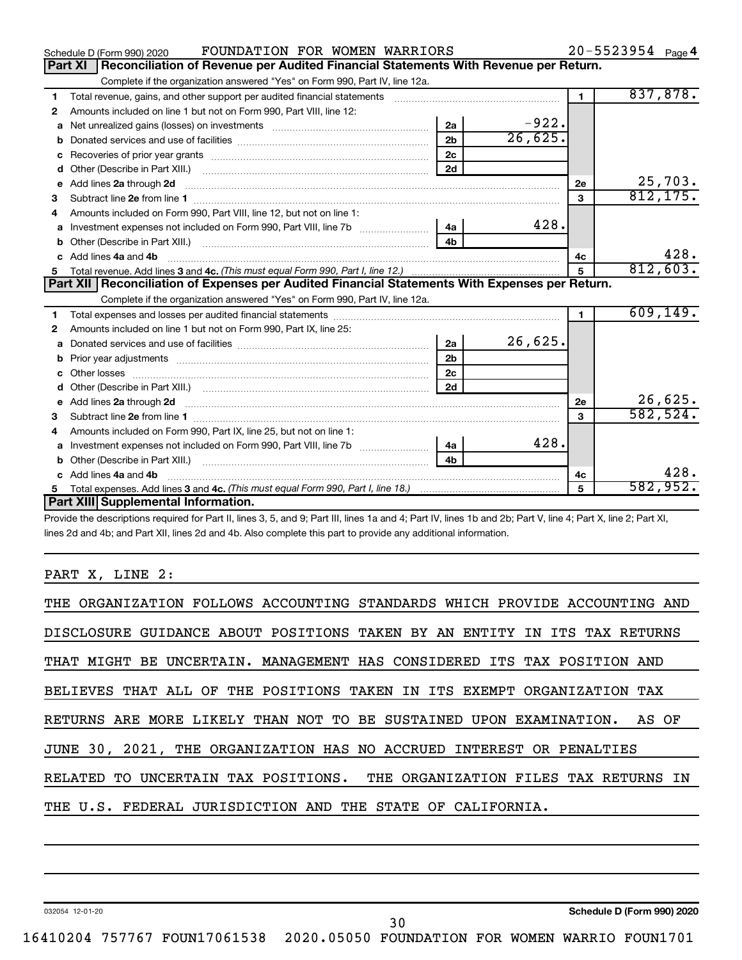|   | FOUNDATION FOR WOMEN WARRIORS<br>Schedule D (Form 990) 2020                                                                                                                                                                         |                |         |                | 20-5523954 Page 4 |
|---|-------------------------------------------------------------------------------------------------------------------------------------------------------------------------------------------------------------------------------------|----------------|---------|----------------|-------------------|
|   | Reconciliation of Revenue per Audited Financial Statements With Revenue per Return.<br><b>Part XI</b>                                                                                                                               |                |         |                |                   |
|   | Complete if the organization answered "Yes" on Form 990, Part IV, line 12a.                                                                                                                                                         |                |         |                |                   |
| 1 | Total revenue, gains, and other support per audited financial statements [11] [11] Total revenue, gains, and other support per audited financial statements                                                                         |                |         | $\blacksquare$ | 837,878.          |
| 2 | Amounts included on line 1 but not on Form 990, Part VIII, line 12:                                                                                                                                                                 |                |         |                |                   |
| a |                                                                                                                                                                                                                                     | 2a             | $-922.$ |                |                   |
| b |                                                                                                                                                                                                                                     | 2 <sub>b</sub> | 26,625. |                |                   |
| с |                                                                                                                                                                                                                                     | 2 <sub>c</sub> |         |                |                   |
| d |                                                                                                                                                                                                                                     | 2d             |         |                |                   |
| е | Add lines 2a through 2d <b>contained a contained a contained a contained a</b> contained a contained a contained a contained a contained a contained a contained a contained a contained a contained a contained a contained a cont |                |         | 2е             | 25,703.           |
| 3 | Subtract line 2e from line 1 <b>manufacture in the contract of the 2e</b> from line 1                                                                                                                                               |                |         | 3              | 812, 175.         |
| 4 | Amounts included on Form 990, Part VIII, line 12, but not on line 1:                                                                                                                                                                |                |         |                |                   |
| a |                                                                                                                                                                                                                                     | l 4a           | 428.    |                |                   |
| b |                                                                                                                                                                                                                                     | 4 <sub>h</sub> |         |                |                   |
| c | Add lines 4a and 4b                                                                                                                                                                                                                 |                |         | 4с             | 428.              |
| 5 |                                                                                                                                                                                                                                     |                |         | 5              | 812,603.          |
|   |                                                                                                                                                                                                                                     |                |         |                |                   |
|   | Part XII   Reconciliation of Expenses per Audited Financial Statements With Expenses per Return.                                                                                                                                    |                |         |                |                   |
|   | Complete if the organization answered "Yes" on Form 990, Part IV, line 12a.                                                                                                                                                         |                |         |                |                   |
| 1 |                                                                                                                                                                                                                                     |                |         | $\blacksquare$ | 609, 149.         |
| 2 | Amounts included on line 1 but not on Form 990, Part IX, line 25:                                                                                                                                                                   |                |         |                |                   |
| a |                                                                                                                                                                                                                                     | 2a             | 26,625. |                |                   |
| b |                                                                                                                                                                                                                                     | 2 <sub>b</sub> |         |                |                   |
| c |                                                                                                                                                                                                                                     | 2 <sub>c</sub> |         |                |                   |
| d |                                                                                                                                                                                                                                     | 2d             |         |                |                   |
| е | Add lines 2a through 2d <b>contained a contained a contained a contained a</b> contained a contact the contact of the                                                                                                               |                |         | 2е             | 26,625.           |
| з |                                                                                                                                                                                                                                     |                |         | 3              | 582, 524.         |
| 4 | Amounts included on Form 990, Part IX, line 25, but not on line 1:                                                                                                                                                                  |                |         |                |                   |
| a |                                                                                                                                                                                                                                     | 4a             | 428.    |                |                   |
| b |                                                                                                                                                                                                                                     | 4 <sub>h</sub> |         |                |                   |
|   | Add lines 4a and 4b                                                                                                                                                                                                                 |                |         | 4c             | 428.              |
|   | Part XIII Supplemental Information.                                                                                                                                                                                                 |                |         | 5              | 582,952.          |

Provide the descriptions required for Part II, lines 3, 5, and 9; Part III, lines 1a and 4; Part IV, lines 1b and 2b; Part V, line 4; Part X, line 2; Part XI, lines 2d and 4b; and Part XII, lines 2d and 4b. Also complete this part to provide any additional information.

### PART X, LINE 2:

| THE ORGANIZATION FOLLOWS ACCOUNTING STANDARDS WHICH PROVIDE ACCOUNTING AND |
|----------------------------------------------------------------------------|
| DISCLOSURE GUIDANCE ABOUT POSITIONS TAKEN BY AN ENTITY IN ITS TAX RETURNS  |
| THAT MIGHT BE UNCERTAIN. MANAGEMENT HAS CONSIDERED ITS TAX POSITION AND    |
| BELIEVES THAT ALL OF THE POSITIONS TAKEN IN ITS EXEMPT ORGANIZATION TAX    |
| RETURNS ARE MORE LIKELY THAN NOT TO BE SUSTAINED UPON EXAMINATION. AS OF   |
| JUNE 30, 2021, THE ORGANIZATION HAS NO ACCRUED INTEREST OR PENALTIES       |
| RELATED TO UNCERTAIN TAX POSITIONS. THE ORGANIZATION FILES TAX RETURNS IN  |
| THE U.S. FEDERAL JURISDICTION AND THE STATE OF CALIFORNIA.                 |

30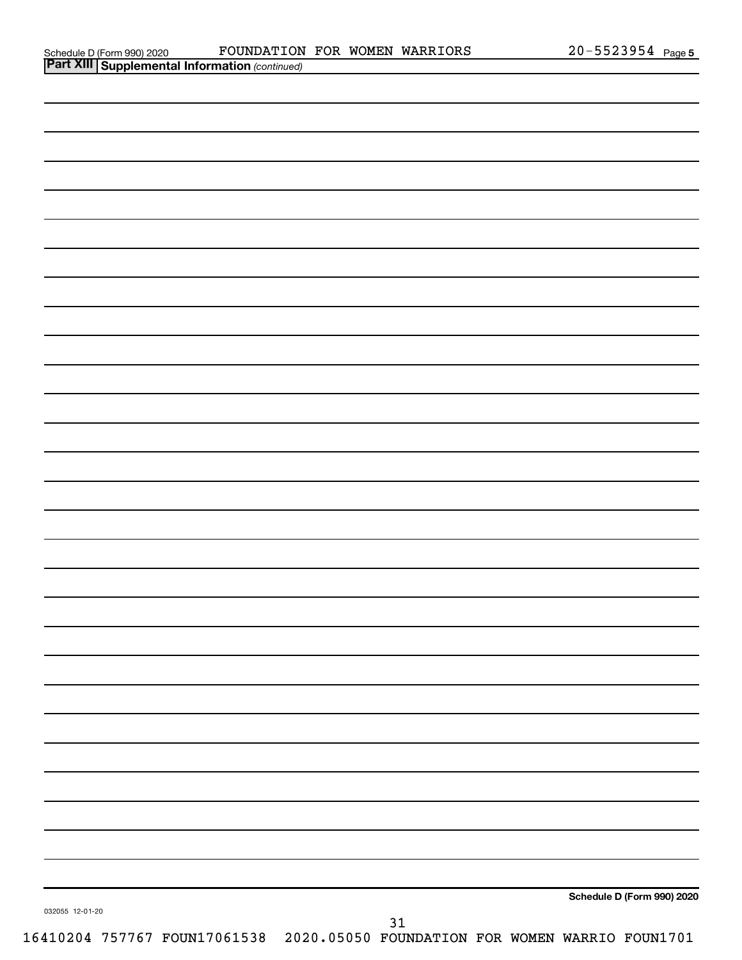| Schedule D (Form 990) 2020 |  |
|----------------------------|--|
|                            |  |

|                 | <b>Part XIII Supplemental Information (continued)</b>                        |    |                            |  |
|-----------------|------------------------------------------------------------------------------|----|----------------------------|--|
|                 |                                                                              |    |                            |  |
|                 |                                                                              |    |                            |  |
|                 |                                                                              |    |                            |  |
|                 |                                                                              |    |                            |  |
|                 |                                                                              |    |                            |  |
|                 |                                                                              |    |                            |  |
|                 |                                                                              |    |                            |  |
|                 |                                                                              |    |                            |  |
|                 |                                                                              |    |                            |  |
|                 |                                                                              |    |                            |  |
|                 |                                                                              |    |                            |  |
|                 |                                                                              |    |                            |  |
|                 |                                                                              |    |                            |  |
|                 |                                                                              |    |                            |  |
|                 |                                                                              |    |                            |  |
|                 |                                                                              |    |                            |  |
|                 |                                                                              |    |                            |  |
|                 |                                                                              |    |                            |  |
|                 |                                                                              |    |                            |  |
|                 |                                                                              |    |                            |  |
|                 |                                                                              |    |                            |  |
|                 |                                                                              |    |                            |  |
|                 |                                                                              |    |                            |  |
|                 |                                                                              |    |                            |  |
|                 |                                                                              |    |                            |  |
|                 |                                                                              |    |                            |  |
|                 |                                                                              |    |                            |  |
|                 |                                                                              |    |                            |  |
|                 |                                                                              |    |                            |  |
|                 |                                                                              |    |                            |  |
|                 |                                                                              |    |                            |  |
|                 |                                                                              |    |                            |  |
|                 |                                                                              |    |                            |  |
|                 |                                                                              |    |                            |  |
|                 |                                                                              |    |                            |  |
| 032055 12-01-20 |                                                                              |    | Schedule D (Form 990) 2020 |  |
|                 | 16410204 757767 FOUN17061538 2020.05050 FOUNDATION FOR WOMEN WARRIO FOUN1701 | 31 |                            |  |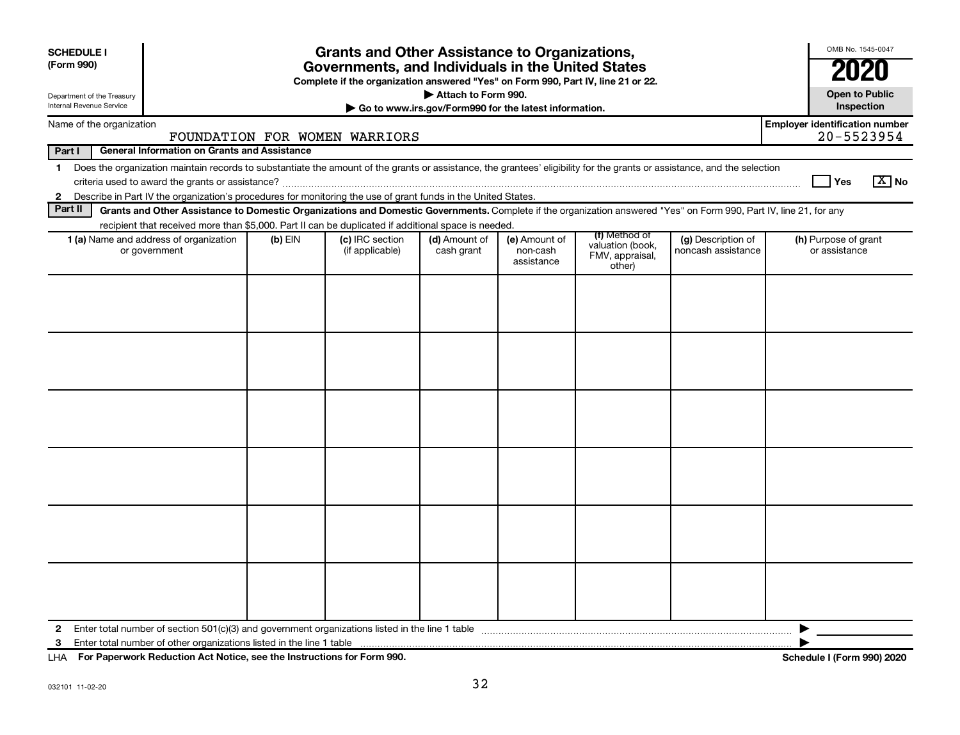| <b>SCHEDULE I</b><br>(Form 990)                                                                                                        |                                                                                                                                                                                                                                                                                       | <b>Grants and Other Assistance to Organizations,</b><br>Governments, and Individuals in the United States<br>Complete if the organization answered "Yes" on Form 990, Part IV, line 21 or 22. |                                    |                             |                                         |                                                                |                                          | OMB No. 1545-0047<br>2020                           |
|----------------------------------------------------------------------------------------------------------------------------------------|---------------------------------------------------------------------------------------------------------------------------------------------------------------------------------------------------------------------------------------------------------------------------------------|-----------------------------------------------------------------------------------------------------------------------------------------------------------------------------------------------|------------------------------------|-----------------------------|-----------------------------------------|----------------------------------------------------------------|------------------------------------------|-----------------------------------------------------|
| Attach to Form 990.<br>Department of the Treasury<br>Internal Revenue Service<br>Go to www.irs.gov/Form990 for the latest information. |                                                                                                                                                                                                                                                                                       |                                                                                                                                                                                               |                                    |                             |                                         | <b>Open to Public</b><br>Inspection                            |                                          |                                                     |
| Name of the organization<br>FOUNDATION FOR WOMEN WARRIORS                                                                              |                                                                                                                                                                                                                                                                                       |                                                                                                                                                                                               |                                    |                             |                                         |                                                                |                                          | <b>Employer identification number</b><br>20-5523954 |
| Part I                                                                                                                                 | <b>General Information on Grants and Assistance</b>                                                                                                                                                                                                                                   |                                                                                                                                                                                               |                                    |                             |                                         |                                                                |                                          |                                                     |
| $\mathbf 1$                                                                                                                            | Does the organization maintain records to substantiate the amount of the grants or assistance, the grantees' eligibility for the grants or assistance, and the selection<br>l Yes                                                                                                     |                                                                                                                                                                                               |                                    |                             |                                         |                                                                |                                          | $\sqrt{X}$ No                                       |
| Part II                                                                                                                                | 2 Describe in Part IV the organization's procedures for monitoring the use of grant funds in the United States.<br>Grants and Other Assistance to Domestic Organizations and Domestic Governments. Complete if the organization answered "Yes" on Form 990, Part IV, line 21, for any |                                                                                                                                                                                               |                                    |                             |                                         |                                                                |                                          |                                                     |
|                                                                                                                                        | recipient that received more than \$5,000. Part II can be duplicated if additional space is needed.                                                                                                                                                                                   |                                                                                                                                                                                               |                                    |                             |                                         |                                                                |                                          |                                                     |
|                                                                                                                                        | 1 (a) Name and address of organization<br>or government                                                                                                                                                                                                                               | $(b)$ EIN                                                                                                                                                                                     | (c) IRC section<br>(if applicable) | (d) Amount of<br>cash grant | (e) Amount of<br>non-cash<br>assistance | (f) Method of<br>valuation (book,<br>FMV, appraisal,<br>other) | (g) Description of<br>noncash assistance | (h) Purpose of grant<br>or assistance               |
|                                                                                                                                        |                                                                                                                                                                                                                                                                                       |                                                                                                                                                                                               |                                    |                             |                                         |                                                                |                                          |                                                     |
| 2                                                                                                                                      |                                                                                                                                                                                                                                                                                       |                                                                                                                                                                                               |                                    |                             |                                         |                                                                |                                          |                                                     |
| 3                                                                                                                                      | Enter total number of other organizations listed in the line 1 table                                                                                                                                                                                                                  |                                                                                                                                                                                               |                                    |                             |                                         |                                                                |                                          |                                                     |

**For Paperwork Reduction Act Notice, see the Instructions for Form 990. Schedule I (Form 990) 2020** LHA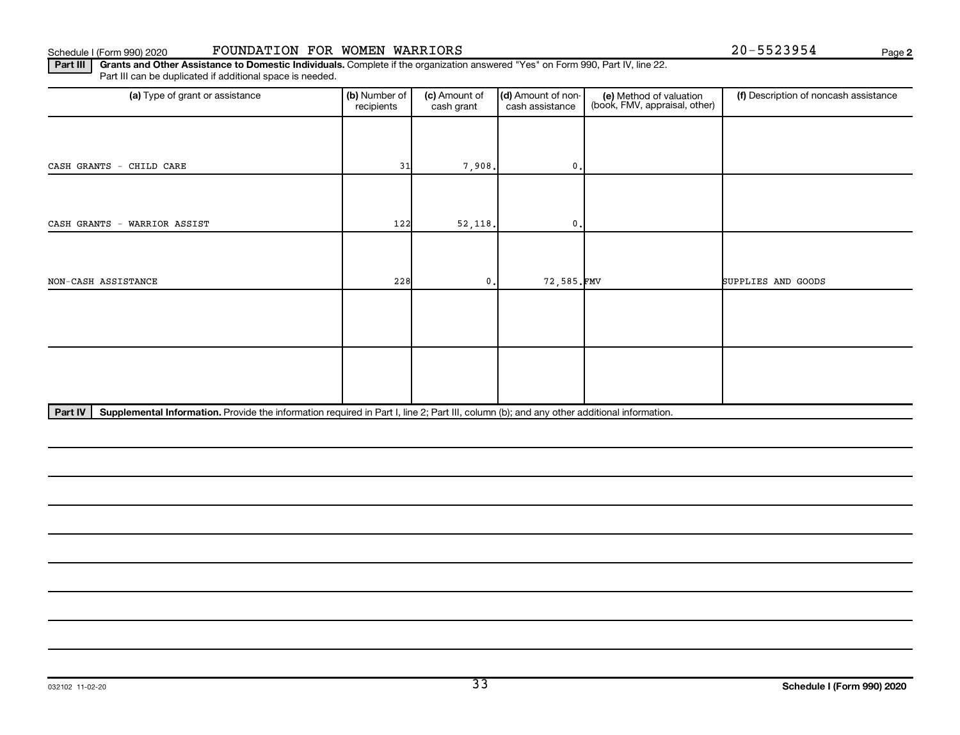Schedule I (Form 990) 2020 **FOUNDATION FOR WOMEN WARRIORS** Page

**2**

Part III | Grants and Other Assistance to Domestic Individuals. Complete if the organization answered "Yes" on Form 990, Part IV, line 22. Part III can be duplicated if additional space is needed.

| (a) Type of grant or assistance | (b) Number of<br>recipients | (c) Amount of<br>cash grant | (d) Amount of non-<br>cash assistance | (e) Method of valuation<br>(book, FMV, appraisal, other) | (f) Description of noncash assistance |
|---------------------------------|-----------------------------|-----------------------------|---------------------------------------|----------------------------------------------------------|---------------------------------------|
|                                 |                             |                             |                                       |                                                          |                                       |
| CASH GRANTS - CHILD CARE        | 31                          | 7,908.                      | $0$ .                                 |                                                          |                                       |
|                                 |                             |                             |                                       |                                                          |                                       |
| CASH GRANTS - WARRIOR ASSIST    | 122                         | 52,118.                     | $\mathbf{0}$ .                        |                                                          |                                       |
|                                 |                             |                             |                                       |                                                          |                                       |
| NON-CASH ASSISTANCE             | 228                         | 0.                          | 72,585.FMV                            |                                                          | SUPPLIES AND GOODS                    |
|                                 |                             |                             |                                       |                                                          |                                       |
|                                 |                             |                             |                                       |                                                          |                                       |
|                                 |                             |                             |                                       |                                                          |                                       |
|                                 |                             |                             |                                       |                                                          |                                       |

Part IV | Supplemental Information. Provide the information required in Part I, line 2; Part III, column (b); and any other additional information.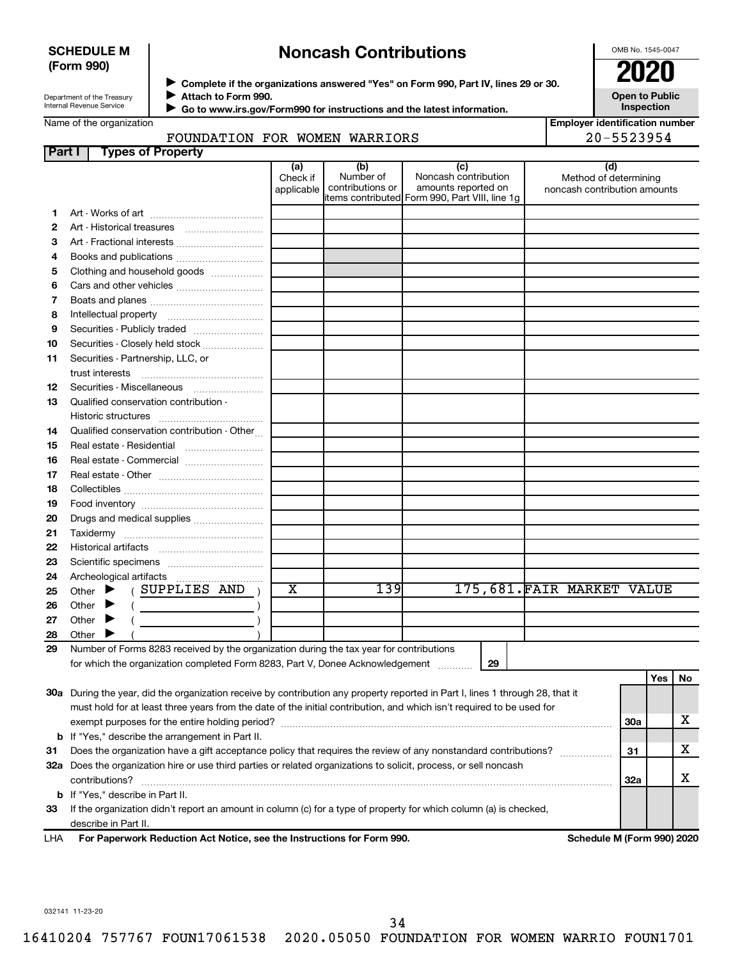### **SCHEDULE M (Form 990)**

## **Noncash Contributions**

OMB No. 1545-0047

**Open to Public Inspection**

**Employer identification number**

Department of the Treasury Internal Revenue Service

**Part I Types of Property**

◆ Complete if the organizations answered "Yes" on Form 990, Part IV, lines 29 or 30.<br>● Complete if the organizations answered "Yes" on Form 990, Part IV, lines 29 or 30. **Attach to Form 990.**  $\blacktriangleright$ 

 **Go to www.irs.gov/Form990 for instructions and the latest information.** J

Name of the organization

### FOUNDATION FOR WOMEN WARRIORS 20-5523954

|    | raı ı ı<br><b>Types of Froperty</b>                                                                                            |                               |                                      |                                                                                                      |                                                              |     |     |     |
|----|--------------------------------------------------------------------------------------------------------------------------------|-------------------------------|--------------------------------------|------------------------------------------------------------------------------------------------------|--------------------------------------------------------------|-----|-----|-----|
|    |                                                                                                                                | (a)<br>Check if<br>applicable | (b)<br>Number of<br>contributions or | (c)<br>Noncash contribution<br>amounts reported on<br>items contributed Form 990, Part VIII, line 1g | (d)<br>Method of determining<br>noncash contribution amounts |     |     |     |
| 1. |                                                                                                                                |                               |                                      |                                                                                                      |                                                              |     |     |     |
| 2  |                                                                                                                                |                               |                                      |                                                                                                      |                                                              |     |     |     |
| З  | Art - Fractional interests                                                                                                     |                               |                                      |                                                                                                      |                                                              |     |     |     |
| 4  |                                                                                                                                |                               |                                      |                                                                                                      |                                                              |     |     |     |
| 5  | Books and publications                                                                                                         |                               |                                      |                                                                                                      |                                                              |     |     |     |
|    | Clothing and household goods                                                                                                   |                               |                                      |                                                                                                      |                                                              |     |     |     |
| 6  | Cars and other vehicles                                                                                                        |                               |                                      |                                                                                                      |                                                              |     |     |     |
| 7  |                                                                                                                                |                               |                                      |                                                                                                      |                                                              |     |     |     |
| 8  |                                                                                                                                |                               |                                      |                                                                                                      |                                                              |     |     |     |
| 9  | Securities - Publicly traded                                                                                                   |                               |                                      |                                                                                                      |                                                              |     |     |     |
| 10 | Securities - Closely held stock                                                                                                |                               |                                      |                                                                                                      |                                                              |     |     |     |
| 11 | Securities - Partnership, LLC, or                                                                                              |                               |                                      |                                                                                                      |                                                              |     |     |     |
|    | trust interests                                                                                                                |                               |                                      |                                                                                                      |                                                              |     |     |     |
| 12 | Securities - Miscellaneous                                                                                                     |                               |                                      |                                                                                                      |                                                              |     |     |     |
| 13 | Qualified conservation contribution -                                                                                          |                               |                                      |                                                                                                      |                                                              |     |     |     |
| 14 | Qualified conservation contribution - Other                                                                                    |                               |                                      |                                                                                                      |                                                              |     |     |     |
| 15 |                                                                                                                                |                               |                                      |                                                                                                      |                                                              |     |     |     |
| 16 | Real estate - Commercial                                                                                                       |                               |                                      |                                                                                                      |                                                              |     |     |     |
| 17 |                                                                                                                                |                               |                                      |                                                                                                      |                                                              |     |     |     |
| 18 |                                                                                                                                |                               |                                      |                                                                                                      |                                                              |     |     |     |
| 19 |                                                                                                                                |                               |                                      |                                                                                                      |                                                              |     |     |     |
| 20 | Drugs and medical supplies                                                                                                     |                               |                                      |                                                                                                      |                                                              |     |     |     |
| 21 |                                                                                                                                |                               |                                      |                                                                                                      |                                                              |     |     |     |
| 22 |                                                                                                                                |                               |                                      |                                                                                                      |                                                              |     |     |     |
| 23 |                                                                                                                                |                               |                                      |                                                                                                      |                                                              |     |     |     |
| 24 | Archeological artifacts                                                                                                        |                               |                                      |                                                                                                      |                                                              |     |     |     |
| 25 | (SUPPLIES AND)<br>Other $\blacktriangleright$                                                                                  | х                             | 139                                  |                                                                                                      | 175,681. FAIR MARKET VALUE                                   |     |     |     |
| 26 | Other $\blacktriangleright$<br>(                                                                                               |                               |                                      |                                                                                                      |                                                              |     |     |     |
| 27 | Other $\blacktriangleright$                                                                                                    |                               |                                      |                                                                                                      |                                                              |     |     |     |
| 28 | Other $\blacktriangleright$                                                                                                    |                               |                                      |                                                                                                      |                                                              |     |     |     |
| 29 | Number of Forms 8283 received by the organization during the tax year for contributions                                        |                               |                                      |                                                                                                      |                                                              |     |     |     |
|    | for which the organization completed Form 8283, Part V, Donee Acknowledgement                                                  |                               |                                      | 29                                                                                                   |                                                              |     |     |     |
|    |                                                                                                                                |                               |                                      |                                                                                                      |                                                              |     | Yes | No. |
|    | 30a During the year, did the organization receive by contribution any property reported in Part I, lines 1 through 28, that it |                               |                                      |                                                                                                      |                                                              |     |     |     |
|    | must hold for at least three years from the date of the initial contribution, and which isn't required to be used for          |                               |                                      |                                                                                                      |                                                              |     |     |     |
|    |                                                                                                                                |                               |                                      |                                                                                                      |                                                              | 30a |     | х   |
|    | <b>b</b> If "Yes," describe the arrangement in Part II.                                                                        |                               |                                      |                                                                                                      |                                                              |     |     |     |
| 31 | Does the organization have a gift acceptance policy that requires the review of any nonstandard contributions?                 |                               |                                      |                                                                                                      |                                                              | 31  |     | x.  |
|    | 32a Does the organization hire or use third parties or related organizations to solicit, process, or sell noncash              |                               |                                      |                                                                                                      |                                                              |     |     |     |
|    | contributions?                                                                                                                 |                               |                                      |                                                                                                      |                                                              | 32a |     | x   |

**33** If the organization didn't report an amount in column (c) for a type of property for which column (a) is checked, describe in Part II.

**For Paperwork Reduction Act Notice, see the Instructions for Form 990. Schedule M (Form 990) 2020** LHA

032141 11-23-20

**b** If "Yes," describe in Part II.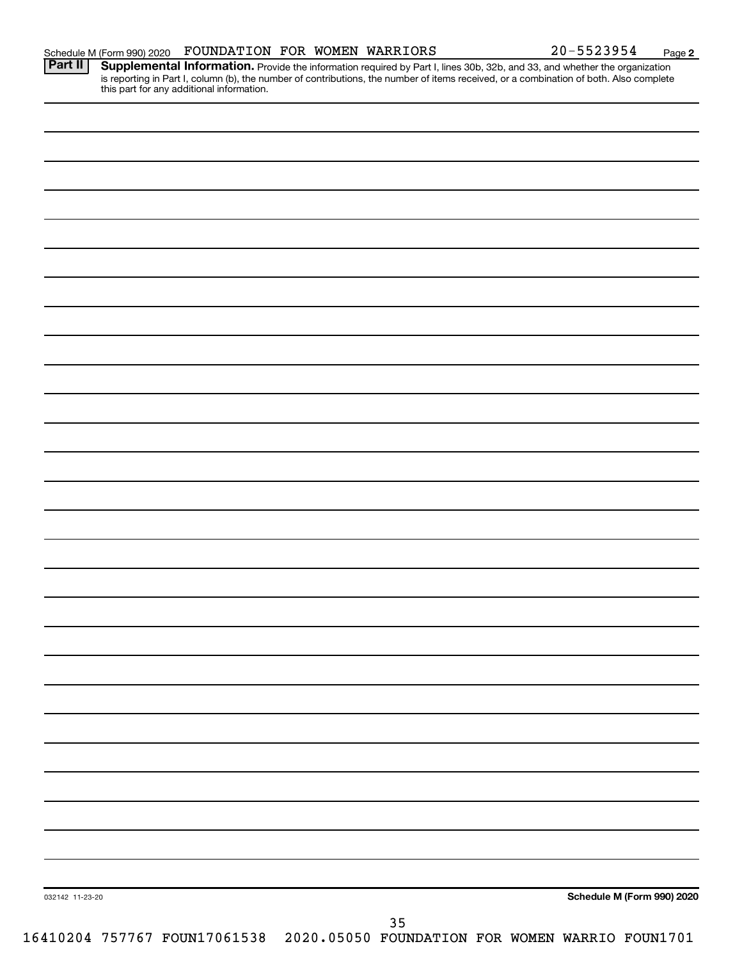**2** Provide the information required by Part I, lines 30b, 32b, and 33, and whether the organization is reporting in Part I, column (b), the number of contributions, the number of items received, or a combination of both. Also complete this part for any additional information. **Part II Supplemental Information.** 

| 032142 11-23-20 | 35 | Schedule M (Form 990) 2020 |
|-----------------|----|----------------------------|
|                 |    |                            |
|                 |    |                            |
|                 |    |                            |
|                 |    |                            |
|                 |    |                            |
|                 |    |                            |
|                 |    |                            |
|                 |    |                            |
|                 |    |                            |
|                 |    |                            |
|                 |    |                            |
|                 |    |                            |
|                 |    |                            |
|                 |    |                            |
|                 |    |                            |
|                 |    |                            |
|                 |    |                            |
|                 |    |                            |
|                 |    |                            |
|                 |    |                            |
|                 |    |                            |
|                 |    |                            |
|                 |    |                            |
|                 |    |                            |
|                 |    |                            |